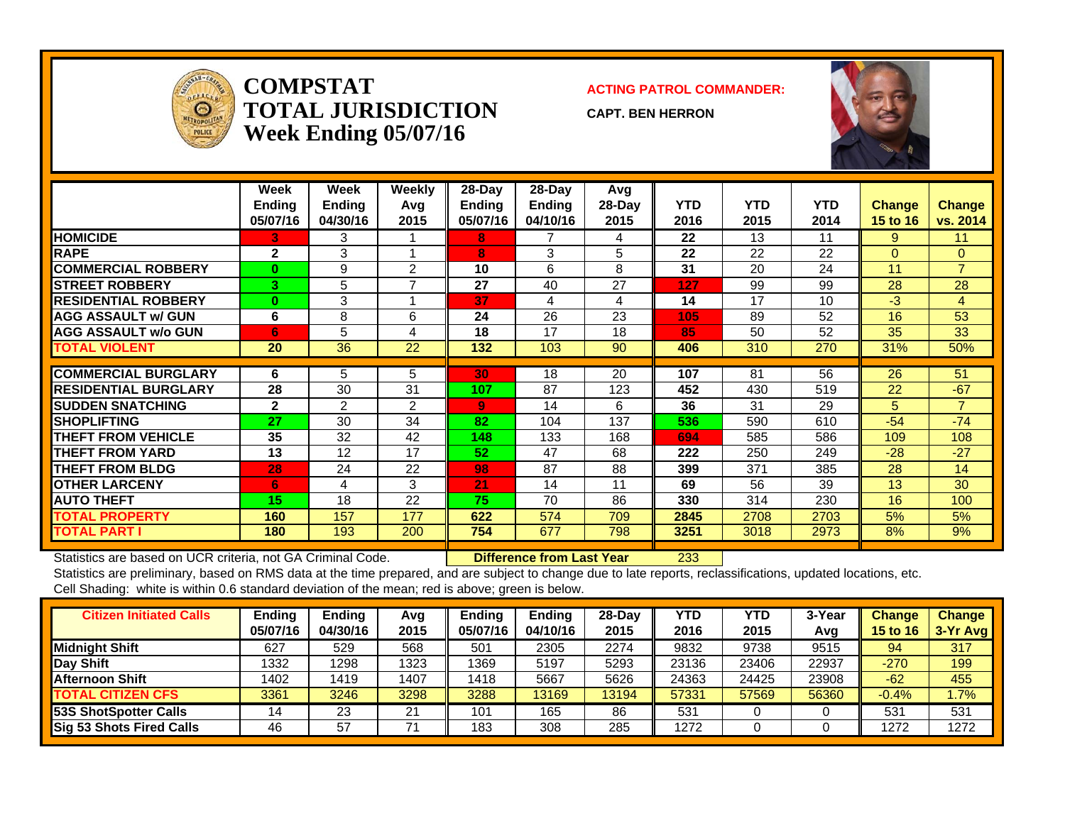

#### **COMPSTATTOTAL JURISDICTIONWeek Ending 05/07/16**

#### **ACTING PATROL COMMANDER:**

**CAPT. BEN HERRON**



|                             | Week<br><b>Ending</b><br>05/07/16 | <b>Week</b><br><b>Ending</b><br>04/30/16 | <b>Weekly</b><br>Avg<br>2015 | $28$ -Day<br><b>Ending</b><br>05/07/16 | $28$ -Day<br><b>Ending</b><br>04/10/16 | Avg<br>$28-Day$<br>2015 | <b>YTD</b><br>2016 | YTD<br>2015 | <b>YTD</b><br>2014 | <b>Change</b><br><b>15 to 16</b> | Change<br>vs. 2014 |
|-----------------------------|-----------------------------------|------------------------------------------|------------------------------|----------------------------------------|----------------------------------------|-------------------------|--------------------|-------------|--------------------|----------------------------------|--------------------|
| <b>HOMICIDE</b>             | 3.                                | 3                                        |                              | 8                                      |                                        | 4                       | 22                 | 13          | 11                 | 9                                | 11                 |
| <b>RAPE</b>                 | $\mathbf{2}$                      | 3                                        |                              | 8                                      | 3                                      | 5                       | 22                 | 22          | 22                 | $\Omega$                         | $\overline{0}$     |
| <b>COMMERCIAL ROBBERY</b>   | $\bf{0}$                          | 9                                        | 2                            | 10                                     | 6                                      | 8                       | 31                 | 20          | 24                 | 11                               | $\overline{7}$     |
| <b>STREET ROBBERY</b>       | 3 <sup>1</sup>                    | 5                                        | $\overline{ }$               | 27                                     | 40                                     | 27                      | 127                | 99          | 99                 | 28                               | 28                 |
| <b>RESIDENTIAL ROBBERY</b>  | $\bf{0}$                          | 3                                        |                              | 37                                     | 4                                      | 4                       | 14                 | 17          | 10                 | $-3$                             | $\overline{4}$     |
| <b>AGG ASSAULT w/ GUN</b>   | 6                                 | 8                                        | 6                            | 24                                     | 26                                     | 23                      | 105                | 89          | 52                 | 16                               | 53                 |
| <b>AGG ASSAULT w/o GUN</b>  | 6                                 | 5                                        | 4                            | 18                                     | 17                                     | 18                      | 85                 | 50          | 52                 | 35                               | 33                 |
| <b>TOTAL VIOLENT</b>        | 20                                | 36                                       | 22                           | 132                                    | 103                                    | 90                      | 406                | 310         | 270                | 31%                              | 50%                |
|                             |                                   |                                          |                              |                                        |                                        |                         |                    |             |                    |                                  |                    |
| <b>COMMERCIAL BURGLARY</b>  | 6                                 | 5                                        | 5                            | 30                                     | 18                                     | 20                      | 107                | 81          | 56                 | 26                               | 51                 |
| <b>RESIDENTIAL BURGLARY</b> | 28                                | 30                                       | 31                           | 107                                    | 87                                     | 123                     | 452                | 430         | 519                | 22                               | $-67$              |
| <b>SUDDEN SNATCHING</b>     | $\mathbf{2}$                      | $\overline{2}$                           | 2                            | 9                                      | 14                                     | 6                       | 36                 | 31          | 29                 | 5                                | $\overline{7}$     |
| <b>SHOPLIFTING</b>          | 27                                | 30                                       | 34                           | 82                                     | 104                                    | 137                     | 536                | 590         | 610                | $-54$                            | $-74$              |
| <b>THEFT FROM VEHICLE</b>   | 35                                | 32                                       | 42                           | 148                                    | 133                                    | 168                     | 694                | 585         | 586                | 109                              | 108                |
| <b>THEFT FROM YARD</b>      | 13                                | 12                                       | 17                           | 52                                     | 47                                     | 68                      | 222                | 250         | 249                | $-28$                            | $-27$              |
| <b>THEFT FROM BLDG</b>      | 28                                | 24                                       | 22                           | 98                                     | 87                                     | 88                      | 399                | 371         | 385                | 28                               | 14                 |
| <b>OTHER LARCENY</b>        | 6                                 | 4                                        | 3                            | 21                                     | 14                                     | 11                      | 69                 | 56          | 39                 | 13                               | 30                 |
| <b>AUTO THEFT</b>           | 15                                | 18                                       | 22                           | 75                                     | 70                                     | 86                      | 330                | 314         | 230                | 16                               | 100                |
| <b>TOTAL PROPERTY</b>       | 160                               | 157                                      | 177                          | 622                                    | 574                                    | 709                     | 2845               | 2708        | 2703               | 5%                               | 5%                 |
| <b>TOTAL PART I</b>         | 180                               | 193                                      | 200                          | 754                                    | 677                                    | 798                     | 3251               | 3018        | 2973               | 8%                               | 9%                 |

Statistics are based on UCR criteria, not GA Criminal Code. **Difference from Last Year** 233

Statistics are preliminary, based on RMS data at the time prepared, and are subject to change due to late reports, reclassifications, updated locations, etc. Cell Shading: white is within 0.6 standard deviation of the mean; red is above; green is below.

| <b>Citizen Initiated Calls</b>  | <b>Ending</b><br>05/07/16 | <b>Ending</b><br>04/30/16 | Avg<br>2015 | <b>Ending</b><br>05/07/16 | <b>Ending</b><br>04/10/16 | 28-Day<br>2015 | YTD<br>2016 | YTD<br>2015 | 3-Year<br>Avg | <b>Change</b><br>15 to 16 | <b>Change</b><br>3-Yr Avg |
|---------------------------------|---------------------------|---------------------------|-------------|---------------------------|---------------------------|----------------|-------------|-------------|---------------|---------------------------|---------------------------|
| <b>Midnight Shift</b>           | 627                       | 529                       | 568         | 501                       | 2305                      | 2274           | 9832        | 9738        | 9515          | 94                        | 317                       |
| <b>Day Shift</b>                | 1332                      | 1298                      | 1323        | 1369                      | 5197                      | 5293           | 23136       | 23406       | 22937         | $-270$                    | 199                       |
| Afternoon Shift                 | 1402                      | 1419                      | 1407        | 1418                      | 5667                      | 5626           | 24363       | 24425       | 23908         | $-62$                     | 455                       |
| <b>TOTAL CITIZEN CFS</b>        | 3361                      | 3246                      | 3298        | 3288                      | 3169                      | 13194          | 57331       | 57569       | 56360         | $-0.4%$                   | 1.7%                      |
| 53S ShotSpotter Calls           | 14                        | 23                        | 21          | 101                       | 165                       | 86             | 531         |             |               | 531                       | 531                       |
| <b>Sig 53 Shots Fired Calls</b> | 46                        | 57                        |             | 183                       | 308                       | 285            | 1272        |             |               | 1272                      | 1272                      |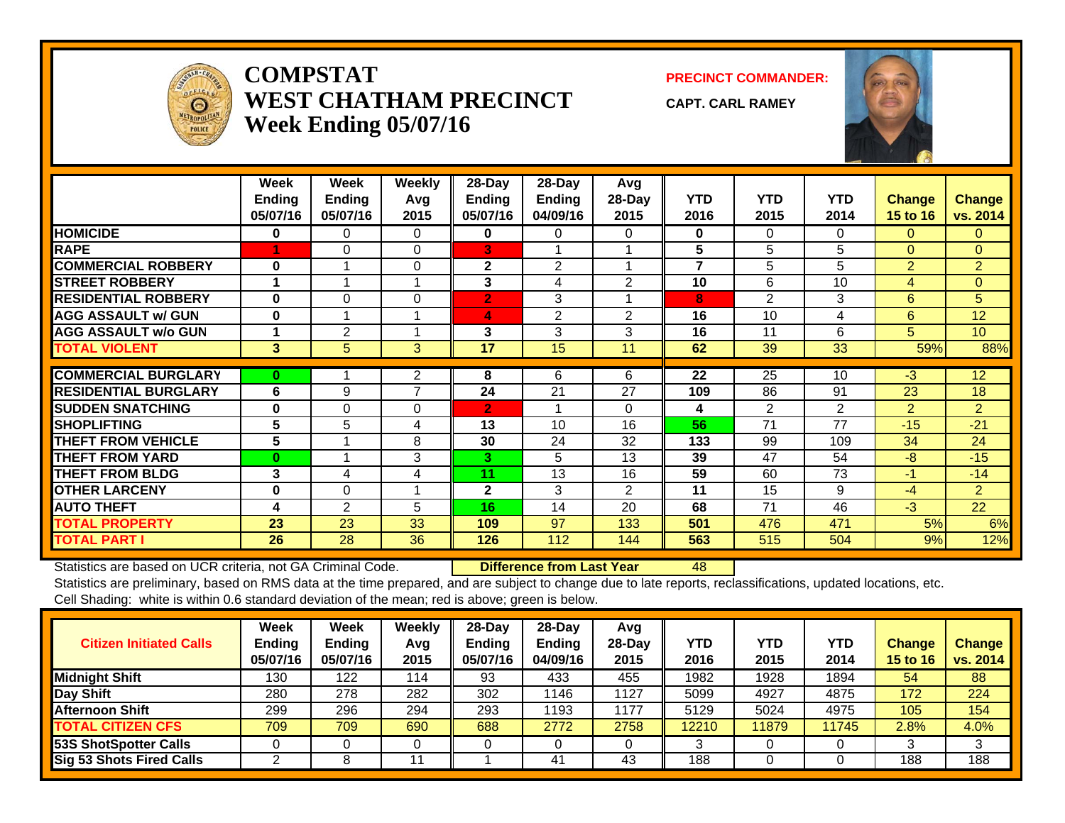

#### **COMPSTATWEST CHATHAM PRECINCTWeek Ending 05/07/16**

**PRECINCT COMMANDER:**

**CAPT. CARL RAMEY**



|                             | Week<br>Ending<br>05/07/16 | Week<br><b>Endina</b><br>05/07/16 | <b>Weekly</b><br>Avg<br>2015 | 28-Day<br><b>Ending</b><br>05/07/16 | 28-Day<br><b>Ending</b><br>04/09/16 | Avg<br>$28$ -Day<br>2015 | <b>YTD</b><br>2016 | <b>YTD</b><br>2015 | <b>YTD</b><br>2014 | <b>Change</b><br><b>15 to 16</b> | <b>Change</b><br>vs. 2014 |
|-----------------------------|----------------------------|-----------------------------------|------------------------------|-------------------------------------|-------------------------------------|--------------------------|--------------------|--------------------|--------------------|----------------------------------|---------------------------|
| <b>HOMICIDE</b>             | 0                          | 0                                 | 0                            | $\bf{0}$                            | 0                                   | 0                        | $\bf{0}$           | 0                  | 0                  | $\Omega$                         | $\mathbf{0}$              |
| <b>RAPE</b>                 |                            | 0                                 | $\Omega$                     | 3                                   |                                     |                          | 5                  | 5                  | 5                  | $\Omega$                         | $\Omega$                  |
| <b>COMMERCIAL ROBBERY</b>   | $\bf{0}$                   |                                   | $\Omega$                     | $\mathbf{2}$                        | 2                                   |                          | 7                  | 5                  | 5                  | $\overline{2}$                   | $\overline{2}$            |
| <b>STREET ROBBERY</b>       |                            |                                   |                              | 3                                   | 4                                   | 2                        | 10                 | 6                  | 10                 | 4                                | $\mathbf{0}$              |
| <b>RESIDENTIAL ROBBERY</b>  | $\bf{0}$                   | $\Omega$                          | $\Omega$                     | $\overline{2}$                      | 3                                   |                          | 8                  | $\overline{2}$     | 3                  | 6                                | 5                         |
| <b>AGG ASSAULT w/ GUN</b>   | $\bf{0}$                   |                                   |                              | 4                                   | 2                                   | 2                        | 16                 | 10                 | 4                  | 6                                | 12                        |
| <b>AGG ASSAULT w/o GUN</b>  |                            | 2                                 |                              | 3                                   | 3                                   | 3                        | 16                 | 11                 | 6                  | 5                                | 10                        |
| <b>TOTAL VIOLENT</b>        | 3                          | 5                                 | 3                            | 17                                  | 15                                  | 11                       | 62                 | 39                 | 33                 | 59%                              | 88%                       |
| <b>COMMERCIAL BURGLARY</b>  | $\bf{0}$                   |                                   | 2                            | 8                                   | 6                                   | 6                        | 22                 | 25                 | 10                 | $-3$                             | 12                        |
|                             |                            |                                   | $\overline{ }$               |                                     |                                     |                          |                    |                    |                    |                                  |                           |
| <b>RESIDENTIAL BURGLARY</b> | 6                          | 9                                 |                              | 24                                  | 21                                  | 27                       | 109                | 86                 | 91                 | 23                               | 18                        |
| <b>SUDDEN SNATCHING</b>     | $\bf{0}$                   | $\mathbf 0$                       | $\Omega$                     | $\overline{2}$                      |                                     | $\Omega$                 | 4                  | 2                  | 2                  | $\overline{2}$                   | $\overline{2}$            |
| <b>SHOPLIFTING</b>          | 5                          | 5                                 | 4                            | 13                                  | 10                                  | 16                       | 56                 | 71                 | 77                 | $-15$                            | $-21$                     |
| <b>THEFT FROM VEHICLE</b>   | 5                          |                                   | 8                            | 30                                  | 24                                  | 32                       | 133                | 99                 | 109                | 34                               | 24                        |
| <b>THEFT FROM YARD</b>      | $\bf{0}$                   |                                   | 3                            | 3                                   | 5                                   | 13                       | 39                 | 47                 | 54                 | $-8$                             | $-15$                     |
| <b>THEFT FROM BLDG</b>      | 3                          | 4                                 | 4                            | 11                                  | 13                                  | 16                       | 59                 | 60                 | 73                 | $-1$                             | $-14$                     |
| <b>OTHER LARCENY</b>        | $\bf{0}$                   | $\Omega$                          |                              | $\mathbf{2}$                        | 3                                   | $\overline{2}$           | 11                 | 15                 | 9                  | $-4$                             | $\overline{2}$            |
| <b>AUTO THEFT</b>           | 4                          | 2                                 | 5                            | 16                                  | 14                                  | 20                       | 68                 | 71                 | 46                 | $-3$                             | 22                        |
| <b>TOTAL PROPERTY</b>       | 23                         | 23                                | 33                           | 109                                 | 97                                  | 133                      | 501                | 476                | 471                | 5%                               | 6%                        |
| <b>TOTAL PART I</b>         | 26                         | 28                                | 36                           | 126                                 | 112                                 | 144                      | 563                | 515                | 504                | 9%                               | 12%                       |

Statistics are based on UCR criteria, not GA Criminal Code. **Difference from Last Year** 48

Statistics are preliminary, based on RMS data at the time prepared, and are subject to change due to late reports, reclassifications, updated locations, etc. Cell Shading: white is within 0.6 standard deviation of the mean; red is above; green is below.

| <b>Citizen Initiated Calls</b> | <b>Week</b><br><b>Ending</b><br>05/07/16 | <b>Week</b><br><b>Ending</b><br>05/07/16 | Weekly<br>Avg<br>2015 | $28$ -Day<br><b>Ending</b><br>05/07/16 | 28-Day<br><b>Ending</b><br>04/09/16 | Avg<br>$28$ -Day<br>2015 | YTD<br>2016 | <b>YTD</b><br>2015 | <b>YTD</b><br>2014 | Change<br><b>15 to 16</b> | Change<br>vs. 2014 |
|--------------------------------|------------------------------------------|------------------------------------------|-----------------------|----------------------------------------|-------------------------------------|--------------------------|-------------|--------------------|--------------------|---------------------------|--------------------|
| <b>Midnight Shift</b>          | 130                                      | 122                                      | 114                   | 93                                     | 433                                 | 455                      | 1982        | 1928               | 1894               | 54                        | 88                 |
| Day Shift                      | 280                                      | 278                                      | 282                   | 302                                    | 1146                                | 1127                     | 5099        | 4927               | 4875               | 172                       | 224                |
| <b>Afternoon Shift</b>         | 299                                      | 296                                      | 294                   | 293                                    | 1193                                | 1177                     | 5129        | 5024               | 4975               | 105                       | 154                |
| <b>TOTAL CITIZEN CFS</b>       | 709                                      | 709                                      | 690                   | 688                                    | 2772                                | 2758                     | 12210       | 11879              | 11745              | $2.8\%$                   | 4.0%               |
| 53S ShotSpotter Calls          |                                          |                                          |                       |                                        |                                     |                          |             |                    |                    |                           | 3                  |
| Sig 53 Shots Fired Calls       |                                          |                                          |                       |                                        | 41                                  | 43                       | 188         |                    |                    | 188                       | 188                |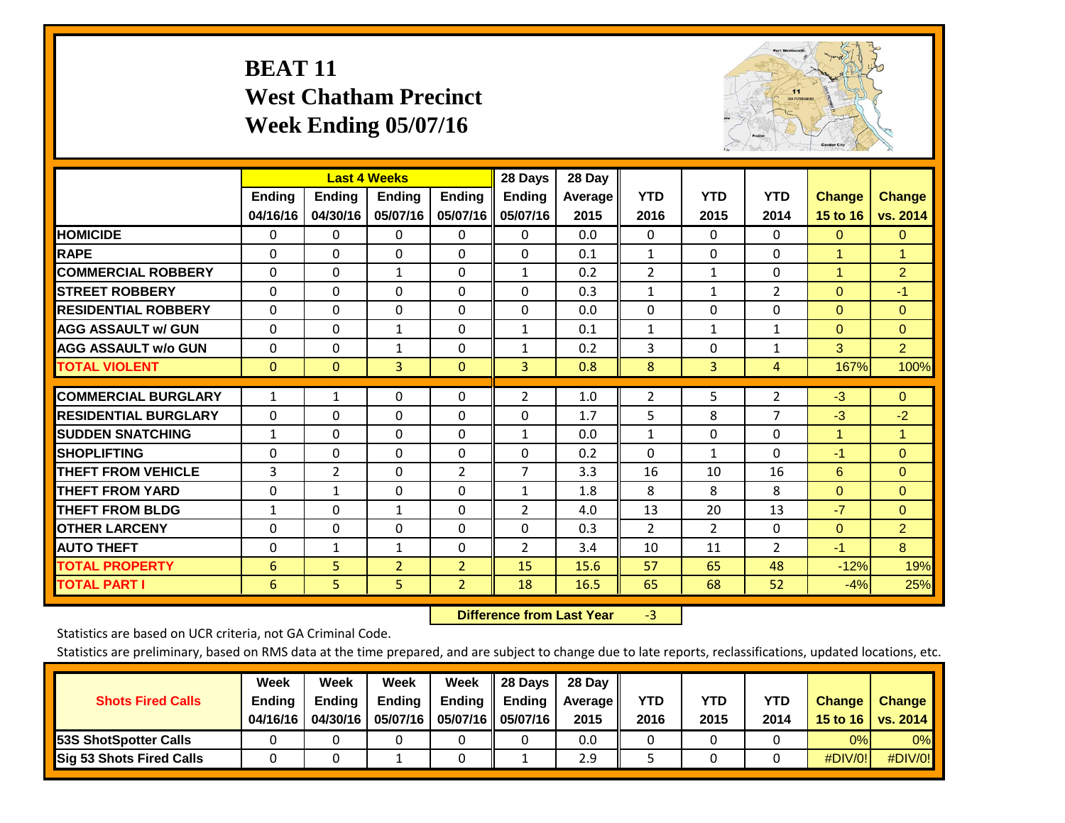## **BEAT 11 West Chatham Precinct Week Ending 05/07/16**



|                             |               | <b>Last 4 Weeks</b> |                |                | 28 Days        | 28 Day     |                |                |                |                |                      |
|-----------------------------|---------------|---------------------|----------------|----------------|----------------|------------|----------------|----------------|----------------|----------------|----------------------|
|                             | <b>Ending</b> | <b>Ending</b>       | <b>Endina</b>  | <b>Ending</b>  | <b>Ending</b>  | Average II | <b>YTD</b>     | <b>YTD</b>     | <b>YTD</b>     | <b>Change</b>  | <b>Change</b>        |
|                             | 04/16/16      | 04/30/16            | 05/07/16       | 05/07/16       | 05/07/16       | 2015       | 2016           | 2015           | 2014           | 15 to 16       | vs. 2014             |
| <b>HOMICIDE</b>             | 0             | 0                   | $\Omega$       | 0              | 0              | 0.0        | $\mathbf{0}$   | 0              | 0              | $\mathbf{0}$   | $\mathbf{0}$         |
| <b>RAPE</b>                 | 0             | $\Omega$            | $\Omega$       | $\Omega$       | $\Omega$       | 0.1        | 1              | $\Omega$       | $\Omega$       | 1              | $\blacktriangleleft$ |
| <b>COMMERCIAL ROBBERY</b>   | $\Omega$      | 0                   | $\mathbf{1}$   | 0              | 1              | 0.2        | $\overline{2}$ | $\mathbf{1}$   | 0              | $\overline{1}$ | $\overline{2}$       |
| <b>ISTREET ROBBERY</b>      | $\Omega$      | $\Omega$            | $\Omega$       | $\Omega$       | $\Omega$       | 0.3        | $\mathbf{1}$   | $\mathbf{1}$   | $\overline{2}$ | $\Omega$       | $-1$                 |
| <b>RESIDENTIAL ROBBERY</b>  | $\Omega$      | $\Omega$            | $\Omega$       | $\mathbf{0}$   | $\Omega$       | 0.0        | $\Omega$       | $\Omega$       | 0              | $\mathbf{0}$   | $\Omega$             |
| <b>AGG ASSAULT w/ GUN</b>   | $\Omega$      | $\Omega$            | $\mathbf{1}$   | $\Omega$       | 1              | 0.1        | $\mathbf{1}$   | $\mathbf{1}$   | 1              | $\Omega$       | $\Omega$             |
| <b>AGG ASSAULT w/o GUN</b>  | 0             | 0                   | 1              | 0              | 1              | 0.2        | 3              | $\Omega$       | 1              | 3              | $\overline{2}$       |
| <b>TOTAL VIOLENT</b>        | $\Omega$      | $\Omega$            | 3              | $\mathbf{0}$   | 3              | 0.8        | 8              | 3              | 4              | 167%           | 100%                 |
| <b>COMMERCIAL BURGLARY</b>  | $\mathbf{1}$  |                     | $\Omega$       |                |                |            |                | 5              |                |                | $\Omega$             |
|                             |               | 1                   |                | 0              | 2              | 1.0        | $\overline{2}$ |                | $\overline{2}$ | $-3$           |                      |
| <b>RESIDENTIAL BURGLARY</b> | $\Omega$      | 0                   | $\mathbf{0}$   | $\mathbf{0}$   | $\Omega$       | 1.7        | 5              | 8              | 7              | $-3$           | $-2$                 |
| <b>SUDDEN SNATCHING</b>     | $\mathbf{1}$  | 0                   | $\mathbf{0}$   | $\mathbf{0}$   | $\mathbf{1}$   | 0.0        | $\mathbf{1}$   | $\Omega$       | 0              | $\overline{1}$ | 1                    |
| <b>SHOPLIFTING</b>          | $\Omega$      | 0                   | $\Omega$       | $\Omega$       | $\Omega$       | 0.2        | $\Omega$       | $\mathbf{1}$   | 0              | $-1$           | $\mathbf{0}$         |
| <b>THEFT FROM VEHICLE</b>   | 3             | $\overline{2}$      | $\Omega$       | 2              | 7              | 3.3        | 16             | 10             | 16             | 6              | $\Omega$             |
| <b>THEFT FROM YARD</b>      | 0             | 1                   | $\mathbf{0}$   | 0              | 1              | 1.8        | 8              | 8              | 8              | $\mathbf{0}$   | $\Omega$             |
| <b>THEFT FROM BLDG</b>      | $\mathbf{1}$  | $\Omega$            | $\mathbf{1}$   | $\mathbf{0}$   | $\overline{2}$ | 4.0        | 13             | 20             | 13             | $-7$           | $\Omega$             |
| <b>OTHER LARCENY</b>        | $\Omega$      | 0                   | $\Omega$       | $\Omega$       | $\Omega$       | 0.3        | 2              | $\overline{2}$ | 0              | $\mathbf{0}$   | $\overline{2}$       |
| <b>AUTO THEFT</b>           | 0             | $\mathbf{1}$        | $\mathbf{1}$   | 0              | 2              | 3.4        | 10             | 11             | $\overline{2}$ | $-1$           | 8                    |
| <b>TOTAL PROPERTY</b>       | 6             | 5 <sup>5</sup>      | $\overline{2}$ | $\overline{2}$ | 15             | 15.6       | 57             | 65             | 48             | $-12%$         | 19%                  |
| <b>TOTAL PART I</b>         | 6             | 5                   | 5              | $\overline{2}$ | 18             | 16.5       | 65             | 68             | 52             | $-4%$          | 25%                  |

 **Difference from Last Year**r -3

Statistics are based on UCR criteria, not GA Criminal Code.

| <b>Shots Fired Calls</b>        | Week<br><b>Ending</b><br>04/16/16 | Week<br><b>Endina</b><br>04/30/16 | Week<br><b>Ending</b><br>05/07/16 | Week<br>Ending | 28 Days<br><b>Ending</b><br>05/07/16    05/07/16 | 28 Day<br><b>Average</b> II<br>2015 | YTD<br>2016 | YTD<br>2015 | YTD<br>2014 | <b>Change</b><br>15 to 16 $\vert$ | <b>Change</b><br><b>vs. 2014</b> |
|---------------------------------|-----------------------------------|-----------------------------------|-----------------------------------|----------------|--------------------------------------------------|-------------------------------------|-------------|-------------|-------------|-----------------------------------|----------------------------------|
| <b>153S ShotSpotter Calls</b>   |                                   |                                   |                                   |                |                                                  | 0.0                                 |             |             |             | 0%                                | 0%                               |
| <b>Sig 53 Shots Fired Calls</b> |                                   |                                   |                                   |                |                                                  | 2.9                                 |             |             |             | #DIV/0!                           | #DIV/0!                          |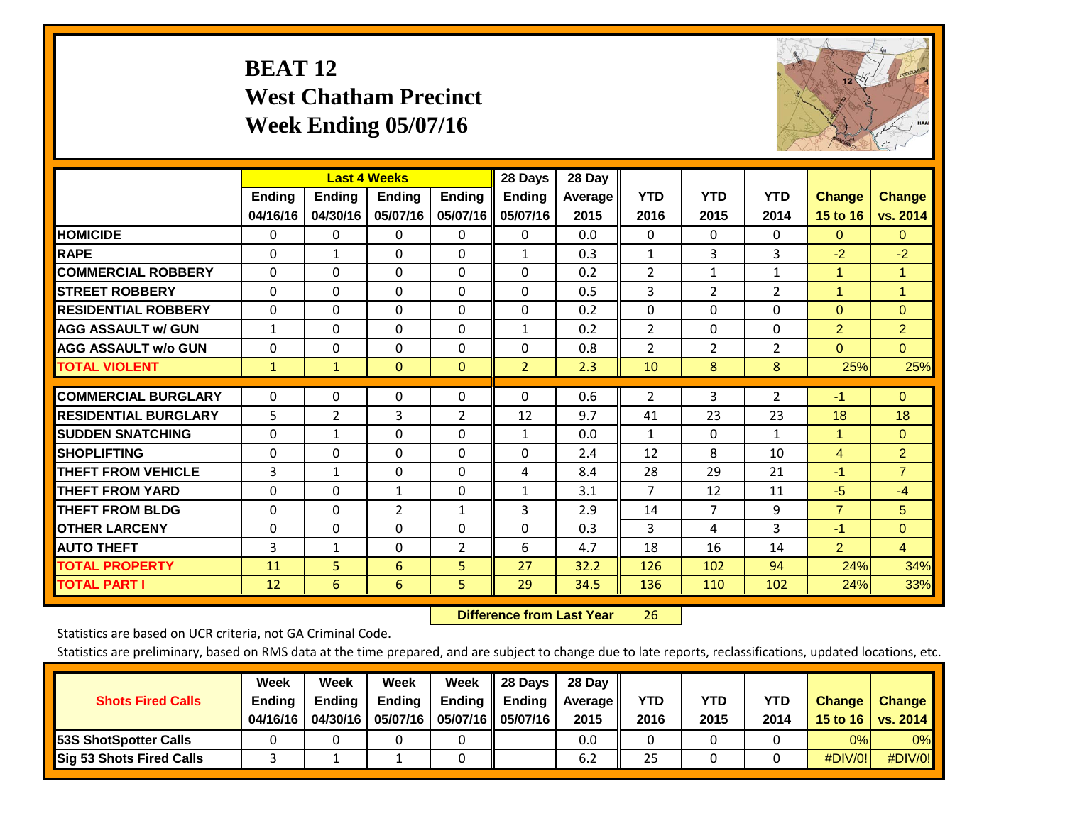## **BEAT 12 West Chatham Precinct Week Ending 05/07/16**



|                             |                           | <b>Last 4 Weeks</b>       |                           |                           | 28 Days                   | 28 Day          |                    |                    |                    |                           |                           |
|-----------------------------|---------------------------|---------------------------|---------------------------|---------------------------|---------------------------|-----------------|--------------------|--------------------|--------------------|---------------------------|---------------------------|
|                             | <b>Ending</b><br>04/16/16 | <b>Ending</b><br>04/30/16 | <b>Endina</b><br>05/07/16 | <b>Ending</b><br>05/07/16 | <b>Endina</b><br>05/07/16 | Average<br>2015 | <b>YTD</b><br>2016 | <b>YTD</b><br>2015 | <b>YTD</b><br>2014 | <b>Change</b><br>15 to 16 | <b>Change</b><br>vs. 2014 |
| <b>HOMICIDE</b>             | 0                         | 0                         | $\Omega$                  | 0                         | 0                         | 0.0             | $\Omega$           | $\Omega$           | 0                  | $\mathbf{0}$              | $\Omega$                  |
| <b>RAPE</b>                 | $\Omega$                  | 1                         | $\Omega$                  | 0                         | $\mathbf{1}$              | 0.3             | $\mathbf{1}$       | 3                  | 3                  | $-2$                      | $-2$                      |
| <b>COMMERCIAL ROBBERY</b>   | $\Omega$                  | $\Omega$                  | $\Omega$                  | $\Omega$                  | $\Omega$                  | 0.2             | $\overline{2}$     | $\mathbf{1}$       | $\mathbf{1}$       | $\overline{1}$            | $\overline{1}$            |
| <b>ISTREET ROBBERY</b>      | $\Omega$                  | $\Omega$                  | $\Omega$                  | $\Omega$                  | $\Omega$                  | 0.5             | 3                  | $\overline{2}$     | $\overline{2}$     | $\overline{1}$            | $\blacktriangleleft$      |
| <b>RESIDENTIAL ROBBERY</b>  | $\Omega$                  | $\Omega$                  | $\mathbf{0}$              | $\Omega$                  | $\Omega$                  | 0.2             | $\Omega$           | $\Omega$           | 0                  | $\Omega$                  | $\Omega$                  |
| <b>AGG ASSAULT w/ GUN</b>   | $\mathbf{1}$              | $\Omega$                  | $\Omega$                  | $\Omega$                  | $\mathbf{1}$              | 0.2             | $\overline{2}$     | $\Omega$           | 0                  | $\overline{2}$            | $\overline{2}$            |
| <b>AGG ASSAULT w/o GUN</b>  | $\mathbf 0$               | $\Omega$                  | $\Omega$                  | $\Omega$                  | $\Omega$                  | 0.8             | $\overline{2}$     | 2                  | 2                  | $\Omega$                  | $\Omega$                  |
| <b>TOTAL VIOLENT</b>        | $\mathbf{1}$              | $\mathbf{1}$              | $\mathbf{0}$              | $\mathbf{0}$              | $\overline{2}$            | 2.3             | 10                 | 8                  | 8                  | 25%                       | 25%                       |
| <b>COMMERCIAL BURGLARY</b>  | $\Omega$                  | $\Omega$                  | $\mathbf{0}$              | $\Omega$                  | $\Omega$                  | 0.6             | 2                  | 3                  | 2                  | $-1$                      | $\Omega$                  |
| <b>RESIDENTIAL BURGLARY</b> | 5                         | 2                         | 3                         | 2                         | 12                        | 9.7             | 41                 | 23                 | 23                 | 18                        | 18                        |
| <b>SUDDEN SNATCHING</b>     | 0                         | 1                         | $\Omega$                  | $\Omega$                  | $\mathbf{1}$              | 0.0             | 1                  | $\Omega$           | 1                  | $\blacktriangleleft$      | $\Omega$                  |
| <b>SHOPLIFTING</b>          | $\Omega$                  | $\Omega$                  | $\Omega$                  | $\Omega$                  | $\Omega$                  | 2.4             | 12                 | 8                  | 10                 | 4                         | $\overline{2}$            |
| <b>THEFT FROM VEHICLE</b>   | 3                         | $\mathbf{1}$              | $\Omega$                  | $\Omega$                  | 4                         | 8.4             | 28                 | 29                 | 21                 | $-1$                      | $\overline{7}$            |
| <b>THEFT FROM YARD</b>      | $\Omega$                  | $\Omega$                  | $\mathbf{1}$              | $\Omega$                  | $\mathbf{1}$              | 3.1             | $\overline{7}$     | 12                 | 11                 | $-5$                      | $-4$                      |
| <b>THEFT FROM BLDG</b>      | 0                         | $\Omega$                  | 2                         | 1                         | 3                         | 2.9             | 14                 | 7                  | 9                  | $\overline{7}$            | 5                         |
| <b>OTHER LARCENY</b>        | 0                         | $\Omega$                  | $\mathbf{0}$              | 0                         | 0                         | 0.3             | $\overline{3}$     | 4                  | 3                  | $-1$                      | $\mathbf{0}$              |
| <b>AUTO THEFT</b>           | 3                         | 1                         | 0                         | 2                         | 6                         | 4.7             | 18                 | 16                 | 14                 | $\overline{2}$            | $\overline{4}$            |
| <b>TOTAL PROPERTY</b>       | 11                        | 5                         | 6                         | 5                         | 27                        | 32.2            | 126                | 102                | 94                 | 24%                       | 34%                       |
| <b>TOTAL PART I</b>         | 12                        | 6                         | 6                         | 5.                        | 29                        | 34.5            | 136                | 110                | 102                | 24%                       | 33%                       |

 **Difference from Last Year**r 26

Statistics are based on UCR criteria, not GA Criminal Code.

|                                 | Week          | Week          | Week     | Week   | 28 Days             | 28 Day     |      |      |      |                  |                 |
|---------------------------------|---------------|---------------|----------|--------|---------------------|------------|------|------|------|------------------|-----------------|
| <b>Shots Fired Calls</b>        | <b>Ending</b> | <b>Ending</b> | Ending   | Ending | <b>Ending</b>       | Average II | YTD  | YTD  | YTD  | <b>Change</b>    | <b>Change</b>   |
|                                 | 04/16/16      | 04/30/16      | 05/07/16 |        | 05/07/16   05/07/16 | 2015       | 2016 | 2015 | 2014 | 15 to 16 $\vert$ | <b>VS. 2014</b> |
| <b>153S ShotSpotter Calls</b>   |               |               |          |        |                     | 0.0        |      |      |      | 0%               | 0%              |
| <b>Sig 53 Shots Fired Calls</b> |               |               |          |        |                     | 6.2        | 25   |      |      | $\#$ DIV/0!      | #DIV/0!         |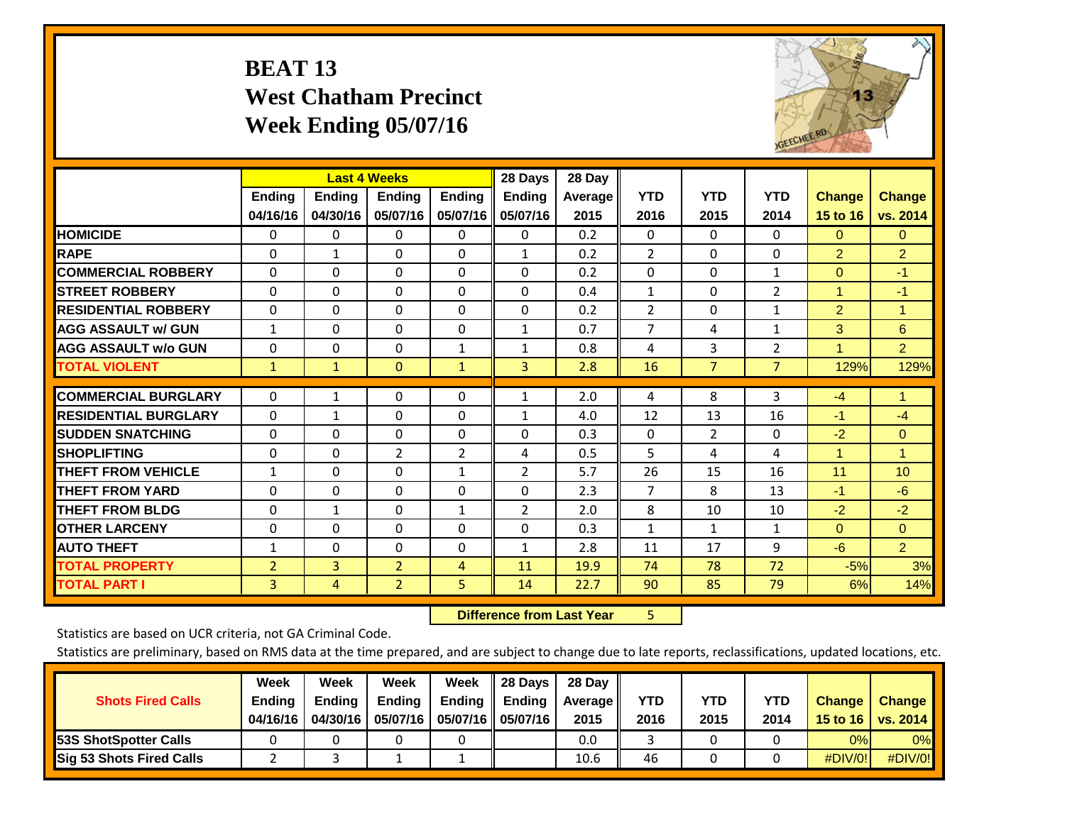## **BEAT 13 West Chatham Precinct Week Ending 05/07/16**



|                             |                           | <b>Last 4 Weeks</b>       |                           |                           | 28 Days                   | 28 Day            |                    |                    |                    |                           |                           |
|-----------------------------|---------------------------|---------------------------|---------------------------|---------------------------|---------------------------|-------------------|--------------------|--------------------|--------------------|---------------------------|---------------------------|
|                             | <b>Ending</b><br>04/16/16 | <b>Ending</b><br>04/30/16 | <b>Endina</b><br>05/07/16 | <b>Endina</b><br>05/07/16 | <b>Endina</b><br>05/07/16 | Average  <br>2015 | <b>YTD</b><br>2016 | <b>YTD</b><br>2015 | <b>YTD</b><br>2014 | <b>Change</b><br>15 to 16 | <b>Change</b><br>vs. 2014 |
| <b>HOMICIDE</b>             | 0                         | 0                         | 0                         | 0                         | 0                         | 0.2               | 0                  | $\Omega$           | 0                  | $\mathbf{0}$              | $\Omega$                  |
| <b>RAPE</b>                 | $\Omega$                  | 1                         | $\Omega$                  | $\Omega$                  | $\mathbf{1}$              | 0.2               | $\overline{2}$     | $\Omega$           | 0                  | $\overline{2}$            | $\overline{2}$            |
| <b>COMMERCIAL ROBBERY</b>   | $\Omega$                  | $\Omega$                  | $\Omega$                  | $\mathbf{0}$              | $\Omega$                  | 0.2               | $\Omega$           | $\Omega$           | $\mathbf{1}$       | $\Omega$                  | $-1$                      |
| <b>STREET ROBBERY</b>       | $\Omega$                  | $\Omega$                  | $\Omega$                  | 0                         | $\Omega$                  | 0.4               | $\mathbf{1}$       | $\Omega$           | 2                  | $\overline{1}$            | -1                        |
| <b>RESIDENTIAL ROBBERY</b>  | 0                         | 0                         | $\Omega$                  | $\mathbf{0}$              | $\Omega$                  | 0.2               | $\overline{2}$     | $\Omega$           | 1                  | $\overline{2}$            | 1                         |
| <b>AGG ASSAULT w/ GUN</b>   | 1                         | $\Omega$                  | $\Omega$                  | $\mathbf{0}$              | $\mathbf{1}$              | 0.7               | $\overline{7}$     | 4                  | 1                  | 3                         | 6                         |
| <b>AGG ASSAULT w/o GUN</b>  | 0                         | 0                         | $\mathbf{0}$              | 1                         | 1                         | 0.8               | 4                  | 3                  | 2                  | 1                         | $\overline{2}$            |
| <b>TOTAL VIOLENT</b>        | $\mathbf{1}$              | $\mathbf{1}$              | $\mathbf{0}$              | $\mathbf{1}$              | 3                         | 2.8               | 16                 | $\overline{7}$     | $\overline{7}$     | 129%                      | 129%                      |
| <b>COMMERCIAL BURGLARY</b>  | $\Omega$                  | 1                         | $\mathbf{0}$              | $\mathbf{0}$              | $\mathbf{1}$              | 2.0               | 4                  | 8                  | 3                  | $-4$                      | $\blacktriangleleft$      |
| <b>RESIDENTIAL BURGLARY</b> |                           |                           |                           |                           |                           |                   | 12                 | 13                 | 16                 |                           |                           |
|                             | 0                         | 1                         | $\mathbf{0}$              | $\mathbf{0}$              | 1                         | 4.0               |                    |                    |                    | $-1$                      | $-4$                      |
| <b>ISUDDEN SNATCHING</b>    | 0                         | $\Omega$                  | $\Omega$                  | $\mathbf{0}$              | 0                         | 0.3               | $\Omega$           | $\overline{2}$     | 0                  | $-2$                      | $\mathbf{0}$              |
| <b>SHOPLIFTING</b>          | $\Omega$                  | $\Omega$                  | $\overline{2}$            | 2                         | 4                         | 0.5               | 5                  | 4                  | 4                  | $\overline{1}$            | $\blacktriangleleft$      |
| <b>THEFT FROM VEHICLE</b>   | 1                         | 0                         | $\Omega$                  | 1                         | 2                         | 5.7               | 26                 | 15                 | 16                 | 11                        | 10                        |
| <b>THEFT FROM YARD</b>      | $\Omega$                  | 0                         | $\Omega$                  | $\mathbf 0$               | $\Omega$                  | 2.3               | $\overline{7}$     | 8                  | 13                 | $-1$                      | $-6$                      |
| <b>THEFT FROM BLDG</b>      | 0                         | $\mathbf{1}$              | $\mathbf{0}$              | 1                         | 2                         | 2.0               | 8                  | 10                 | 10                 | $-2$                      | $-2$                      |
| <b>OTHER LARCENY</b>        | 0                         | $\Omega$                  | $\Omega$                  | $\Omega$                  | 0                         | 0.3               | 1                  | $\mathbf{1}$       | $\mathbf{1}$       | $\Omega$                  | $\Omega$                  |
| <b>AUTO THEFT</b>           | $\mathbf{1}$              | 0                         | $\Omega$                  | 0                         | 1                         | 2.8               | 11                 | 17                 | 9                  | $-6$                      | $\overline{2}$            |
| <b>TOTAL PROPERTY</b>       | $\overline{2}$            | 3                         | $\overline{2}$            | 4                         | 11                        | 19.9              | 74                 | 78                 | 72                 | $-5%$                     | 3%                        |
| <b>TOTAL PART I</b>         | 3                         | 4                         | $\overline{2}$            | 5                         | 14                        | 22.7              | 90                 | 85                 | 79                 | 6%                        | 14%                       |

 **Difference from Last Year**r 5

Statistics are based on UCR criteria, not GA Criminal Code.

| <b>Shots Fired Calls</b>        | Week<br><b>Ending</b><br>04/16/16 | Week<br><b>Endina</b><br>04/30/16 | Week<br><b>Ending</b><br>05/07/16 | Week<br>Ending | 28 Days<br><b>Ending</b><br>05/07/16    05/07/16 | 28 Day<br><b>Average</b> II<br>2015 | YTD<br>2016 | YTD<br>2015 | YTD<br>2014 | <b>Change</b><br>15 to 16 $\vert$ | <b>Change</b><br><b>vs. 2014</b> |
|---------------------------------|-----------------------------------|-----------------------------------|-----------------------------------|----------------|--------------------------------------------------|-------------------------------------|-------------|-------------|-------------|-----------------------------------|----------------------------------|
| <b>153S ShotSpotter Calls</b>   |                                   |                                   |                                   |                |                                                  | 0.0                                 |             |             |             | 0%                                | 0%                               |
| <b>Sig 53 Shots Fired Calls</b> |                                   |                                   |                                   |                |                                                  | 10.6                                | 46          |             |             | #DIV/0!                           | #DIV/0!                          |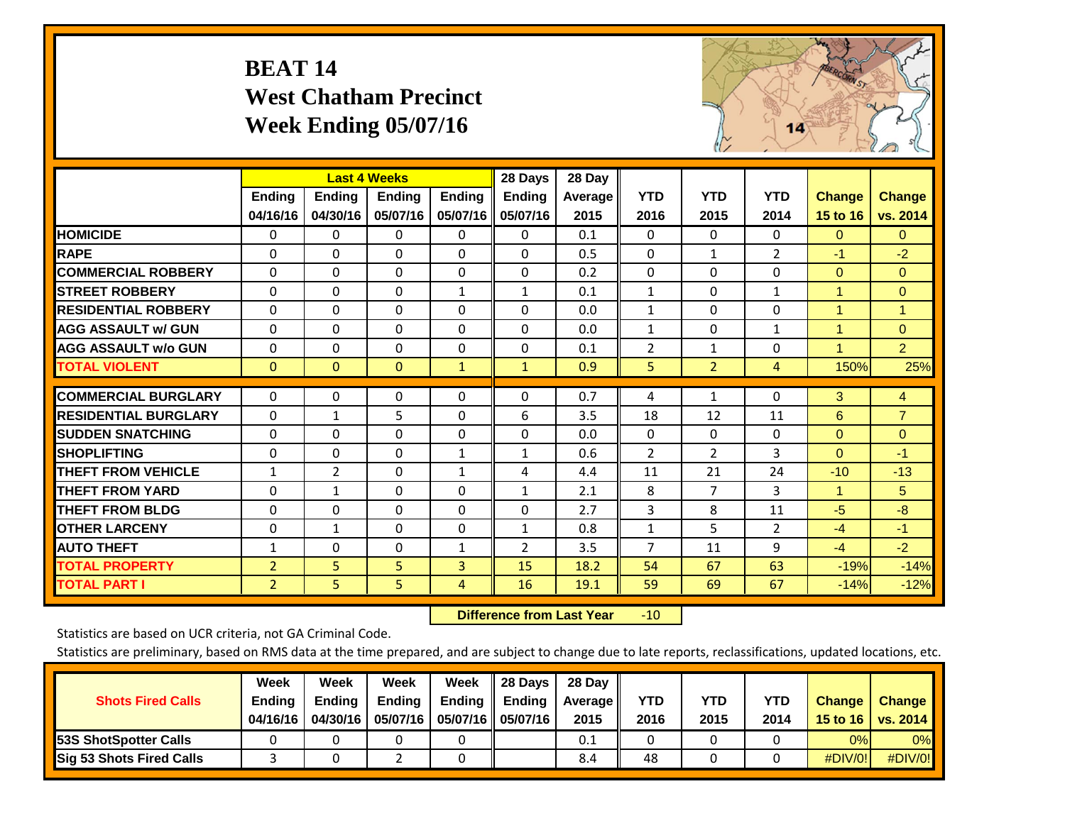## **BEAT 14 West Chatham Precinct Week Ending 05/07/16**



|                             |                | <b>Last 4 Weeks</b> |               |                | 28 Days       | 28 Day         |                |                |                |                      |                |
|-----------------------------|----------------|---------------------|---------------|----------------|---------------|----------------|----------------|----------------|----------------|----------------------|----------------|
|                             | Ending         | Ending              | <b>Ending</b> | <b>Ending</b>  | <b>Ending</b> | <b>Average</b> | <b>YTD</b>     | <b>YTD</b>     | <b>YTD</b>     | <b>Change</b>        | <b>Change</b>  |
|                             | 04/16/16       | 04/30/16            | 05/07/16      | 05/07/16       | 05/07/16      | 2015           | 2016           | 2015           | 2014           | 15 to 16             | vs. 2014       |
| <b>HOMICIDE</b>             | 0              | $\Omega$            | 0             | $\Omega$       | $\Omega$      | 0.1            | $\mathbf{0}$   | $\Omega$       | $\Omega$       | $\Omega$             | 0              |
| <b>RAPE</b>                 | $\Omega$       | 0                   | $\mathbf{0}$  | 0              | $\Omega$      | 0.5            | 0              | $\mathbf{1}$   | $\overline{2}$ | -1                   | $-2$           |
| <b>COMMERCIAL ROBBERY</b>   | $\Omega$       | $\Omega$            | 0             | $\Omega$       | $\Omega$      | 0.2            | $\mathbf{0}$   | $\Omega$       | $\Omega$       | $\mathbf{0}$         | $\mathbf{0}$   |
| <b>STREET ROBBERY</b>       | 0              | $\Omega$            | 0             | 1              | $\mathbf{1}$  | 0.1            | 1              | 0              | 1              | 1                    | $\Omega$       |
| <b>RESIDENTIAL ROBBERY</b>  | $\Omega$       | $\Omega$            | $\mathbf{0}$  | $\Omega$       | $\Omega$      | 0.0            | $\mathbf{1}$   | $\Omega$       | $\Omega$       | $\blacktriangleleft$ | $\mathbf{1}$   |
| <b>AGG ASSAULT w/ GUN</b>   | $\Omega$       | $\Omega$            | $\mathbf{0}$  | $\Omega$       | $\Omega$      | 0.0            | $\mathbf{1}$   | 0              | $\mathbf{1}$   | 1                    | $\Omega$       |
| <b>AGG ASSAULT w/o GUN</b>  | $\Omega$       | 0                   | $\Omega$      | $\Omega$       | $\Omega$      | 0.1            | $\overline{2}$ | 1              | $\Omega$       | 1                    | $\overline{2}$ |
| <b>TOTAL VIOLENT</b>        | $\mathbf{0}$   | $\mathbf{0}$        | $\mathbf{0}$  | $\mathbf{1}$   | $\mathbf{1}$  | 0.9            | 5              | $\overline{2}$ | 4              | 150%                 | 25%            |
|                             |                |                     |               |                |               |                |                |                |                |                      |                |
| <b>COMMERCIAL BURGLARY</b>  | $\Omega$       | $\Omega$            | 0             | $\Omega$       | $\Omega$      | 0.7            | 4              | $\mathbf{1}$   | $\Omega$       | 3                    | $\overline{4}$ |
| <b>RESIDENTIAL BURGLARY</b> | $\Omega$       | 1                   | 5             | $\Omega$       | 6             | 3.5            | 18             | 12             | 11             | 6                    | $\overline{7}$ |
| <b>SUDDEN SNATCHING</b>     | $\Omega$       | $\Omega$            | $\mathbf{0}$  | $\Omega$       | $\Omega$      | 0.0            | $\mathbf{0}$   | 0              | $\Omega$       | $\Omega$             | $\Omega$       |
| <b>SHOPLIFTING</b>          | $\Omega$       | $\Omega$            | $\mathbf{0}$  | 1              | 1             | 0.6            | $\overline{2}$ | $\overline{2}$ | 3              | $\Omega$             | $-1$           |
| <b>THEFT FROM VEHICLE</b>   | $\mathbf{1}$   | $\overline{2}$      | $\Omega$      | $\mathbf{1}$   | 4             | 4.4            | 11             | 21             | 24             | $-10$                | $-13$          |
| <b>THEFT FROM YARD</b>      | $\Omega$       | $\mathbf{1}$        | $\Omega$      | $\Omega$       | $\mathbf{1}$  | 2.1            | 8              | $\overline{7}$ | 3              | $\blacktriangleleft$ | 5              |
| <b>THEFT FROM BLDG</b>      | 0              | $\Omega$            | $\mathbf{0}$  | $\Omega$       | $\Omega$      | 2.7            | 3              | 8              | 11             | $-5$                 | $-8$           |
| <b>OTHER LARCENY</b>        | $\Omega$       | $\mathbf{1}$        | $\mathbf{0}$  | $\Omega$       | $\mathbf{1}$  | 0.8            | $\mathbf{1}$   | 5              | 2              | $-4$                 | $-1$           |
| <b>AUTO THEFT</b>           | $\mathbf{1}$   | $\Omega$            | $\Omega$      | 1              | 2             | 3.5            | 7              | 11             | 9              | $-4$                 | $-2$           |
| <b>TOTAL PROPERTY</b>       | $\overline{2}$ | 5                   | 5             | 3              | 15            | 18.2           | 54             | 67             | 63             | $-19%$               | $-14%$         |
| <b>TOTAL PART I</b>         | $\overline{2}$ | 5.                  | 5             | $\overline{4}$ | 16            | 19.1           | 59             | 69             | 67             | $-14%$               | $-12%$         |

 **Difference from Last Year**r -10

Statistics are based on UCR criteria, not GA Criminal Code.

|                                 | Week          | Week          | Week          | Week   | 28 Days              | 28 Day            |      |      |      |                  |                 |
|---------------------------------|---------------|---------------|---------------|--------|----------------------|-------------------|------|------|------|------------------|-----------------|
| <b>Shots Fired Calls</b>        | <b>Ending</b> | <b>Endina</b> | <b>Ending</b> | Ending | <b>Ending</b>        | <b>Average</b> II | YTD  | YTD  | YTD  | <b>Change</b>    | <b>Change</b>   |
|                                 | 04/16/16      | 04/30/16      | 05/07/16      |        | 05/07/16    05/07/16 | 2015              | 2016 | 2015 | 2014 | 15 to 16 $\vert$ | <b>vs. 2014</b> |
| <b>153S ShotSpotter Calls</b>   |               |               |               |        |                      | 0.1               |      |      |      | 0%               | 0%              |
| <b>Sig 53 Shots Fired Calls</b> |               |               |               |        |                      | 8.4               | 48   |      |      | #DIV/0!          | #DIV/0!         |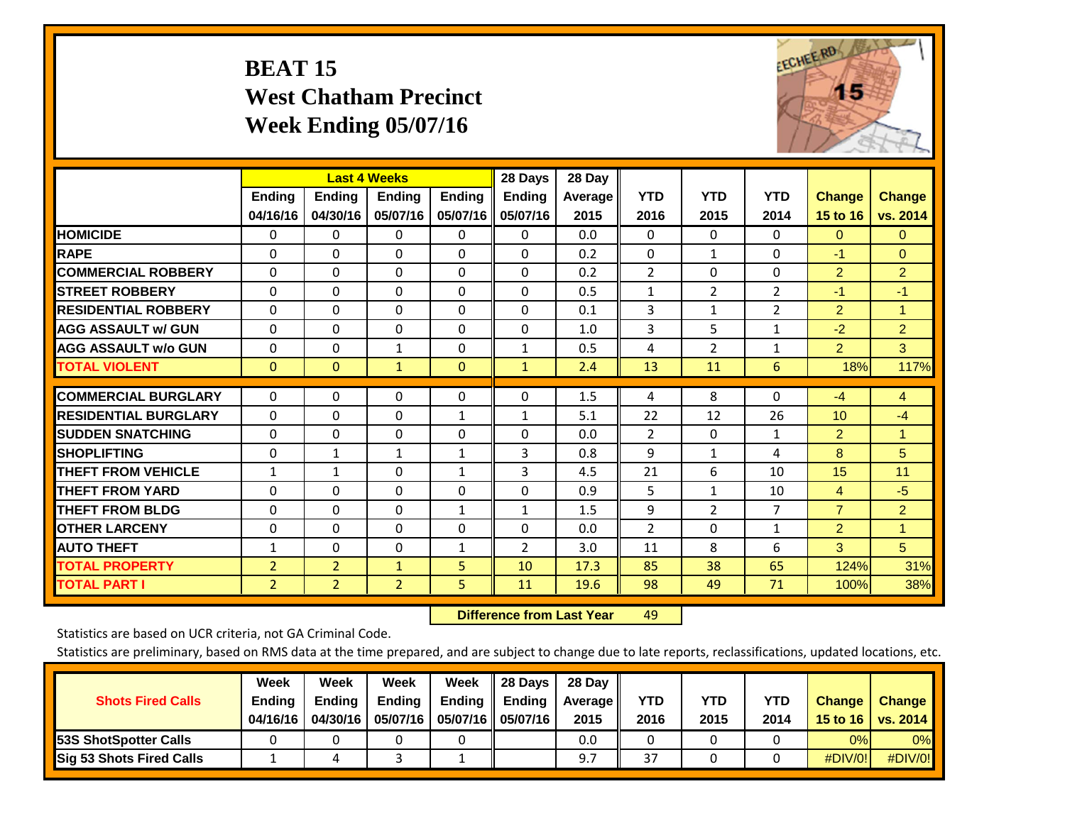# **BEAT 15 West Chatham Precinct Week Ending 05/07/16**



|                             |                |                | <b>Last 4 Weeks</b> |               | 28 Days       | 28 Day  |                |                |                |                |                |
|-----------------------------|----------------|----------------|---------------------|---------------|---------------|---------|----------------|----------------|----------------|----------------|----------------|
|                             | <b>Ending</b>  | <b>Ending</b>  | <b>Endina</b>       | <b>Endina</b> | <b>Endina</b> | Average | <b>YTD</b>     | <b>YTD</b>     | <b>YTD</b>     | <b>Change</b>  | <b>Change</b>  |
|                             | 04/16/16       | 04/30/16       | 05/07/16            | 05/07/16      | 05/07/16      | 2015    | 2016           | 2015           | 2014           | 15 to 16       | vs. 2014       |
| <b>HOMICIDE</b>             | $\Omega$       | 0              | 0                   | 0             | $\Omega$      | 0.0     | $\Omega$       | 0              | 0              | $\Omega$       | $\mathbf{0}$   |
| <b>RAPE</b>                 | $\Omega$       | $\Omega$       | $\Omega$            | $\Omega$      | 0             | 0.2     | $\Omega$       | $\mathbf{1}$   | $\Omega$       | $-1$           | $\Omega$       |
| <b>COMMERCIAL ROBBERY</b>   | $\Omega$       | $\Omega$       | $\Omega$            | $\Omega$      | $\Omega$      | 0.2     | $\overline{2}$ | $\Omega$       | $\Omega$       | $\overline{2}$ | $\overline{2}$ |
| <b>ISTREET ROBBERY</b>      | $\Omega$       | $\Omega$       | $\Omega$            | $\Omega$      | $\Omega$      | 0.5     | 1              | 2              | $\overline{2}$ | $-1$           | $-1$           |
| <b>RESIDENTIAL ROBBERY</b>  | 0              | $\Omega$       | $\Omega$            | $\Omega$      | 0             | 0.1     | 3              | 1              | $\overline{2}$ | 2              | 1              |
| <b>AGG ASSAULT w/ GUN</b>   | $\Omega$       | $\Omega$       | $\Omega$            | $\Omega$      | 0             | 1.0     | 3              | 5              | $\mathbf{1}$   | $-2$           | $\overline{2}$ |
| <b>AGG ASSAULT w/o GUN</b>  | $\Omega$       | $\Omega$       | $\mathbf{1}$        | $\Omega$      | $\mathbf{1}$  | 0.5     | 4              | $\overline{2}$ | $\mathbf{1}$   | $\overline{2}$ | 3              |
| <b>TOTAL VIOLENT</b>        | $\mathbf{0}$   | $\Omega$       | $\mathbf{1}$        | $\Omega$      | $\mathbf{1}$  | 2.4     | 13             | 11             | 6              | 18%            | 117%           |
|                             |                |                |                     |               |               |         |                |                |                |                |                |
| <b>COMMERCIAL BURGLARY</b>  | $\Omega$       | $\Omega$       | $\Omega$            | $\Omega$      | 0             | 1.5     | 4              | 8              | $\Omega$       | $-4$           | $\overline{4}$ |
| <b>RESIDENTIAL BURGLARY</b> | $\Omega$       | 0              | $\Omega$            | 1             | 1             | 5.1     | 22             | 12             | 26             | 10             | $-4$           |
| <b>SUDDEN SNATCHING</b>     | $\Omega$       | $\Omega$       | $\Omega$            | 0             | 0             | 0.0     | 2              | $\Omega$       | $\mathbf{1}$   | $\overline{2}$ | 1              |
| <b>SHOPLIFTING</b>          | 0              | $\mathbf{1}$   | 1                   | 1             | 3             | 0.8     | 9              | 1              | 4              | 8              | 5              |
| <b>THEFT FROM VEHICLE</b>   | $\mathbf{1}$   | $\mathbf{1}$   | $\Omega$            | $\mathbf{1}$  | 3             | 4.5     | 21             | 6              | 10             | 15             | 11             |
| <b>THEFT FROM YARD</b>      | $\Omega$       | $\Omega$       | $\Omega$            | $\Omega$      | $\Omega$      | 0.9     | 5              | $\mathbf{1}$   | 10             | $\overline{4}$ | $-5$           |
| <b>THEFT FROM BLDG</b>      | $\mathbf 0$    | $\Omega$       | $\Omega$            | 1             | $\mathbf{1}$  | 1.5     | 9              | $\overline{2}$ | $\overline{7}$ | $\overline{7}$ | $\overline{2}$ |
| <b>OTHER LARCENY</b>        | $\Omega$       | $\Omega$       | $\Omega$            | $\Omega$      | $\Omega$      | 0.0     | $\overline{2}$ | 0              | $\mathbf{1}$   | $\overline{2}$ | 1              |
| <b>AUTO THEFT</b>           | $\mathbf{1}$   | $\Omega$       | $\Omega$            | 1             | 2             | 3.0     | 11             | 8              | 6              | 3              | 5              |
| <b>TOTAL PROPERTY</b>       | $\overline{2}$ | $\overline{2}$ | $\mathbf{1}$        | 5             | 10            | 17.3    | 85             | 38             | 65             | 124%           | 31%            |
| <b>TOTAL PART I</b>         | 2              | $\overline{2}$ | $\overline{2}$      | 5             | 11            | 19.6    | 98             | 49             | 71             | 100%           | 38%            |

 **Difference from Last Yearr** 49

Statistics are based on UCR criteria, not GA Criminal Code.

| <b>Shots Fired Calls</b>        | Week<br><b>Ending</b><br>04/16/16 | Week<br><b>Endina</b><br>04/30/16 | Week<br><b>Ending</b><br>05/07/16 | Week<br>Ending | 28 Days<br><b>Ending</b><br>05/07/16    05/07/16 | 28 Day<br><b>Average</b> II<br>2015 | YTD<br>2016 | YTD<br>2015 | YTD<br>2014 | <b>Change</b><br>15 to 16 $\vert$ | <b>Change</b><br><b>vs. 2014</b> |
|---------------------------------|-----------------------------------|-----------------------------------|-----------------------------------|----------------|--------------------------------------------------|-------------------------------------|-------------|-------------|-------------|-----------------------------------|----------------------------------|
| <b>153S ShotSpotter Calls</b>   |                                   |                                   |                                   |                |                                                  | 0.0                                 |             |             |             | 0%                                | 0%                               |
| <b>Sig 53 Shots Fired Calls</b> |                                   |                                   |                                   |                |                                                  | 9.7                                 | 37          |             |             | #DIV/0!                           | #DIV/0!                          |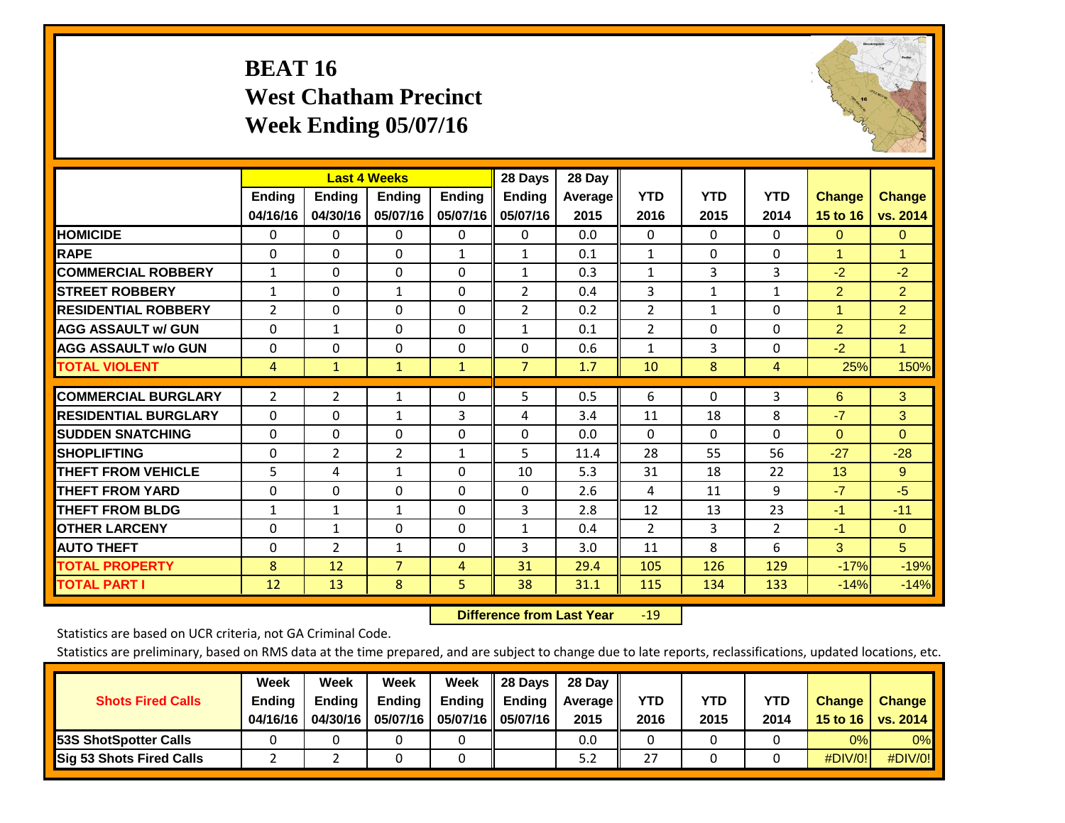## **BEAT 16 West Chatham Precinct Week Ending 05/07/16**



|                             |                           | <b>Last 4 Weeks</b>       |                           |                           | 28 Days                   | 28 Day             |                    |                    |                    |                           |                           |
|-----------------------------|---------------------------|---------------------------|---------------------------|---------------------------|---------------------------|--------------------|--------------------|--------------------|--------------------|---------------------------|---------------------------|
|                             | <b>Ending</b><br>04/16/16 | <b>Ending</b><br>04/30/16 | <b>Endina</b><br>05/07/16 | <b>Ending</b><br>05/07/16 | <b>Endina</b><br>05/07/16 | Average II<br>2015 | <b>YTD</b><br>2016 | <b>YTD</b><br>2015 | <b>YTD</b><br>2014 | <b>Change</b><br>15 to 16 | <b>Change</b><br>vs. 2014 |
| <b>HOMICIDE</b>             | 0                         | 0                         | $\Omega$                  | 0                         | 0                         | 0.0                | $\mathbf{0}$       | $\Omega$           | 0                  | $\mathbf{0}$              | $\Omega$                  |
| <b>RAPE</b>                 | 0                         | $\Omega$                  | $\Omega$                  | 1                         | $\mathbf{1}$              | 0.1                | $\mathbf{1}$       | $\Omega$           | $\Omega$           | 1                         | 1                         |
| <b>COMMERCIAL ROBBERY</b>   | 1                         | 0                         | $\Omega$                  | $\mathbf{0}$              | $\mathbf{1}$              | 0.3                | $\mathbf{1}$       | 3                  | 3                  | $-2$                      | $-2$                      |
| <b>ISTREET ROBBERY</b>      | $\mathbf{1}$              | $\Omega$                  | $\mathbf{1}$              | $\Omega$                  | 2                         | 0.4                | 3                  | $\mathbf{1}$       | $\mathbf{1}$       | $\overline{2}$            | $\overline{2}$            |
| <b>RESIDENTIAL ROBBERY</b>  | 2                         | 0                         | $\mathbf{0}$              | $\mathbf{0}$              | 2                         | 0.2                | $\overline{2}$     | $\mathbf{1}$       | 0                  | 1                         | $\overline{2}$            |
| <b>AGG ASSAULT w/ GUN</b>   | $\Omega$                  | $\mathbf{1}$              | $\Omega$                  | $\mathbf{0}$              | $\mathbf{1}$              | 0.1                | $\overline{2}$     | $\Omega$           | 0                  | $\overline{2}$            | $\overline{2}$            |
| <b>AGG ASSAULT w/o GUN</b>  | $\Omega$                  | 0                         | $\mathbf{0}$              | $\Omega$                  | $\Omega$                  | 0.6                | $\mathbf{1}$       | 3                  | 0                  | $-2$                      | $\mathbf{1}$              |
| <b>TOTAL VIOLENT</b>        | 4                         | $\mathbf{1}$              | $\mathbf{1}$              | $\mathbf{1}$              | $\overline{7}$            | 1.7                | 10                 | 8                  | 4                  | 25%                       | 150%                      |
| <b>COMMERCIAL BURGLARY</b>  | $\overline{2}$            | $\overline{2}$            | 1                         | 0                         | 5                         | 0.5                | 6                  | $\Omega$           | 3                  | 6                         | 3                         |
| <b>RESIDENTIAL BURGLARY</b> | 0                         | 0                         | 1                         | 3                         | 4                         | 3.4                | 11                 | 18                 | 8                  | $-7$                      | 3                         |
| <b>SUDDEN SNATCHING</b>     | 0                         | 0                         | $\mathbf{0}$              | $\mathbf{0}$              | $\Omega$                  | 0.0                | 0                  | $\Omega$           | $\Omega$           | $\Omega$                  | $\Omega$                  |
| <b>SHOPLIFTING</b>          | 0                         | $\overline{2}$            | $\overline{2}$            | 1                         | 5                         | 11.4               | 28                 | 55                 | 56                 | $-27$                     | $-28$                     |
| <b>THEFT FROM VEHICLE</b>   | 5                         | 4                         | $\mathbf{1}$              | $\mathbf{0}$              | 10                        | 5.3                | 31                 | 18                 | 22                 | 13                        | 9                         |
| <b>THEFT FROM YARD</b>      | $\Omega$                  | $\Omega$                  | $\mathbf{0}$              | $\Omega$                  | $\Omega$                  | 2.6                | 4                  | 11                 | 9                  | $-7$                      | $-5$                      |
| <b>THEFT FROM BLDG</b>      | 1                         | $\mathbf{1}$              | $\mathbf{1}$              | $\Omega$                  | 3                         | 2.8                | 12                 | 13                 | 23                 | $-1$                      | $-11$                     |
| <b>OTHER LARCENY</b>        | $\Omega$                  | 1                         | $\Omega$                  | $\Omega$                  | $\mathbf{1}$              | 0.4                | $\overline{2}$     | 3                  | $\overline{2}$     | $-1$                      | $\Omega$                  |
| <b>AUTO THEFT</b>           | 0                         | $\overline{2}$            | 1                         | $\mathbf 0$               | 3                         | 3.0                | 11                 | 8                  | 6                  | 3                         | 5 <sup>5</sup>            |
| <b>TOTAL PROPERTY</b>       | 8                         | 12                        | $\overline{7}$            | 4                         | 31                        | 29.4               | 105                | 126                | 129                | $-17%$                    | $-19%$                    |
| <b>TOTAL PART I</b>         | 12                        | 13                        | 8                         | 5                         | 38                        | 31.1               | 115                | 134                | 133                | $-14%$                    | $-14%$                    |

 **Difference from Last Year**r -19

Statistics are based on UCR criteria, not GA Criminal Code.

|                                 | Week          | Week          | Week     | Week   | 28 Days             | 28 Day     |      |      |      |                  |                 |
|---------------------------------|---------------|---------------|----------|--------|---------------------|------------|------|------|------|------------------|-----------------|
| <b>Shots Fired Calls</b>        | <b>Ending</b> | <b>Ending</b> | Ending   | Ending | <b>Ending</b>       | Average II | YTD  | YTD  | YTD  | <b>Change</b>    | <b>Change</b>   |
|                                 | 04/16/16      | 04/30/16      | 05/07/16 |        | 05/07/16   05/07/16 | 2015       | 2016 | 2015 | 2014 | 15 to 16 $\vert$ | <b>VS. 2014</b> |
| <b>153S ShotSpotter Calls</b>   |               |               |          |        |                     | 0.0        |      |      |      | 0%               | 0%              |
| <b>Sig 53 Shots Fired Calls</b> |               |               |          |        |                     | 5.2        | 27   |      |      | $\#$ DIV/0!      | #DIV/0!         |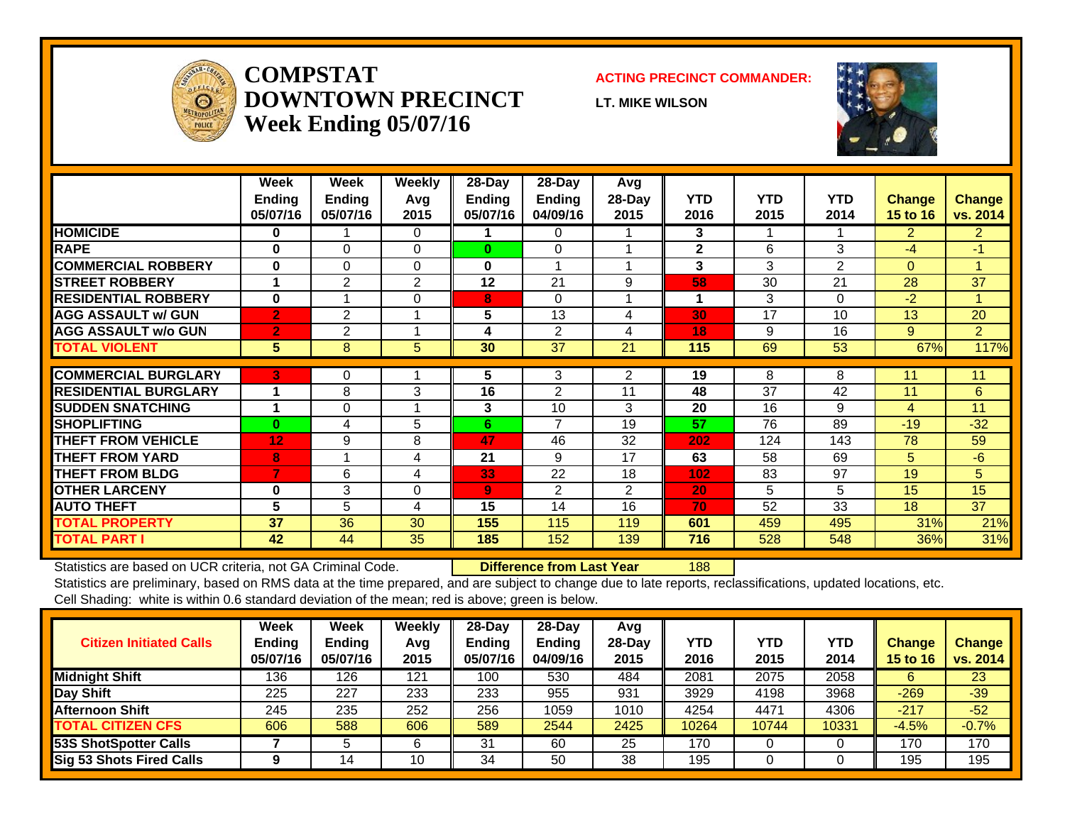

#### **COMPSTATDOWNTOWN PRECINCTWeek Ending 05/07/16**

#### **ACTING PRECINCT COMMANDER:**

**LT. MIKE WILSON**



|                             | Week<br><b>Ending</b><br>05/07/16 | Week<br><b>Ending</b><br>05/07/16 | Weekly<br>Avg<br>2015 | 28-Day<br><b>Ending</b><br>05/07/16 | 28-Day<br>Ending<br>04/09/16 | Avg<br>28-Day<br>2015 | <b>YTD</b><br>2016 | <b>YTD</b><br>2015 | <b>YTD</b><br>2014 | <b>Change</b><br><b>15 to 16</b> | <b>Change</b><br>vs. 2014 |
|-----------------------------|-----------------------------------|-----------------------------------|-----------------------|-------------------------------------|------------------------------|-----------------------|--------------------|--------------------|--------------------|----------------------------------|---------------------------|
| <b>HOMICIDE</b>             | 0                                 |                                   | $\Omega$              |                                     | 0                            |                       | 3                  |                    |                    | $\overline{2}$                   | $\overline{2}$            |
| <b>RAPE</b>                 | $\bf{0}$                          | 0                                 | $\mathbf 0$           | $\bf{0}$                            | $\Omega$                     |                       | $\mathbf{2}$       | 6                  | 3                  | -4                               | $-1$                      |
| <b>COMMERCIAL ROBBERY</b>   | $\bf{0}$                          | $\Omega$                          | $\Omega$              | 0                                   | 1                            |                       | 3                  | 3                  | $\overline{2}$     | $\Omega$                         |                           |
| <b>STREET ROBBERY</b>       |                                   | $\overline{2}$                    | 2                     | 12                                  | 21                           | 9                     | 58                 | 30                 | 21                 | 28                               | 37                        |
| <b>RESIDENTIAL ROBBERY</b>  | $\bf{0}$                          |                                   | $\Omega$              | 8                                   | $\Omega$                     |                       | 1                  | 3                  | $\Omega$           | $-2$                             |                           |
| <b>AGG ASSAULT w/ GUN</b>   | $\overline{2}$                    | 2                                 |                       | 5                                   | 13                           | 4                     | 30                 | 17                 | 10                 | 13                               | 20                        |
| <b>AGG ASSAULT w/o GUN</b>  | $\overline{2}$                    | $\overline{2}$                    |                       | 4                                   | 2                            | 4                     | 18                 | 9                  | 16                 | 9                                | $\overline{2}$            |
| <b>TOTAL VIOLENT</b>        | 5                                 | 8                                 | 5                     | 30                                  | 37                           | 21                    | 115                | 69                 | 53                 | 67%                              | 117%                      |
| <b>COMMERCIAL BURGLARY</b>  | 3                                 |                                   |                       |                                     |                              |                       |                    | 8                  | 8                  | 11                               | 11                        |
|                             |                                   | 0                                 |                       | 5                                   | 3                            | 2                     | 19                 |                    |                    |                                  |                           |
| <b>RESIDENTIAL BURGLARY</b> |                                   | 8                                 | 3                     | 16                                  | $\overline{2}$               | 11                    | 48                 | 37                 | 42                 | 11                               | 6                         |
| <b>SUDDEN SNATCHING</b>     | 4                                 | $\Omega$                          |                       | 3                                   | 10                           | 3                     | 20                 | 16                 | 9                  | 4                                | 11                        |
| <b>SHOPLIFTING</b>          | $\bf{0}$                          | 4                                 | 5                     | 6                                   | $\overline{\phantom{a}}$     | 19                    | 57                 | 76                 | 89                 | $-19$                            | $-32$                     |
| <b>THEFT FROM VEHICLE</b>   | 12                                | 9                                 | 8                     | 47                                  | 46                           | 32                    | 202                | 124                | 143                | 78                               | 59                        |
| <b>THEFT FROM YARD</b>      | 8                                 |                                   | 4                     | 21                                  | 9                            | 17                    | 63                 | 58                 | 69                 | 5                                | $-6$                      |
| <b>THEFT FROM BLDG</b>      | 7                                 | 6                                 | 4                     | 33                                  | 22                           | 18                    | 102                | 83                 | 97                 | 19                               | 5                         |
| <b>OTHER LARCENY</b>        | $\bf{0}$                          | 3                                 | $\Omega$              | 9                                   | $\mathfrak{p}$               | $\overline{2}$        | 20                 | 5                  | 5                  | 15                               | 15                        |
| <b>AUTO THEFT</b>           | $5\phantom{.0}$                   | 5                                 | 4                     | 15                                  | 14                           | 16                    | 70                 | 52                 | 33                 | 18                               | 37                        |
| <b>TOTAL PROPERTY</b>       | 37                                | 36                                | 30                    | 155                                 | 115                          | 119                   | 601                | 459                | 495                | 31%                              | 21%                       |
| <b>TOTAL PART I</b>         | 42                                | 44                                | 35                    | 185                                 | 152                          | 139                   | 716                | 528                | 548                | 36%                              | 31%                       |

Statistics are based on UCR criteria, not GA Criminal Code. **Difference from Last Year** 188

Statistics are preliminary, based on RMS data at the time prepared, and are subject to change due to late reports, reclassifications, updated locations, etc. Cell Shading: white is within 0.6 standard deviation of the mean; red is above; green is below.

| <b>Citizen Initiated Calls</b>  | Week<br><b>Ending</b><br>05/07/16 | <b>Week</b><br><b>Ending</b><br>05/07/16 | Weekly<br>Avg<br>2015 | $28$ -Day<br><b>Ending</b><br>05/07/16 | 28-Day<br><b>Ending</b><br>04/09/16 | Avg<br>28-Day<br>2015 | YTD<br>2016 | <b>YTD</b><br>2015 | <b>YTD</b><br>2014 | <b>Change</b><br><b>15 to 16</b> | <b>Change</b><br>vs. 2014 |
|---------------------------------|-----------------------------------|------------------------------------------|-----------------------|----------------------------------------|-------------------------------------|-----------------------|-------------|--------------------|--------------------|----------------------------------|---------------------------|
| <b>Midnight Shift</b>           | 136                               | 126                                      | 121                   | 100                                    | 530                                 | 484                   | 2081        | 2075               | 2058               | 6                                | 23                        |
| Day Shift                       | 225                               | 227                                      | 233                   | 233                                    | 955                                 | 931                   | 3929        | 4198               | 3968               | $-269$                           | $-39$                     |
| <b>Afternoon Shift</b>          | 245                               | 235                                      | 252                   | 256                                    | 1059                                | 1010                  | 4254        | 4471               | 4306               | $-217$                           | $-52$                     |
| <b>TOTAL CITIZEN CFS</b>        | 606                               | 588                                      | 606                   | 589                                    | 2544                                | 2425                  | 10264       | 10744              | 10331              | $-4.5%$                          | $-0.7%$                   |
| 53S ShotSpotter Calls           |                                   |                                          | 6                     | 31                                     | 60                                  | 25                    | 170         |                    |                    | 170                              | 170                       |
| <b>Sig 53 Shots Fired Calls</b> |                                   | 4                                        | 10                    | 34                                     | 50                                  | 38                    | 195         | 0                  |                    | 195                              | 195                       |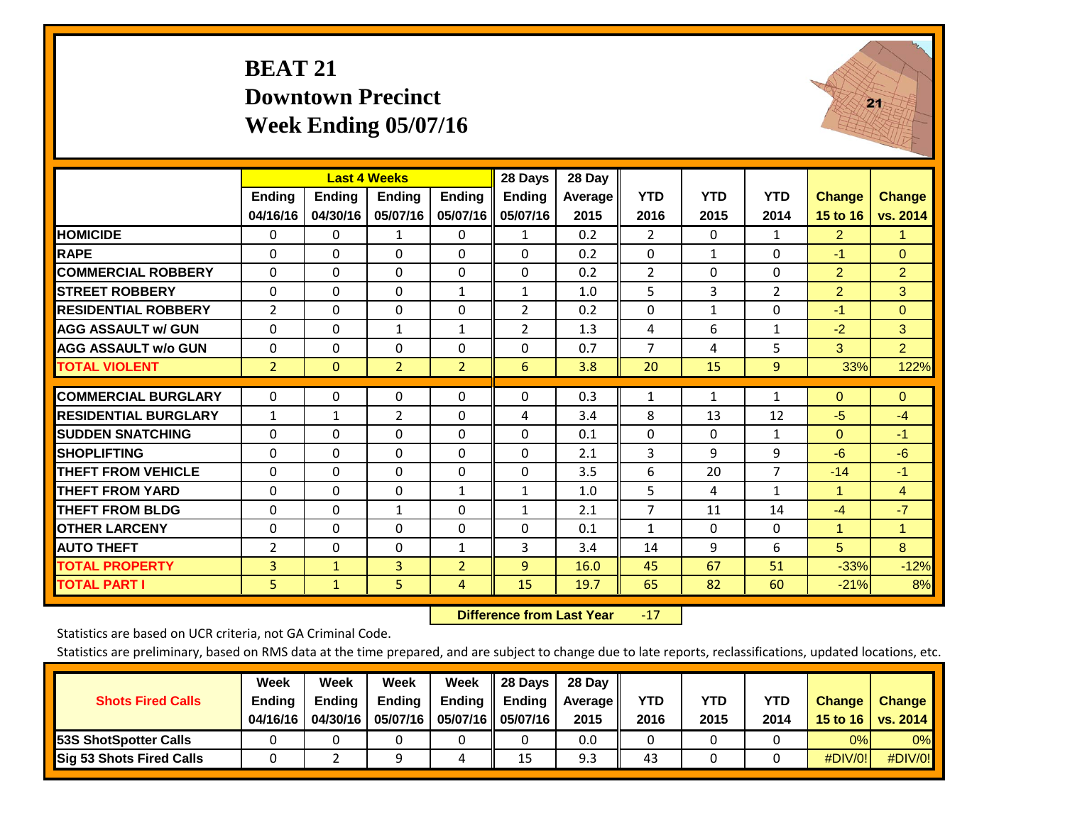### **BEAT 21 Downtown Precinct Week Ending 05/07/16**



|                             |                | <b>Last 4 Weeks</b> |                |                | 28 Days        | 28 Day  |                |              |                |                      |                |
|-----------------------------|----------------|---------------------|----------------|----------------|----------------|---------|----------------|--------------|----------------|----------------------|----------------|
|                             | Ending         | <b>Ending</b>       | <b>Ending</b>  | <b>Ending</b>  | <b>Ending</b>  | Average | <b>YTD</b>     | <b>YTD</b>   | <b>YTD</b>     | <b>Change</b>        | <b>Change</b>  |
|                             | 04/16/16       | 04/30/16            | 05/07/16       | 05/07/16       | 05/07/16       | 2015    | 2016           | 2015         | 2014           | 15 to 16             | vs. 2014       |
| <b>HOMICIDE</b>             | 0              | $\mathbf{0}$        | 1              | 0              | 1              | 0.2     | $\overline{2}$ | $\Omega$     | 1              | $\overline{2}$       | 1.             |
| <b>RAPE</b>                 | $\Omega$       | $\Omega$            | $\Omega$       | $\Omega$       | 0              | 0.2     | $\Omega$       | 1            | 0              | $-1$                 | $\overline{0}$ |
| <b>COMMERCIAL ROBBERY</b>   | $\Omega$       | $\Omega$            | $\Omega$       | $\Omega$       | $\Omega$       | 0.2     | $\overline{2}$ | $\Omega$     | $\Omega$       | $\overline{2}$       | $\overline{2}$ |
| <b>STREET ROBBERY</b>       | $\Omega$       | $\Omega$            | $\Omega$       | $\mathbf{1}$   | $\mathbf{1}$   | 1.0     | 5              | 3            | $\overline{2}$ | $\overline{2}$       | 3              |
| <b>RESIDENTIAL ROBBERY</b>  | $\overline{2}$ | $\Omega$            | $\Omega$       | $\Omega$       | 2              | 0.2     | $\mathbf{0}$   | $\mathbf{1}$ | $\Omega$       | $-1$                 | $\mathbf{0}$   |
| <b>AGG ASSAULT w/ GUN</b>   | $\Omega$       | $\Omega$            | $\mathbf{1}$   | $\mathbf{1}$   | $\overline{2}$ | 1.3     | 4              | 6            | $\mathbf{1}$   | $-2$                 | 3              |
| <b>AGG ASSAULT w/o GUN</b>  | $\Omega$       | $\Omega$            | $\Omega$       | 0              | 0              | 0.7     | $\overline{7}$ | 4            | 5              | 3                    | $\overline{2}$ |
| <b>TOTAL VIOLENT</b>        | $\overline{2}$ | $\mathbf{0}$        | $\overline{2}$ | $\overline{2}$ | 6              | 3.8     | 20             | 15           | 9              | 33%                  | 122%           |
|                             |                |                     |                |                |                |         |                |              |                |                      |                |
| <b>COMMERCIAL BURGLARY</b>  | $\mathbf 0$    | $\Omega$            | 0              | $\Omega$       | 0              | 0.3     | $\mathbf{1}$   | 1            | 1              | $\Omega$             | $\mathbf{0}$   |
| <b>RESIDENTIAL BURGLARY</b> | $\mathbf{1}$   | $\mathbf{1}$        | $\overline{2}$ | 0              | 4              | 3.4     | 8              | 13           | 12             | $-5$                 | $-4$           |
| <b>ISUDDEN SNATCHING</b>    | $\Omega$       | $\Omega$            | $\Omega$       | $\Omega$       | 0              | 0.1     | $\Omega$       | $\Omega$     | $\mathbf{1}$   | $\Omega$             | $-1$           |
| <b>SHOPLIFTING</b>          | $\Omega$       | $\Omega$            | $\Omega$       | $\Omega$       | $\Omega$       | 2.1     | 3              | 9            | 9              | $-6$                 | $-6$           |
| <b>THEFT FROM VEHICLE</b>   | $\Omega$       | $\Omega$            | $\Omega$       | $\Omega$       | 0              | 3.5     | 6              | 20           | $\overline{7}$ | $-14$                | $-1$           |
| <b>THEFT FROM YARD</b>      | $\Omega$       | $\Omega$            | $\Omega$       | $\mathbf{1}$   | $\mathbf{1}$   | 1.0     | 5              | 4            | $\mathbf{1}$   | $\blacktriangleleft$ | $\overline{4}$ |
| <b>THEFT FROM BLDG</b>      | $\Omega$       | $\Omega$            | 1              | $\Omega$       | $\mathbf{1}$   | 2.1     | $\overline{7}$ | 11           | 14             | $-4$                 | $-7$           |
| <b>OTHER LARCENY</b>        | $\Omega$       | $\Omega$            | $\Omega$       | $\Omega$       | 0              | 0.1     | $\mathbf{1}$   | $\Omega$     | 0              | 1                    | 1              |
| <b>AUTO THEFT</b>           | 2              | $\Omega$            | $\Omega$       | $\mathbf{1}$   | 3              | 3.4     | 14             | 9            | 6              | $5\phantom{.0}$      | 8              |
| <b>TOTAL PROPERTY</b>       | 3              | $\mathbf{1}$        | 3              | $\overline{2}$ | 9              | 16.0    | 45             | 67           | 51             | $-33%$               | $-12%$         |
| <b>TOTAL PART I</b>         | 5              | $\mathbf{1}$        | 5              | 4              | 15             | 19.7    | 65             | 82           | 60             | $-21%$               | 8%             |

 **Difference from Last Year**r -17

Statistics are based on UCR criteria, not GA Criminal Code.

| <b>Shots Fired Calls</b>        | Week<br><b>Ending</b><br>04/16/16 | Week<br><b>Endina</b><br>04/30/16 | Week<br>Ending<br>05/07/16 | Week<br>Ending | 28 Days<br><b>Ending</b><br>05/07/16    05/07/16 | 28 Day<br>Average II<br>2015 | YTD<br>2016 | YTD<br>2015 | YTD<br>2014 | <b>Change</b><br>15 to 16 $\vert$ | <b>Change</b><br><b>vs. 2014</b> |
|---------------------------------|-----------------------------------|-----------------------------------|----------------------------|----------------|--------------------------------------------------|------------------------------|-------------|-------------|-------------|-----------------------------------|----------------------------------|
| <b>153S ShotSpotter Calls</b>   |                                   |                                   |                            |                |                                                  | 0.0                          |             |             |             | 0%                                | 0%                               |
| <b>Sig 53 Shots Fired Calls</b> |                                   |                                   |                            |                | 15                                               | 9.3                          | 43          |             |             | #DIV/0!                           | #DIV/0!                          |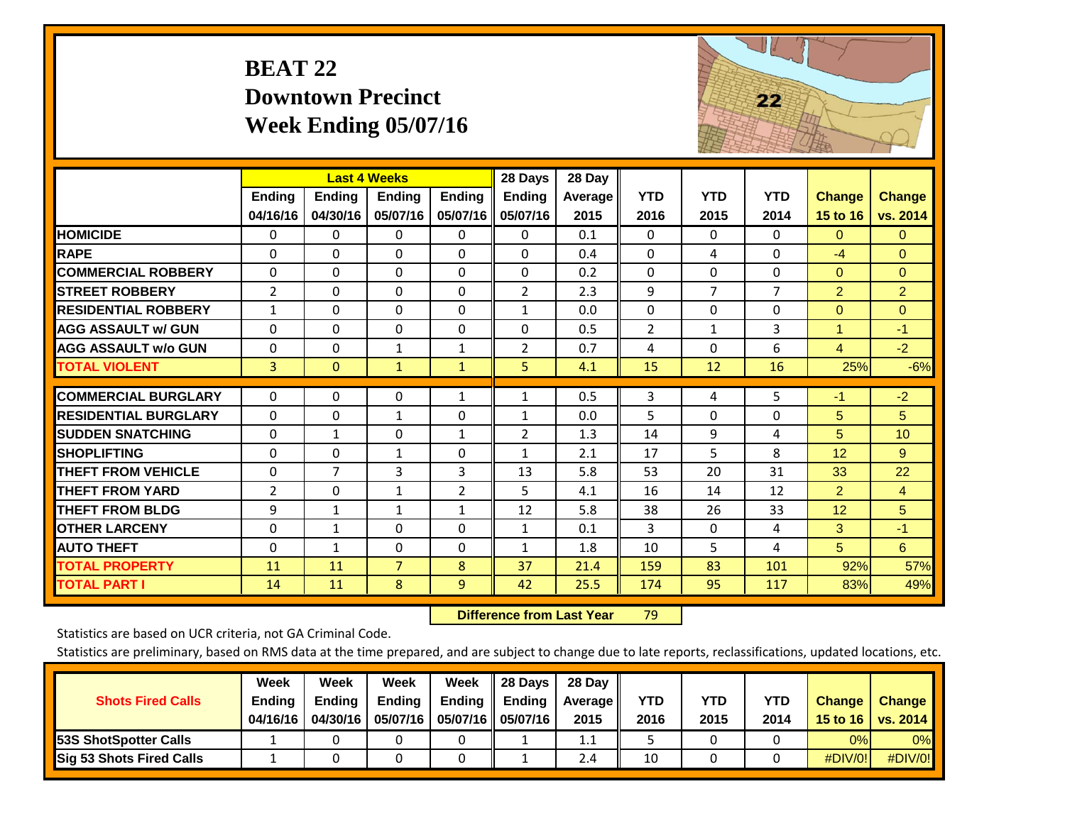## **BEAT 22 Downtown Precinct Week Ending 05/07/16**



|                             |                    | <b>Last 4 Weeks</b>       |                           |                           | 28 Days                   | 28 Day                 |                    |                    |                    |                           |                           |
|-----------------------------|--------------------|---------------------------|---------------------------|---------------------------|---------------------------|------------------------|--------------------|--------------------|--------------------|---------------------------|---------------------------|
|                             | Ending<br>04/16/16 | <b>Ending</b><br>04/30/16 | <b>Endina</b><br>05/07/16 | <b>Ending</b><br>05/07/16 | <b>Ending</b><br>05/07/16 | <b>Average</b><br>2015 | <b>YTD</b><br>2016 | <b>YTD</b><br>2015 | <b>YTD</b><br>2014 | <b>Change</b><br>15 to 16 | <b>Change</b><br>vs. 2014 |
|                             |                    |                           |                           |                           |                           |                        |                    |                    |                    |                           |                           |
| <b>HOMICIDE</b>             | 0                  | 0                         | 0                         | 0                         | 0                         | 0.1                    | $\Omega$           | $\Omega$           | $\Omega$           | $\mathbf{0}$              | $\mathbf{0}$              |
| <b>RAPE</b>                 | $\Omega$           | 0                         | $\Omega$                  | 0                         | $\Omega$                  | 0.4                    | $\mathbf{0}$       | 4                  | $\Omega$           | $-4$                      | $\Omega$                  |
| <b>COMMERCIAL ROBBERY</b>   | $\Omega$           | $\Omega$                  | $\mathbf{0}$              | $\Omega$                  | $\Omega$                  | 0.2                    | $\Omega$           | $\Omega$           | $\Omega$           | $\mathbf{0}$              | $\mathbf{0}$              |
| <b>STREET ROBBERY</b>       | $\overline{2}$     | 0                         | 0                         | $\Omega$                  | $\overline{2}$            | 2.3                    | 9                  | $\overline{7}$     | $\overline{7}$     | $\overline{2}$            | $\overline{2}$            |
| <b>RESIDENTIAL ROBBERY</b>  | $\mathbf{1}$       | 0                         | $\mathbf{0}$              | $\Omega$                  | $\mathbf{1}$              | 0.0                    | $\Omega$           | $\Omega$           | 0                  | $\Omega$                  | $\Omega$                  |
| <b>AGG ASSAULT w/ GUN</b>   | $\Omega$           | 0                         | 0                         | $\Omega$                  | 0                         | 0.5                    | $\overline{2}$     | $\mathbf{1}$       | 3                  | 1                         | $-1$                      |
| <b>AGG ASSAULT w/o GUN</b>  | $\Omega$           | 0                         | $\mathbf{1}$              | $\mathbf{1}$              | $\overline{2}$            | 0.7                    | 4                  | $\Omega$           | 6                  | $\overline{4}$            | $-2$                      |
| <b>TOTAL VIOLENT</b>        | 3                  | $\overline{0}$            | $\mathbf{1}$              | $\mathbf{1}$              | 5                         | 4.1                    | 15                 | 12                 | 16                 | 25%                       | $-6%$                     |
|                             |                    |                           |                           |                           |                           |                        |                    |                    |                    |                           |                           |
| <b>COMMERCIAL BURGLARY</b>  | $\Omega$           | 0                         | 0                         | $\mathbf{1}$              | $\mathbf{1}$              | 0.5                    | 3                  | 4                  | 5                  | $-1$                      | $-2$                      |
| <b>RESIDENTIAL BURGLARY</b> | $\Omega$           | 0                         | $\mathbf{1}$              | 0                         | $\mathbf{1}$              | 0.0                    | 5                  | 0                  | 0                  | 5                         | 5                         |
| <b>SUDDEN SNATCHING</b>     | $\Omega$           | $\mathbf{1}$              | 0                         | $\mathbf{1}$              | $\overline{2}$            | 1.3                    | 14                 | 9                  | 4                  | 5                         | 10                        |
| <b>SHOPLIFTING</b>          | $\Omega$           | 0                         | 1                         | $\Omega$                  | $\mathbf{1}$              | 2.1                    | 17                 | 5                  | 8                  | 12                        | 9                         |
| <b>THEFT FROM VEHICLE</b>   | $\Omega$           | $\overline{7}$            | 3                         | 3                         | 13                        | 5.8                    | 53                 | 20                 | 31                 | 33                        | 22                        |
| <b>THEFT FROM YARD</b>      | $\overline{2}$     | 0                         | 1                         | $\overline{2}$            | 5                         | 4.1                    | 16                 | 14                 | 12                 | $\overline{2}$            | $\overline{4}$            |
| <b>THEFT FROM BLDG</b>      | 9                  | $\mathbf{1}$              | 1                         | $\mathbf{1}$              | 12                        | 5.8                    | 38                 | 26                 | 33                 | 12                        | 5                         |
| <b>OTHER LARCENY</b>        | $\Omega$           | 1                         | $\Omega$                  | $\Omega$                  | $\mathbf{1}$              | 0.1                    | 3                  | $\Omega$           | 4                  | 3                         | $-1$                      |
| <b>AUTO THEFT</b>           | $\Omega$           | 1                         | 0                         | $\Omega$                  | $\mathbf{1}$              | 1.8                    | 10                 | 5                  | 4                  | 5                         | 6                         |
| <b>TOTAL PROPERTY</b>       | 11                 | 11                        | $\overline{7}$            | 8                         | 37                        | 21.4                   | 159                | 83                 | 101                | 92%                       | 57%                       |
| <b>TOTAL PART I</b>         | 14                 | 11                        | 8                         | $\overline{9}$            | 42                        | 25.5                   | 174                | 95                 | 117                | 83%                       | 49%                       |

 **Difference from Last Year**r 79

Statistics are based on UCR criteria, not GA Criminal Code.

|                                 | Week          | Week          | <b>Week</b> | Week   | 28 Days             | 28 Day     |      |      |      |                  |                 |
|---------------------------------|---------------|---------------|-------------|--------|---------------------|------------|------|------|------|------------------|-----------------|
| <b>Shots Fired Calls</b>        | <b>Ending</b> | <b>Ending</b> | Ending      | Ending | <b>Ending</b>       | Average II | YTD  | YTD  | YTD  | <b>Change</b>    | <b>Change</b>   |
|                                 | 04/16/16      | 04/30/16      | 05/07/16    |        | 05/07/16   05/07/16 | 2015       | 2016 | 2015 | 2014 | 15 to 16 $\vert$ | <b>VS. 2014</b> |
| <b>153S ShotSpotter Calls</b>   |               |               |             |        |                     | 1.1        |      |      |      | 0%               | 0%              |
| <b>Sig 53 Shots Fired Calls</b> |               |               |             |        |                     | 2.4        | 10   |      |      | #DIV/0!          | #DIV/0!         |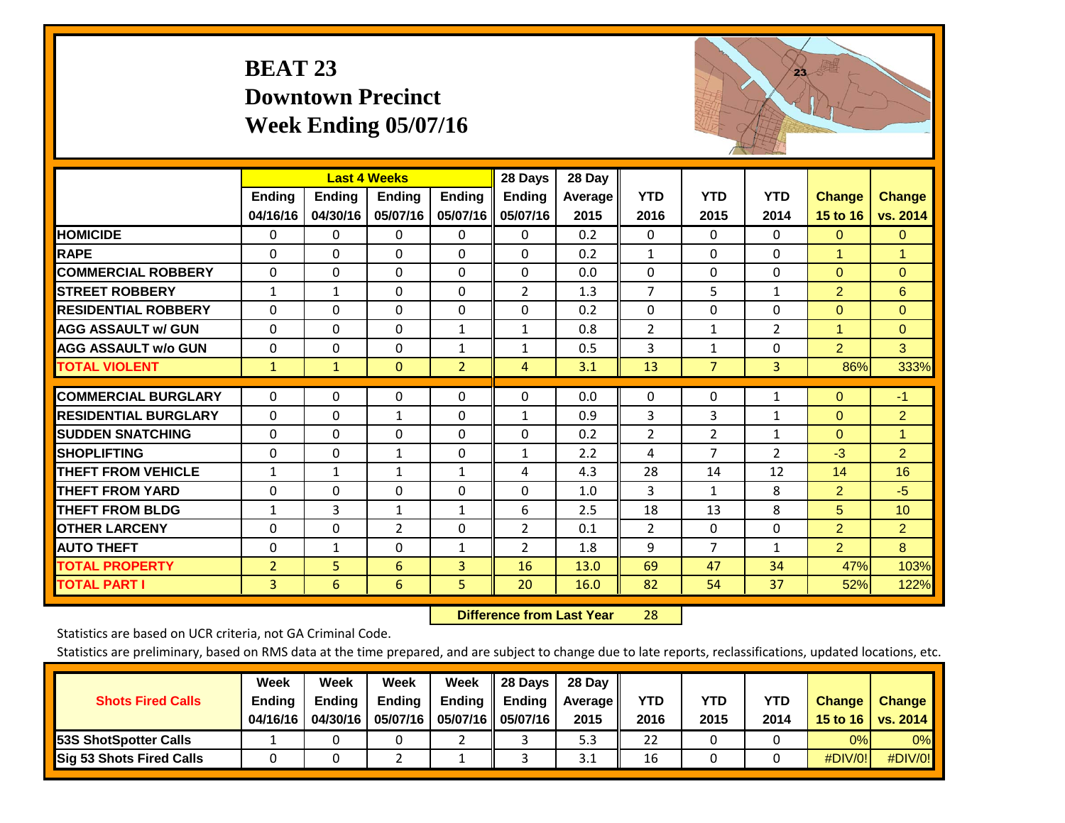## **BEAT 23 Downtown Precinct Week Ending 05/07/16**



|                             |                | <b>Last 4 Weeks</b> |                |                | 28 Days        | 28 Day  |                |                |                |                      |                 |
|-----------------------------|----------------|---------------------|----------------|----------------|----------------|---------|----------------|----------------|----------------|----------------------|-----------------|
|                             | Ending         | <b>Ending</b>       | <b>Endina</b>  | Ending         | <b>Ending</b>  | Average | <b>YTD</b>     | <b>YTD</b>     | <b>YTD</b>     | <b>Change</b>        | <b>Change</b>   |
|                             | 04/16/16       | 04/30/16            | 05/07/16       | 05/07/16       | 05/07/16       | 2015    | 2016           | 2015           | 2014           | 15 to 16             | vs. 2014        |
| <b>HOMICIDE</b>             | 0              | 0                   | 0              | 0              | $\Omega$       | 0.2     | $\Omega$       | $\Omega$       | 0              | $\Omega$             | $\mathbf{0}$    |
| <b>RAPE</b>                 | $\Omega$       | $\Omega$            | $\Omega$       | $\Omega$       | 0              | 0.2     | $\mathbf{1}$   | 0              | 0              | $\blacktriangleleft$ | 1               |
| <b>COMMERCIAL ROBBERY</b>   | $\Omega$       | 0                   | $\Omega$       | 0              | 0              | 0.0     | $\Omega$       | $\Omega$       | $\Omega$       | $\mathbf{0}$         | $\mathbf{0}$    |
| <b>STREET ROBBERY</b>       | $\mathbf{1}$   | $\mathbf{1}$        | 0              | 0              | 2              | 1.3     | $\overline{7}$ | 5              | $\mathbf{1}$   | $\overline{2}$       | $6\phantom{a}$  |
| <b>RESIDENTIAL ROBBERY</b>  | $\Omega$       | $\Omega$            | $\Omega$       | $\Omega$       | $\Omega$       | 0.2     | $\mathbf{0}$   | $\Omega$       | $\Omega$       | $\Omega$             | $\Omega$        |
| <b>AGG ASSAULT w/ GUN</b>   | $\Omega$       | $\Omega$            | $\Omega$       | $\mathbf{1}$   | $\mathbf{1}$   | 0.8     | 2              | 1              | $\overline{2}$ | $\blacktriangleleft$ | $\Omega$        |
| <b>AGG ASSAULT w/o GUN</b>  | $\Omega$       | $\Omega$            | $\Omega$       | $\mathbf{1}$   | $\mathbf{1}$   | 0.5     | 3              | 1              | $\Omega$       | $\overline{2}$       | 3               |
| <b>TOTAL VIOLENT</b>        | $\mathbf{1}$   | $\mathbf{1}$        | $\mathbf{0}$   | $\overline{2}$ | 4              | 3.1     | 13             | $\overline{7}$ | 3              | 86%                  | 333%            |
| <b>COMMERCIAL BURGLARY</b>  | 0              | 0                   | 0              | 0              | 0              | 0.0     | 0              | $\Omega$       | 1              | $\mathbf{0}$         | $-1$            |
|                             |                |                     |                |                |                |         |                |                |                |                      |                 |
| <b>RESIDENTIAL BURGLARY</b> | $\Omega$       | $\Omega$            | $\mathbf{1}$   | $\Omega$       | $\mathbf{1}$   | 0.9     | 3              | 3              | $\mathbf{1}$   | $\Omega$             | $\overline{2}$  |
| <b>SUDDEN SNATCHING</b>     | 0              | $\Omega$            | $\Omega$       | $\Omega$       | 0              | 0.2     | 2              | 2              | 1              | $\mathbf{0}$         | 1               |
| <b>SHOPLIFTING</b>          | $\Omega$       | $\Omega$            | $\mathbf{1}$   | 0              | $\mathbf{1}$   | 2.2     | 4              | 7              | $\overline{2}$ | $-3$                 | $\overline{2}$  |
| <b>THEFT FROM VEHICLE</b>   | $\mathbf{1}$   | $\mathbf{1}$        | $\mathbf{1}$   | $\mathbf{1}$   | 4              | 4.3     | 28             | 14             | 12             | 14                   | 16              |
| <b>THEFT FROM YARD</b>      | $\mathbf 0$    | $\Omega$            | $\Omega$       | 0              | $\Omega$       | 1.0     | $\overline{3}$ | $\mathbf{1}$   | 8              | $\overline{2}$       | $-5$            |
| <b>THEFT FROM BLDG</b>      | $\mathbf{1}$   | 3                   | 1              | 1              | 6              | 2.5     | 18             | 13             | 8              | 5                    | 10 <sup>°</sup> |
| <b>OTHER LARCENY</b>        | 0              | $\Omega$            | $\overline{2}$ | 0              | $\overline{2}$ | 0.1     | $\overline{2}$ | $\mathbf{0}$   | 0              | $\overline{2}$       | $\overline{2}$  |
| <b>AUTO THEFT</b>           | $\Omega$       | $\mathbf{1}$        | $\Omega$       | $\mathbf{1}$   | $\overline{2}$ | 1.8     | 9              | 7              | $\mathbf{1}$   | $\overline{2}$       | 8               |
| <b>TOTAL PROPERTY</b>       | $\overline{2}$ | 5                   | 6              | 3              | 16             | 13.0    | 69             | 47             | 34             | 47%                  | 103%            |
| <b>TOTAL PART I</b>         | 3              | 6                   | 6              | 5.             | 20             | 16.0    | 82             | 54             | 37             | 52%                  | 122%            |

 **Difference from Last Year**r 28

Statistics are based on UCR criteria, not GA Criminal Code.

|                                 | Week          | Week          | <b>Week</b> | Week                | 28 Days       | 28 Day     |      |      |      |                  |                 |
|---------------------------------|---------------|---------------|-------------|---------------------|---------------|------------|------|------|------|------------------|-----------------|
| <b>Shots Fired Calls</b>        | <b>Ending</b> | <b>Ending</b> | Ending      | Ending              | <b>Ending</b> | Average II | YTD  | YTD  | YTD  | <b>Change</b>    | <b>Change</b>   |
|                                 | 04/16/16      | 04/30/16      | 05/07/16    | 05/07/16   05/07/16 |               | 2015       | 2016 | 2015 | 2014 | 15 to 16 $\vert$ | <b>VS. 2014</b> |
| <b>53S ShotSpotter Calls</b>    |               |               |             |                     |               | 5.3        | 22   |      |      | 0%               | 0%              |
| <b>Sig 53 Shots Fired Calls</b> |               |               |             |                     |               | 3.1        | 16   |      |      | #DIV/0!          | #DIV/0!         |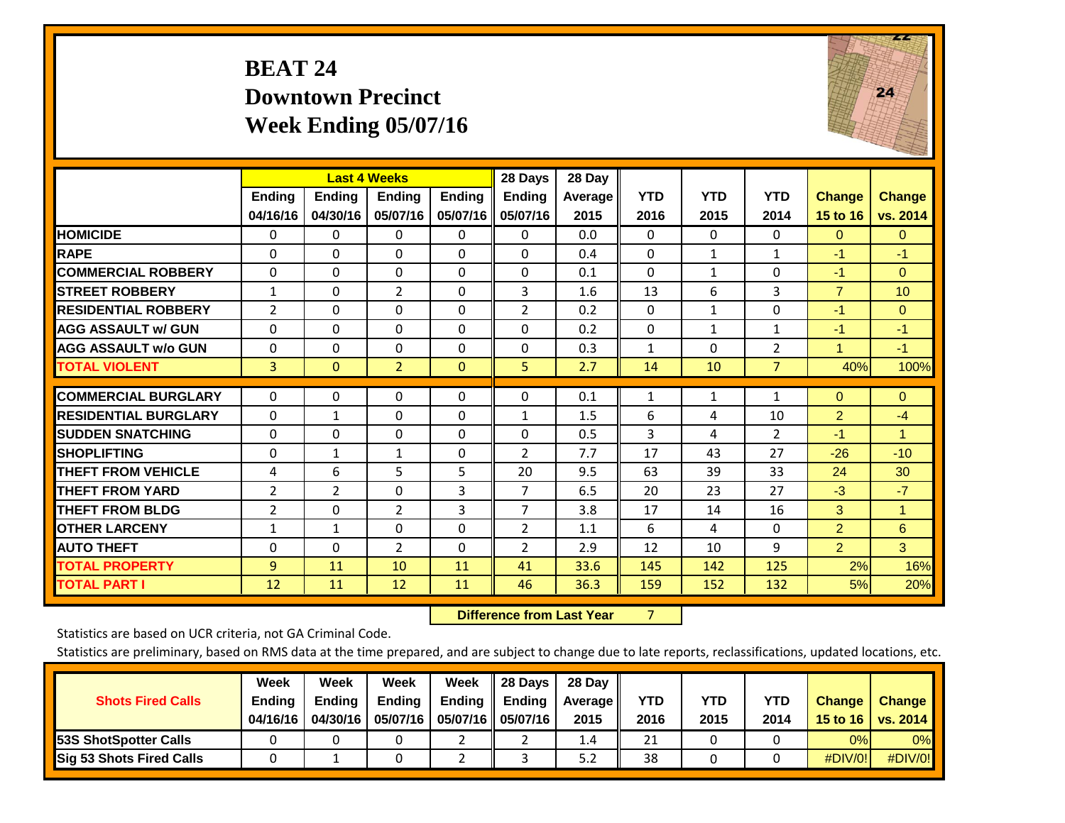### **BEAT 24 Downtown Precinct Week Ending 05/07/16**



|                             |               | <b>Last 4 Weeks</b> |                |               | 28 Days        | 28 Day         |              |              |                |                      |                 |
|-----------------------------|---------------|---------------------|----------------|---------------|----------------|----------------|--------------|--------------|----------------|----------------------|-----------------|
|                             | <b>Ending</b> | <b>Endina</b>       | Endina         | <b>Endina</b> | <b>Endina</b>  | <b>Average</b> | <b>YTD</b>   | <b>YTD</b>   | <b>YTD</b>     | <b>Change</b>        | <b>Change</b>   |
|                             | 04/16/16      | 04/30/16            | 05/07/16       | 05/07/16      | 05/07/16       | 2015           | 2016         | 2015         | 2014           | 15 to 16             | vs. 2014        |
| <b>HOMICIDE</b>             | 0             | 0                   | $\Omega$       | $\mathbf 0$   | 0              | 0.0            | $\Omega$     | $\Omega$     | 0              | $\Omega$             | $\mathbf{0}$    |
| <b>RAPE</b>                 | $\Omega$      | $\Omega$            | $\Omega$       | $\Omega$      | $\Omega$       | 0.4            | $\mathbf{0}$ | $\mathbf{1}$ | $\mathbf{1}$   | $-1$                 | $-1$            |
| <b>COMMERCIAL ROBBERY</b>   | $\Omega$      | 0                   | $\mathbf{0}$   | $\Omega$      | $\Omega$       | 0.1            | $\mathbf{0}$ | $\mathbf{1}$ | 0              | $-1$                 | $\mathbf{0}$    |
| <b>ISTREET ROBBERY</b>      | $\mathbf{1}$  | $\Omega$            | $\overline{2}$ | $\Omega$      | 3              | 1.6            | 13           | 6            | 3              | $\overline{7}$       | 10 <sup>1</sup> |
| <b>RESIDENTIAL ROBBERY</b>  | 2             | 0                   | $\mathbf{0}$   | $\Omega$      | $\overline{2}$ | 0.2            | $\mathbf{0}$ | $\mathbf{1}$ | 0              | $-1$                 | $\Omega$        |
| <b>AGG ASSAULT w/ GUN</b>   | $\Omega$      | 0                   | $\mathbf{0}$   | $\Omega$      | 0              | 0.2            | $\mathbf{0}$ | $\mathbf{1}$ | $\mathbf{1}$   | $-1$                 | $-1$            |
| <b>AGG ASSAULT w/o GUN</b>  | $\Omega$      | 0                   | $\Omega$       | $\Omega$      | 0              | 0.3            | $\mathbf{1}$ | $\Omega$     | $\overline{2}$ | $\blacktriangleleft$ | $-1$            |
| <b>TOTAL VIOLENT</b>        | 3             | $\Omega$            | $\overline{2}$ | $\mathbf{0}$  | 5              | 2.7            | 14           | 10           | $\overline{7}$ | 40%                  | 100%            |
|                             |               |                     |                |               |                |                |              |              |                |                      |                 |
| <b>COMMERCIAL BURGLARY</b>  | $\Omega$      | 0                   | $\mathbf{0}$   | $\Omega$      | $\Omega$       | 0.1            | $\mathbf{1}$ | $\mathbf{1}$ | $\mathbf{1}$   | $\Omega$             | $\mathbf{0}$    |
| <b>RESIDENTIAL BURGLARY</b> | $\Omega$      | 1                   | $\Omega$       | $\Omega$      | $\mathbf{1}$   | 1.5            | 6            | 4            | 10             | $\overline{2}$       | $-4$            |
| <b>ISUDDEN SNATCHING</b>    | $\Omega$      | 0                   | $\Omega$       | $\Omega$      | $\Omega$       | 0.5            | 3            | 4            | $\overline{2}$ | $-1$                 | 1               |
| <b>SHOPLIFTING</b>          | 0             | $\mathbf{1}$        | 1              | 0             | $\overline{2}$ | 7.7            | 17           | 43           | 27             | $-26$                | $-10$           |
| <b>THEFT FROM VEHICLE</b>   | 4             | 6                   | 5              | 5             | 20             | 9.5            | 63           | 39           | 33             | 24                   | 30              |
| <b>THEFT FROM YARD</b>      | 2             | $\overline{2}$      | $\mathbf{0}$   | 3             | 7              | 6.5            | 20           | 23           | 27             | $-3$                 | $-7$            |
| <b>THEFT FROM BLDG</b>      | 2             | $\Omega$            | $\overline{2}$ | 3             | $\overline{7}$ | 3.8            | 17           | 14           | 16             | 3                    | 1               |
| <b>OTHER LARCENY</b>        | $\mathbf{1}$  | $\mathbf{1}$        | $\Omega$       | $\Omega$      | $\overline{2}$ | 1.1            | 6            | 4            | 0              | $\overline{2}$       | 6               |
| <b>AUTO THEFT</b>           | $\Omega$      | $\Omega$            | $\overline{2}$ | $\Omega$      | $\overline{2}$ | 2.9            | 12           | 10           | 9              | $\overline{2}$       | 3               |
| <b>TOTAL PROPERTY</b>       | 9             | 11                  | 10             | 11            | 41             | 33.6           | 145          | 142          | 125            | 2%                   | 16%             |
| <b>TOTAL PART I</b>         | 12            | 11                  | 12             | 11            | 46             | 36.3           | 159          | 152          | 132            | 5%                   | 20%             |

 **Difference from Last Year**r 7

Statistics are based on UCR criteria, not GA Criminal Code.

| <b>Shots Fired Calls</b>        | Week<br><b>Ending</b><br>04/16/16 | Week<br><b>Endina</b><br>04/30/16 | Week<br>Ending<br>05/07/16 | Week<br>Ending | 28 Days<br><b>Ending</b><br>05/07/16    05/07/16 | 28 Day<br>Average II<br>2015 | YTD<br>2016 | YTD<br>2015 | YTD<br>2014 | <b>Change</b><br>15 to 16 $\vert$ | <b>Change</b><br><b>vs. 2014</b> |
|---------------------------------|-----------------------------------|-----------------------------------|----------------------------|----------------|--------------------------------------------------|------------------------------|-------------|-------------|-------------|-----------------------------------|----------------------------------|
| <b>153S ShotSpotter Calls</b>   |                                   |                                   |                            |                |                                                  | 1.4                          | 21          |             |             | 0%                                | 0%                               |
| <b>Sig 53 Shots Fired Calls</b> |                                   |                                   |                            |                |                                                  | 5.2                          | 38          |             |             | #DIV/0!                           | #DIV/0!                          |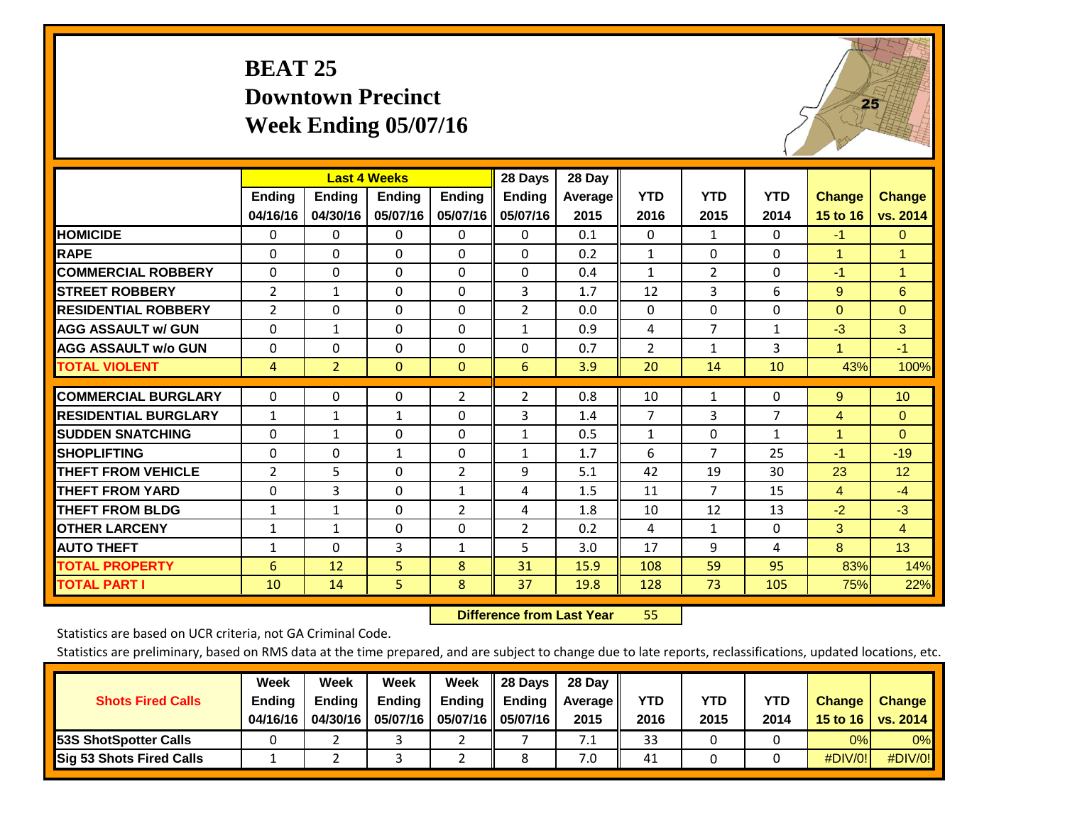### **BEAT 25 Downtown Precinct Week Ending 05/07/16**



|                             |                           | <b>Last 4 Weeks</b>       |                    |                           | 28 Days                   | 28 Day          |                    |                    |                    |                           |                           |
|-----------------------------|---------------------------|---------------------------|--------------------|---------------------------|---------------------------|-----------------|--------------------|--------------------|--------------------|---------------------------|---------------------------|
|                             | <b>Ending</b><br>04/16/16 | <b>Ending</b><br>04/30/16 | Ending<br>05/07/16 | <b>Ending</b><br>05/07/16 | <b>Ending</b><br>05/07/16 | Average<br>2015 | <b>YTD</b><br>2016 | <b>YTD</b><br>2015 | <b>YTD</b><br>2014 | <b>Change</b><br>15 to 16 | <b>Change</b><br>vs. 2014 |
| <b>HOMICIDE</b>             | $\mathbf{0}$              | $\mathbf{0}$              | $\Omega$           | $\Omega$                  | 0                         | 0.1             | $\mathbf{0}$       | $\mathbf{1}$       | 0                  | $-1$                      | $\mathbf{0}$              |
| <b>RAPE</b>                 | $\Omega$                  | 0                         | $\Omega$           | $\Omega$                  | 0                         | 0.2             | $\mathbf{1}$       | $\Omega$           | 0                  | 1                         | $\mathbf{1}$              |
| <b>COMMERCIAL ROBBERY</b>   | $\Omega$                  | $\Omega$                  | $\Omega$           | $\Omega$                  | $\Omega$                  | 0.4             | $\mathbf{1}$       | $\overline{2}$     | $\Omega$           | $-1$                      | $\mathbf{1}$              |
| <b>STREET ROBBERY</b>       | $\overline{2}$            | $\mathbf{1}$              | $\Omega$           | $\Omega$                  | 3                         | 1.7             | 12                 | 3                  | 6                  | 9                         | 6                         |
| <b>RESIDENTIAL ROBBERY</b>  | 2                         | 0                         | $\Omega$           | $\mathbf{0}$              | $\overline{2}$            | 0.0             | $\mathbf{0}$       | $\Omega$           | 0                  | $\mathbf{0}$              | $\Omega$                  |
| <b>AGG ASSAULT w/ GUN</b>   | $\Omega$                  | 1                         | $\Omega$           | $\Omega$                  | $\mathbf{1}$              | 0.9             | 4                  | $\overline{7}$     | 1                  | $-3$                      | 3                         |
| <b>AGG ASSAULT w/o GUN</b>  | $\mathbf 0$               | $\Omega$                  | $\Omega$           | $\Omega$                  | $\Omega$                  | 0.7             | $\overline{2}$     | 1                  | 3                  | 1                         | $-1$                      |
| <b>TOTAL VIOLENT</b>        | 4                         | $\overline{2}$            | $\mathbf{0}$       | $\mathbf{0}$              | 6                         | 3.9             | 20                 | 14                 | 10                 | 43%                       | 100%                      |
|                             |                           |                           |                    |                           |                           |                 |                    |                    |                    |                           |                           |
| <b>COMMERCIAL BURGLARY</b>  | $\Omega$                  | 0                         | 0                  | $\overline{2}$            | $\overline{2}$            | 0.8             | 10                 | 1                  | 0                  | 9                         | 10                        |
| <b>RESIDENTIAL BURGLARY</b> | 1                         | 1                         | 1                  | $\Omega$                  | 3                         | 1.4             | $\overline{7}$     | 3                  | $\overline{7}$     | 4                         | $\Omega$                  |
| <b>SUDDEN SNATCHING</b>     | 0                         | 1                         | $\Omega$           | $\Omega$                  | $\mathbf{1}$              | 0.5             | 1                  | $\Omega$           | 1                  | 1                         | $\Omega$                  |
| <b>SHOPLIFTING</b>          | $\Omega$                  | 0                         | $\mathbf{1}$       | $\Omega$                  | $\mathbf{1}$              | 1.7             | 6                  | $\overline{7}$     | 25                 | $-1$                      | $-19$                     |
| <b>THEFT FROM VEHICLE</b>   | $\overline{2}$            | 5                         | $\Omega$           | 2                         | 9                         | 5.1             | 42                 | 19                 | 30                 | 23                        | 12                        |
| <b>THEFT FROM YARD</b>      | $\Omega$                  | 3                         | $\Omega$           | $\mathbf{1}$              | 4                         | 1.5             | 11                 | 7                  | 15                 | $\overline{4}$            | $-4$                      |
| <b>THEFT FROM BLDG</b>      | 1                         | 1                         | $\Omega$           | $\overline{2}$            | 4                         | 1.8             | 10                 | 12                 | 13                 | $-2$                      | $-3$                      |
| <b>IOTHER LARCENY</b>       | $\mathbf{1}$              | $\mathbf{1}$              | $\Omega$           | $\Omega$                  | $\overline{2}$            | 0.2             | 4                  | 1                  | 0                  | 3                         | $\overline{4}$            |
| <b>AUTO THEFT</b>           | $\mathbf{1}$              | $\Omega$                  | 3                  | 1                         | 5                         | 3.0             | 17                 | 9                  | 4                  | 8                         | 13                        |
| <b>TOTAL PROPERTY</b>       | 6                         | 12                        | 5                  | 8                         | 31                        | 15.9            | 108                | 59                 | 95                 | 83%                       | 14%                       |
| <b>TOTAL PART I</b>         | 10                        | 14                        | 5.                 | 8                         | 37                        | 19.8            | 128                | 73                 | 105                | 75%                       | 22%                       |

 **Difference from Last Year**r 55

Statistics are based on UCR criteria, not GA Criminal Code.

| <b>Shots Fired Calls</b>        | Week<br><b>Ending</b><br>04/16/16 | Week<br><b>Endina</b><br>04/30/16 | Week<br>Ending<br>05/07/16 | Week<br>Ending | 28 Days<br><b>Ending</b><br>05/07/16    05/07/16 | 28 Day<br>Average II<br>2015 | YTD<br>2016 | YTD<br>2015 | YTD<br>2014 | <b>Change</b><br>15 to 16 $\vert$ | <b>Change</b><br><b>vs. 2014</b> |
|---------------------------------|-----------------------------------|-----------------------------------|----------------------------|----------------|--------------------------------------------------|------------------------------|-------------|-------------|-------------|-----------------------------------|----------------------------------|
| <b>153S ShotSpotter Calls</b>   |                                   |                                   |                            |                |                                                  | 7.1                          | 33          |             |             | 0%                                | 0%                               |
| <b>Sig 53 Shots Fired Calls</b> |                                   |                                   |                            |                |                                                  | 7.0                          | 41          |             |             | #DIV/0!                           | #DIV/0!                          |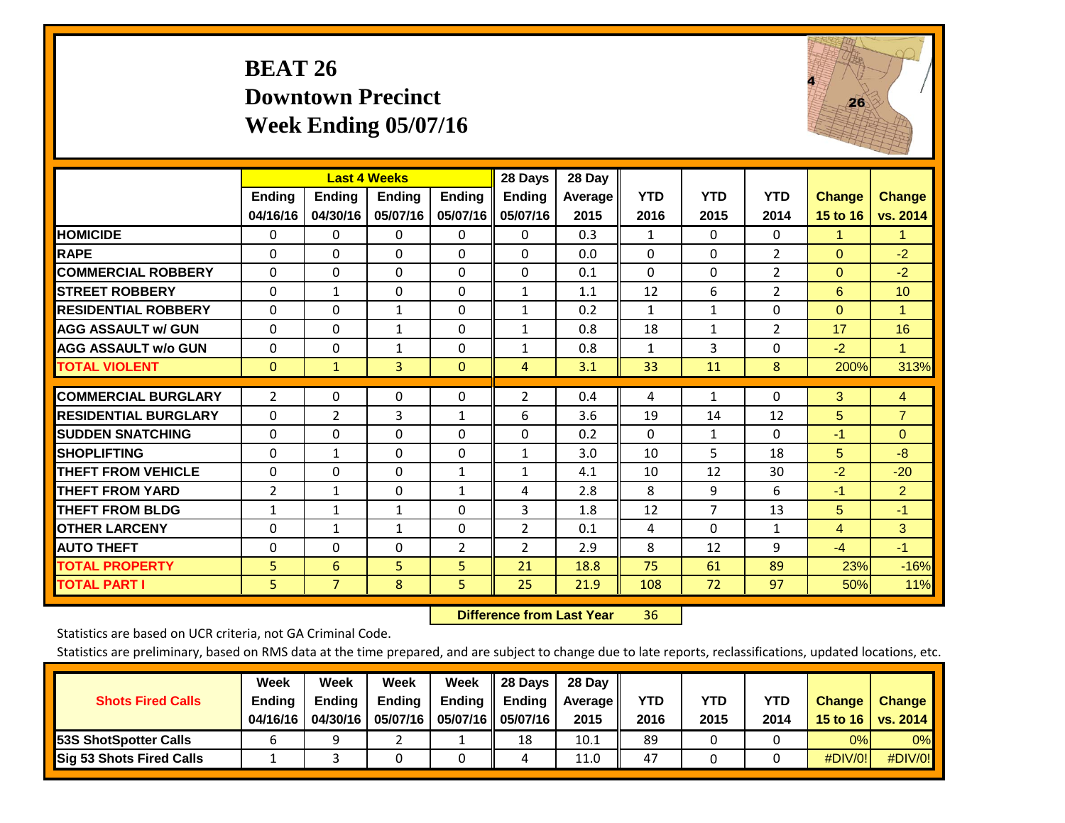## **BEAT 26 Downtown Precinct Week Ending 05/07/16**



|                             |                           | <b>Last 4 Weeks</b>       |                           |                           | 28 Days                   | 28 Day             |                    |                    |                    |                           |                           |
|-----------------------------|---------------------------|---------------------------|---------------------------|---------------------------|---------------------------|--------------------|--------------------|--------------------|--------------------|---------------------------|---------------------------|
|                             | <b>Ending</b><br>04/16/16 | <b>Ending</b><br>04/30/16 | <b>Endina</b><br>05/07/16 | <b>Ending</b><br>05/07/16 | <b>Endina</b><br>05/07/16 | Average II<br>2015 | <b>YTD</b><br>2016 | <b>YTD</b><br>2015 | <b>YTD</b><br>2014 | <b>Change</b><br>15 to 16 | <b>Change</b><br>vs. 2014 |
| <b>HOMICIDE</b>             | 0                         | 0                         | $\Omega$                  | 0                         | 0                         | 0.3                | 1                  | $\Omega$           | 0                  | 1                         | $\blacktriangleleft$      |
| <b>RAPE</b>                 | 0                         | $\Omega$                  | $\Omega$                  | $\Omega$                  | $\Omega$                  | 0.0                | $\Omega$           | $\Omega$           | $\overline{2}$     | $\Omega$                  | $-2$                      |
| <b>COMMERCIAL ROBBERY</b>   | $\Omega$                  | $\Omega$                  | $\Omega$                  | $\mathbf{0}$              | $\Omega$                  | 0.1                | $\Omega$           | $\Omega$           | $\overline{2}$     | $\mathbf{0}$              | $-2$                      |
| <b>ISTREET ROBBERY</b>      | $\Omega$                  | 1                         | $\Omega$                  | $\Omega$                  | $\mathbf{1}$              | 1.1                | 12                 | 6                  | 2                  | 6                         | 10                        |
| <b>RESIDENTIAL ROBBERY</b>  | 0                         | 0                         | $\mathbf{1}$              | 0                         | 1                         | 0.2                | $\mathbf{1}$       | $\mathbf{1}$       | 0                  | $\mathbf{0}$              | 1                         |
| <b>AGG ASSAULT w/ GUN</b>   | $\Omega$                  | 0                         | $\mathbf{1}$              | $\mathbf{0}$              | $\mathbf{1}$              | 0.8                | 18                 | 1                  | 2                  | 17                        | 16                        |
| <b>AGG ASSAULT w/o GUN</b>  | $\Omega$                  | 0                         | $\mathbf{1}$              | $\Omega$                  | $\mathbf{1}$              | 0.8                | $\mathbf{1}$       | 3                  | 0                  | $-2$                      | $\mathbf{1}$              |
| <b>TOTAL VIOLENT</b>        | $\Omega$                  | $\mathbf{1}$              | 3                         | $\mathbf{0}$              | $\overline{4}$            | 3.1                | 33                 | 11                 | 8                  | 200%                      | 313%                      |
| <b>COMMERCIAL BURGLARY</b>  | $\overline{2}$            | $\Omega$                  | $\Omega$                  | 0                         | 2                         | 0.4                | 4                  | 1                  | 0                  | 3                         | $\overline{4}$            |
| <b>RESIDENTIAL BURGLARY</b> | 0                         | 2                         | 3                         | 1                         | 6                         | 3.6                | 19                 | 14                 | 12                 | 5                         | $\overline{7}$            |
| <b>SUDDEN SNATCHING</b>     | 0                         | 0                         | $\Omega$                  | $\mathbf{0}$              | $\Omega$                  | 0.2                | 0                  | 1                  | $\Omega$           | -1                        | $\mathbf{0}$              |
| <b>SHOPLIFTING</b>          | 0                         | 1                         | $\mathbf{0}$              | 0                         | 1                         | 3.0                | 10                 | 5.                 | 18                 | 5                         | $-8$                      |
| <b>THEFT FROM VEHICLE</b>   | $\Omega$                  | 0                         | $\mathbf{0}$              | $\mathbf{1}$              | $\mathbf{1}$              | 4.1                | 10                 | 12                 | 30                 | $-2$                      | $-20$                     |
| <b>THEFT FROM YARD</b>      | $\overline{2}$            | $\mathbf{1}$              | $\mathbf{0}$              | $\mathbf{1}$              | 4                         | 2.8                | 8                  | 9                  | 6                  | $-1$                      | $\overline{2}$            |
| <b>THEFT FROM BLDG</b>      | 1                         | 1                         | $\mathbf{1}$              | $\Omega$                  | 3                         | 1.8                | 12                 | 7                  | 13                 | 5                         | $-1$                      |
| <b>OTHER LARCENY</b>        | $\Omega$                  | 1                         | $\mathbf{1}$              | $\Omega$                  | $\overline{2}$            | 0.1                | 4                  | $\Omega$           | $\mathbf{1}$       | 4                         | 3                         |
| <b>AUTO THEFT</b>           | 0                         | $\Omega$                  | $\Omega$                  | 2                         | 2                         | 2.9                | 8                  | 12                 | 9                  | $-4$                      | $-1$                      |
| <b>TOTAL PROPERTY</b>       | 5                         | 6                         | 5                         | 5                         | 21                        | 18.8               | 75                 | 61                 | 89                 | 23%                       | $-16%$                    |
| <b>TOTAL PART I</b>         | 5                         | $\overline{7}$            | 8                         | 5                         | 25                        | 21.9               | 108                | 72                 | 97                 | 50%                       | 11%                       |

 **Difference from Last Year**r 36

Statistics are based on UCR criteria, not GA Criminal Code.

|                                 | Week          | Week          | <b>Week</b> | Week   | 28 Days              | 28 Day     |      |      |            |               |                 |
|---------------------------------|---------------|---------------|-------------|--------|----------------------|------------|------|------|------------|---------------|-----------------|
| <b>Shots Fired Calls</b>        | <b>Ending</b> | <b>Endina</b> | Ending      | Ending | <b>Ending</b>        | Average II | YTD  | YTD  | <b>YTD</b> | <b>Change</b> | <b>Change</b>   |
|                                 | 04/16/16      | 04/30/16      | 05/07/16    |        | 05/07/16    05/07/16 | 2015       | 2016 | 2015 | 2014       | 15 to 16      | <b>vs. 2014</b> |
| <b>53S ShotSpotter Calls</b>    |               |               |             |        | 18                   | 10.1       | 89   |      |            | 0%            | 0%              |
| <b>Sig 53 Shots Fired Calls</b> |               |               |             |        | 4                    | 11.0       | 47   |      |            | #DIV/0!       | #DIV/0!         |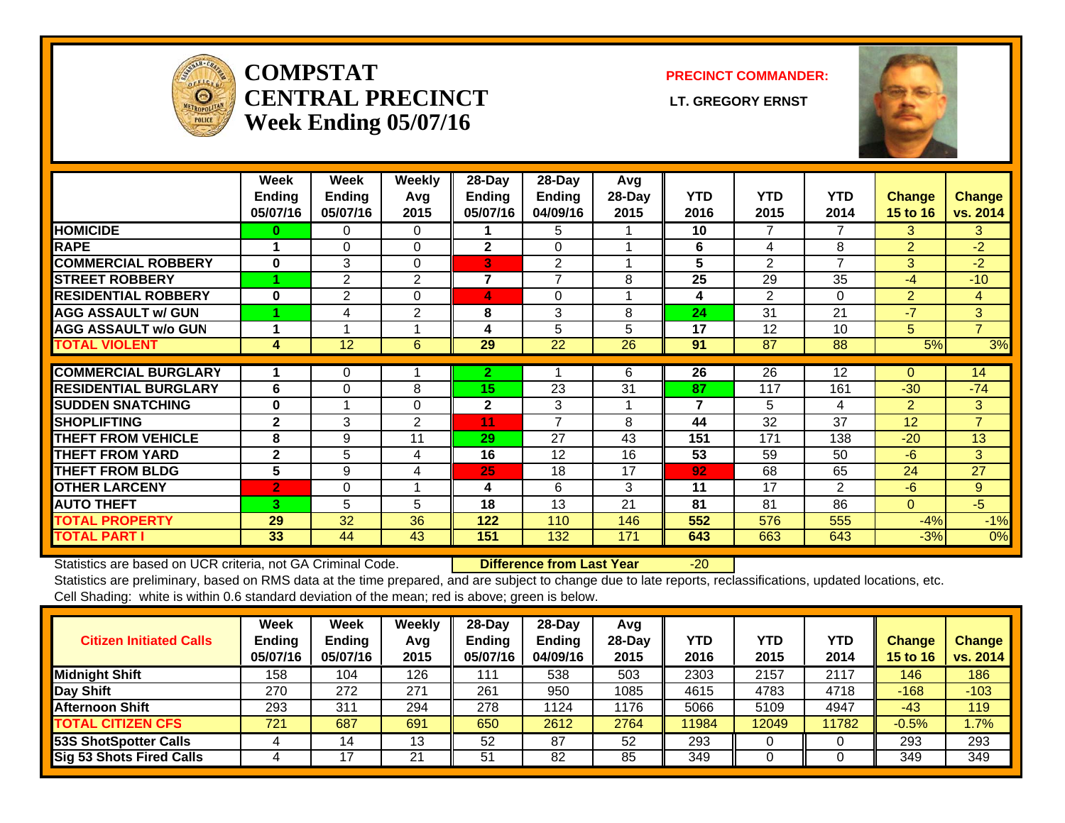

#### **COMPSTATCENTRAL PRECINCT** LT. GREGORY ERNST **Week Ending 05/07/16**

**PRECINCT COMMANDER:**



|                             | Week<br><b>Ending</b> | Week<br><b>Ending</b> | Weekly<br>Avq | 28-Day<br>Ending | $28$ -Day<br>Ending | Avg<br>28-Day | <b>YTD</b>              | <b>YTD</b>     | <b>YTD</b> | <b>Change</b>   | <b>Change</b>  |
|-----------------------------|-----------------------|-----------------------|---------------|------------------|---------------------|---------------|-------------------------|----------------|------------|-----------------|----------------|
|                             | 05/07/16              | 05/07/16              | 2015          | 05/07/16         | 04/09/16            | 2015          | 2016                    | 2015           | 2014       | <b>15 to 16</b> | vs. 2014       |
| <b>HOMICIDE</b>             | 0                     | 0                     | $\Omega$      |                  | 5                   |               | 10                      | 7              | 7          | 3.              | 3              |
| <b>RAPE</b>                 |                       | $\Omega$              | $\Omega$      | $\mathbf{2}$     | $\Omega$            |               | 6                       | 4              | 8          | $\overline{2}$  | $-2$           |
| <b>COMMERCIAL ROBBERY</b>   | $\bf{0}$              | 3                     | $\Omega$      | 3                | $\overline{2}$      |               | 5                       | $\overline{2}$ | 7          | 3               | $-2$           |
| <b>STREET ROBBERY</b>       |                       | 2                     | 2             | $\overline{7}$   | $\overline{7}$      | 8             | 25                      | 29             | 35         | $-4$            | $-10$          |
| <b>RESIDENTIAL ROBBERY</b>  | $\bf{0}$              | 2                     | $\Omega$      | 4                | $\Omega$            |               | 4                       | $\overline{2}$ | $\Omega$   | $\overline{2}$  | 4              |
| <b>AGG ASSAULT w/ GUN</b>   |                       | 4                     | 2             | 8                | 3                   | 8             | 24                      | 31             | 21         | $-7$            | 3              |
| <b>AGG ASSAULT w/o GUN</b>  |                       |                       |               | 4                | 5                   | 5             | 17                      | 12             | 10         | 5               | $\overline{7}$ |
| <b>TOTAL VIOLENT</b>        | 4                     | 12                    | 6             | 29               | 22                  | 26            | 91                      | 87             | 88         | 5%              | 3%             |
| <b>COMMERCIAL BURGLARY</b>  |                       |                       |               |                  |                     |               |                         |                |            |                 |                |
|                             |                       | 0                     |               | $\mathbf{2}$     |                     | 6             | 26                      | 26             | 12         | 0               | 14             |
| <b>RESIDENTIAL BURGLARY</b> | 6                     | $\Omega$              | 8             | 15               | 23                  | 31            | 87                      | 117            | 161        | $-30$           | $-74$          |
| <b>SUDDEN SNATCHING</b>     | $\bf{0}$              |                       | $\Omega$      | $\mathbf{2}$     | 3                   |               | $\overline{\mathbf{z}}$ | 5              | 4          | $\overline{2}$  | 3              |
| <b>SHOPLIFTING</b>          | $\mathbf{2}$          | 3                     | 2             | 11               | 7                   | 8             | 44                      | 32             | 37         | 12              | $\overline{7}$ |
| <b>THEFT FROM VEHICLE</b>   | 8                     | 9                     | 11            | 29               | 27                  | 43            | 151                     | 171            | 138        | $-20$           | 13             |
| <b>THEFT FROM YARD</b>      | $\mathbf{2}$          | 5                     | 4             | 16               | 12                  | 16            | 53                      | 59             | 50         | $-6$            | 3              |
| <b>THEFT FROM BLDG</b>      | 5                     | 9                     | 4             | 25               | 18                  | 17            | 92                      | 68             | 65         | 24              | 27             |
| <b>OTHER LARCENY</b>        | $\overline{2}$        | $\Omega$              |               | 4                | 6                   | 3             | 11                      | 17             | 2          | $-6$            | 9              |
| <b>AUTO THEFT</b>           | 3                     | 5                     | 5             | 18               | 13                  | 21            | 81                      | 81             | 86         | $\Omega$        | $-5$           |
| <b>TOTAL PROPERTY</b>       | 29                    | 32                    | 36            | 122              | 110                 | 146           | 552                     | 576            | 555        | $-4%$           | $-1%$          |
| <b>TOTAL PART I</b>         | 33                    | 44                    | 43            | 151              | 132                 | 171           | 643                     | 663            | 643        | $-3%$           | 0%             |

Statistics are based on UCR criteria, not GA Criminal Code. **Difference from Last Year** -20

Statistics are preliminary, based on RMS data at the time prepared, and are subject to change due to late reports, reclassifications, updated locations, etc. Cell Shading: white is within 0.6 standard deviation of the mean; red is above; green is below.

| <b>Citizen Initiated Calls</b>  | Week<br><b>Ending</b><br>05/07/16 | <b>Week</b><br><b>Ending</b><br>05/07/16 | Weekly<br>Avg<br>2015 | $28$ -Day<br><b>Ending</b><br>05/07/16 | 28-Dav<br><b>Endina</b><br>04/09/16 | Avg<br>28-Dav<br>2015 | YTD<br>2016 | <b>YTD</b><br>2015 | <b>YTD</b><br>2014 | Change<br><b>15 to 16</b> | <b>Change</b><br>vs. 2014 |
|---------------------------------|-----------------------------------|------------------------------------------|-----------------------|----------------------------------------|-------------------------------------|-----------------------|-------------|--------------------|--------------------|---------------------------|---------------------------|
| <b>Midnight Shift</b>           | 158                               | 104                                      | 126                   | l 11                                   | 538                                 | 503                   | 2303        | 2157               | 2117               | 146                       | 186                       |
| Day Shift                       | 270                               | 272                                      | 271                   | 261                                    | 950                                 | 1085                  | 4615        | 4783               | 4718               | $-168$                    | $-103$                    |
| <b>Afternoon Shift</b>          | 293                               | 311                                      | 294                   | 278                                    | 1124                                | 1176                  | 5066        | 5109               | 4947               | $-43$                     | 119                       |
| <b>TOTAL CITIZEN CFS</b>        | 721                               | 687                                      | 691                   | 650                                    | 2612                                | 2764                  | 11984       | 12049              | 11782              | $-0.5%$                   | 1.7%                      |
| 53S ShotSpotter Calls           |                                   | 14                                       | 13                    | 52                                     | 87                                  | 52                    | 293         |                    |                    | 293                       | 293                       |
| <b>Sig 53 Shots Fired Calls</b> | 4                                 |                                          | 21                    | 51                                     | 82                                  | 85                    | 349         |                    |                    | 349                       | 349                       |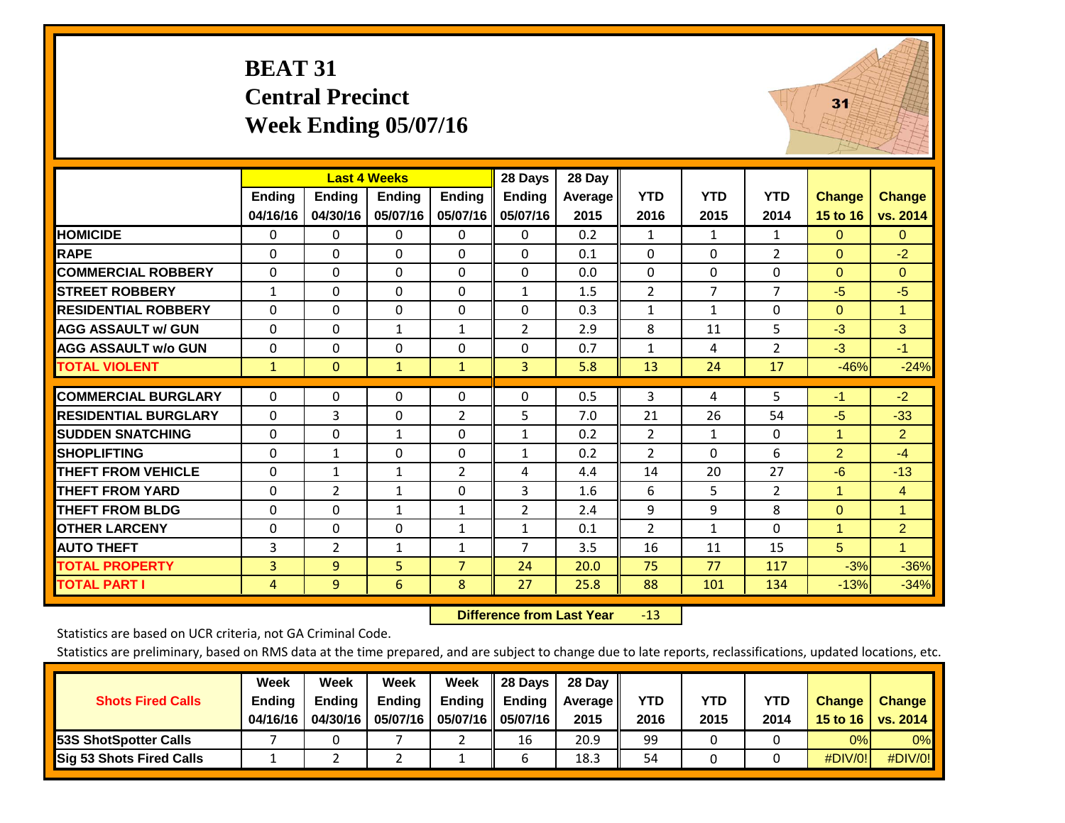#### **BEAT 31 Central Precinct Week Ending 05/07/16**



|                             |              |                | <b>Last 4 Weeks</b> |                | 28 Days               | 28 Day  |                |                |                |                |                |
|-----------------------------|--------------|----------------|---------------------|----------------|-----------------------|---------|----------------|----------------|----------------|----------------|----------------|
|                             | Ending       | <b>Ending</b>  | <b>Ending</b>       | <b>Ending</b>  | <b>Ending</b>         | Average | <b>YTD</b>     | <b>YTD</b>     | <b>YTD</b>     | <b>Change</b>  | <b>Change</b>  |
|                             | 04/16/16     | 04/30/16       | 05/07/16            | 05/07/16       | 05/07/16              | 2015    | 2016           | 2015           | 2014           | 15 to 16       | vs. 2014       |
| <b>HOMICIDE</b>             | 0            | 0              | 0                   | $\Omega$       | 0                     | 0.2     | 1              | 1              | 1              | $\Omega$       | $\mathbf{0}$   |
| <b>RAPE</b>                 | $\Omega$     | 0              | $\Omega$            | $\Omega$       | $\Omega$              | 0.1     | $\Omega$       | $\Omega$       | $\overline{2}$ | $\Omega$       | $-2$           |
| <b>COMMERCIAL ROBBERY</b>   | $\mathbf{0}$ | $\Omega$       | $\Omega$            | $\mathbf{0}$   | $\Omega$              | 0.0     | $\mathbf{0}$   | $\Omega$       | 0              | $\Omega$       | $\Omega$       |
| <b>STREET ROBBERY</b>       | $\mathbf{1}$ | $\Omega$       | $\Omega$            | $\Omega$       | $\mathbf{1}$          | 1.5     | $\overline{2}$ | $\overline{7}$ | $\overline{7}$ | $-5$           | $-5$           |
| <b>RESIDENTIAL ROBBERY</b>  | $\mathbf{0}$ | $\Omega$       | 0                   | $\Omega$       | $\Omega$              | 0.3     | $\mathbf{1}$   | $\mathbf{1}$   | 0              | $\Omega$       | -1             |
| <b>AGG ASSAULT w/ GUN</b>   | $\mathbf{0}$ | 0              | $\mathbf{1}$        | $\mathbf{1}$   | $\overline{2}$        | 2.9     | 8              | 11             | 5              | $-3$           | 3              |
| <b>AGG ASSAULT w/o GUN</b>  | $\mathbf{0}$ | $\Omega$       | 0                   | $\mathbf{0}$   | $\Omega$              | 0.7     | $\mathbf{1}$   | 4              | $\overline{2}$ | $-3$           | $-1$           |
| <b>TOTAL VIOLENT</b>        | $\mathbf{1}$ | $\mathbf{0}$   | $\mathbf{1}$        | $\mathbf{1}$   | $\overline{3}$        | 5.8     | 13             | 24             | 17             | $-46%$         | $-24%$         |
|                             |              |                |                     |                |                       |         |                |                |                |                |                |
| <b>COMMERCIAL BURGLARY</b>  | 0            | $\Omega$       | 0                   | 0              | $\Omega$              | 0.5     | 3              | 4              | 5              | $-1$           | $-2$           |
| <b>RESIDENTIAL BURGLARY</b> | $\Omega$     | 3              | $\Omega$            | $\overline{2}$ | 5                     | 7.0     | 21             | 26             | 54             | $-5$           | $-33$          |
| <b>SUDDEN SNATCHING</b>     | $\Omega$     | $\Omega$       | $\mathbf{1}$        | $\Omega$       | $\mathbf{1}$          | 0.2     | $\overline{2}$ | $\mathbf{1}$   | 0              | 1              | $\overline{2}$ |
| <b>SHOPLIFTING</b>          | 0            | $\mathbf{1}$   | 0                   | 0              | $\mathbf{1}$          | 0.2     | $\overline{2}$ | $\Omega$       | 6              | $\overline{2}$ | $-4$           |
| <b>THEFT FROM VEHICLE</b>   | $\mathbf{0}$ | $\mathbf{1}$   | $\mathbf{1}$        | $\overline{2}$ | 4                     | 4.4     | 14             | 20             | 27             | $-6$           | $-13$          |
| <b>THEFT FROM YARD</b>      | $\mathbf{0}$ | $\overline{2}$ | $\mathbf{1}$        | $\Omega$       | 3                     | 1.6     | 6              | 5.             | $\overline{2}$ | $\mathbf{1}$   | $\overline{4}$ |
| <b>THEFT FROM BLDG</b>      | $\mathbf 0$  | 0              | $\mathbf{1}$        | $\mathbf{1}$   | $\mathbf{2}^{\prime}$ | 2.4     | 9              | 9              | 8              | $\overline{0}$ | $\overline{1}$ |
| <b>OTHER LARCENY</b>        | $\Omega$     | $\Omega$       | 0                   | $\mathbf{1}$   | $\mathbf{1}$          | 0.1     | 2              | $\mathbf{1}$   | 0              | $\mathbf{1}$   | $\overline{2}$ |
| <b>AUTO THEFT</b>           | 3            | $\overline{2}$ | $\mathbf{1}$        | $\mathbf{1}$   | 7                     | 3.5     | 16             | 11             | 15             | 5              | $\mathbf{1}$   |
| <b>TOTAL PROPERTY</b>       | 3            | 9              | 5                   | $\overline{7}$ | 24                    | 20.0    | 75             | 77             | 117            | $-3%$          | $-36%$         |
| <b>TOTAL PART I</b>         | 4            | 9              | 6                   | 8              | 27                    | 25.8    | 88             | 101            | 134            | $-13%$         | $-34%$         |

 **Difference from Last Year**r -13

Statistics are based on UCR criteria, not GA Criminal Code.

| <b>Shots Fired Calls</b>        | Week<br><b>Ending</b><br>04/16/16 | Week<br><b>Endina</b><br>04/30/16 | Week<br>Ending<br>05/07/16 | Week<br>Ending | 28 Days<br><b>Ending</b><br>05/07/16    05/07/16 | 28 Day<br>Average II<br>2015 | YTD<br>2016 | YTD<br>2015 | <b>YTD</b><br>2014 | <b>Change</b><br>15 to 16 $\vert$ | <b>Change</b><br><b>vs. 2014</b> |
|---------------------------------|-----------------------------------|-----------------------------------|----------------------------|----------------|--------------------------------------------------|------------------------------|-------------|-------------|--------------------|-----------------------------------|----------------------------------|
| <b>153S ShotSpotter Calls</b>   |                                   |                                   |                            |                | 16                                               | 20.9                         | 99          |             |                    | 0%                                | 0%                               |
| <b>Sig 53 Shots Fired Calls</b> |                                   |                                   |                            |                |                                                  | 18.3                         | 54          |             |                    | #DIV/0!                           | #DIV/0!                          |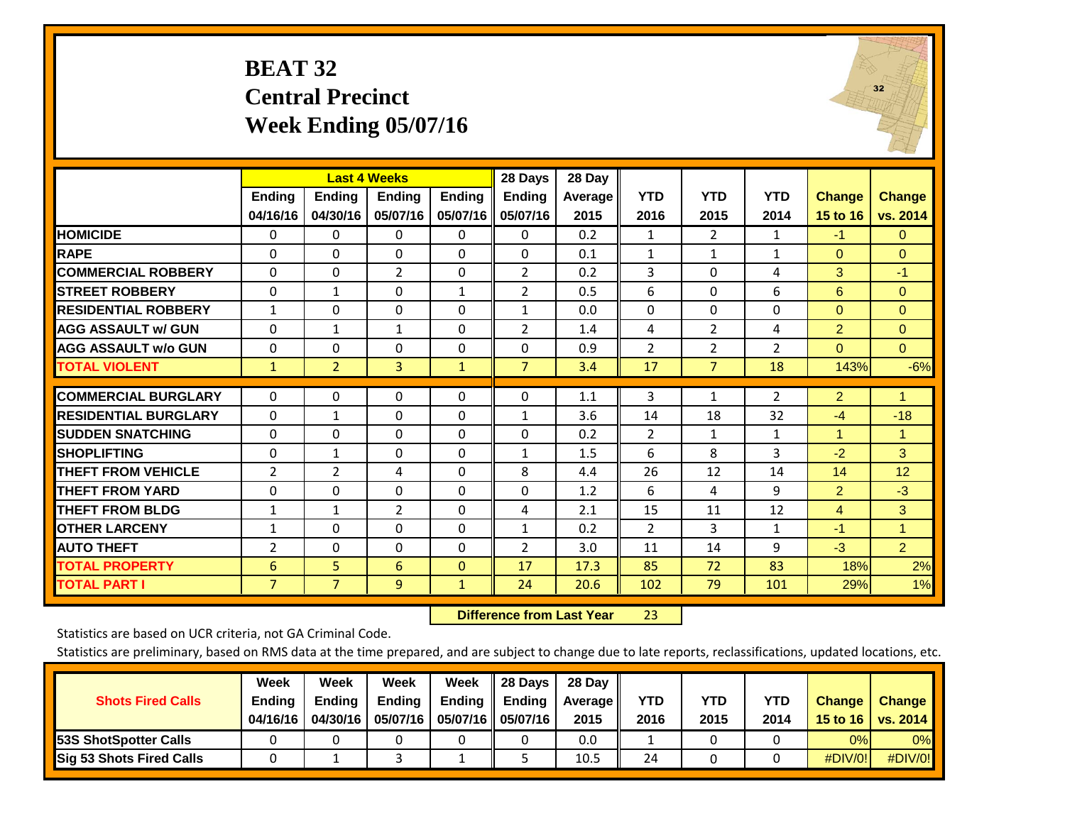#### **BEAT 32 Central Precinct Week Ending 05/07/16**



|                             |                           |                           | <b>Last 4 Weeks</b>       |                           | 28 Days                   | 28 Day          |                    |                    |                    |                           |                           |
|-----------------------------|---------------------------|---------------------------|---------------------------|---------------------------|---------------------------|-----------------|--------------------|--------------------|--------------------|---------------------------|---------------------------|
|                             | <b>Ending</b><br>04/16/16 | <b>Ending</b><br>04/30/16 | <b>Endina</b><br>05/07/16 | <b>Ending</b><br>05/07/16 | <b>Ending</b><br>05/07/16 | Average<br>2015 | <b>YTD</b><br>2016 | <b>YTD</b><br>2015 | <b>YTD</b><br>2014 | <b>Change</b><br>15 to 16 | <b>Change</b><br>vs. 2014 |
| <b>HOMICIDE</b>             | 0                         | 0                         | 0                         | $\Omega$                  | 0                         | 0.2             | 1                  | $\overline{2}$     | 1                  | $-1$                      | $\Omega$                  |
| <b>RAPE</b>                 | 0                         | 0                         | $\Omega$                  | $\Omega$                  | $\Omega$                  | 0.1             | $\mathbf{1}$       | 1                  | $\mathbf{1}$       | $\mathbf{0}$              | $\Omega$                  |
| <b>COMMERCIAL ROBBERY</b>   | $\Omega$                  | 0                         | $\overline{2}$            | $\Omega$                  | 2                         | 0.2             | 3                  | $\Omega$           | 4                  | 3                         | $-1$                      |
| <b>STREET ROBBERY</b>       | $\Omega$                  | $\mathbf{1}$              | $\Omega$                  | $\mathbf{1}$              | 2                         | 0.5             | 6                  | $\Omega$           | 6                  | 6                         | $\mathbf{0}$              |
| <b>RESIDENTIAL ROBBERY</b>  | $\mathbf{1}$              | 0                         | $\Omega$                  | $\Omega$                  | $\mathbf{1}$              | 0.0             | $\mathbf{0}$       | $\Omega$           | 0                  | $\mathbf{0}$              | $\Omega$                  |
| <b>AGG ASSAULT w/ GUN</b>   | $\Omega$                  | 1                         | $\mathbf{1}$              | $\Omega$                  | $\overline{2}$            | 1.4             | 4                  | $\overline{2}$     | 4                  | $\overline{2}$            | $\Omega$                  |
| <b>AGG ASSAULT w/o GUN</b>  | 0                         | 0                         | $\Omega$                  | $\Omega$                  | $\Omega$                  | 0.9             | $\overline{2}$     | $\overline{2}$     | $\overline{2}$     | $\Omega$                  | $\Omega$                  |
| <b>TOTAL VIOLENT</b>        | $\mathbf{1}$              | $\overline{2}$            | 3                         | $\mathbf{1}$              | $\overline{7}$            | 3.4             | 17                 | $\overline{7}$     | 18                 | 143%                      | $-6%$                     |
| <b>COMMERCIAL BURGLARY</b>  |                           | $\Omega$                  |                           |                           | $\Omega$                  |                 |                    |                    |                    |                           | $\mathbf{1}$              |
|                             | $\mathbf 0$               |                           | 0                         | 0                         |                           | 1.1             | 3                  | $\mathbf{1}$       | $\overline{2}$     | $\overline{2}$            |                           |
| <b>RESIDENTIAL BURGLARY</b> | $\Omega$                  | $\mathbf{1}$              | $\Omega$                  | $\mathbf{0}$              | 1                         | 3.6             | 14                 | 18                 | 32                 | $-4$                      | $-18$                     |
| <b>SUDDEN SNATCHING</b>     | $\Omega$                  | $\Omega$                  | $\Omega$                  | $\Omega$                  | $\Omega$                  | 0.2             | $\overline{2}$     | $\mathbf{1}$       | $\mathbf{1}$       | $\overline{1}$            | $\mathbf{1}$              |
| <b>SHOPLIFTING</b>          | 0                         | 1                         | $\Omega$                  | 0                         | $\mathbf{1}$              | 1.5             | 6                  | 8                  | 3                  | $-2$                      | 3                         |
| <b>THEFT FROM VEHICLE</b>   | $\overline{2}$            | 2                         | 4                         | $\Omega$                  | 8                         | 4.4             | 26                 | 12                 | 14                 | 14                        | 12                        |
| <b>THEFT FROM YARD</b>      | 0                         | 0                         | $\Omega$                  | $\Omega$                  | $\Omega$                  | 1.2             | 6                  | 4                  | 9                  | $\overline{2}$            | $-3$                      |
| <b>THEFT FROM BLDG</b>      | 1                         | 1                         | $\overline{2}$            | $\Omega$                  | 4                         | 2.1             | 15                 | 11                 | 12                 | 4                         | 3                         |
| <b>OTHER LARCENY</b>        | $\mathbf{1}$              | 0                         | $\Omega$                  | $\mathbf{0}$              | $\mathbf{1}$              | 0.2             | 2                  | 3                  | $\mathbf{1}$       | $-1$                      | $\mathbf{1}$              |
| <b>AUTO THEFT</b>           | $\overline{2}$            | $\Omega$                  | $\Omega$                  | $\mathbf{0}$              | $\overline{2}$            | 3.0             | 11                 | 14                 | 9                  | $-3$                      | 2 <sup>1</sup>            |
| <b>TOTAL PROPERTY</b>       | 6                         | 5                         | 6                         | $\mathbf{0}$              | 17                        | 17.3            | 85                 | 72                 | 83                 | 18%                       | 2%                        |
| <b>TOTAL PART I</b>         | $\overline{7}$            | $\overline{7}$            | 9                         | $\mathbf{1}$              | 24                        | 20.6            | 102                | 79                 | 101                | 29%                       | 1%                        |

 **Difference from Last Year**r 23

Statistics are based on UCR criteria, not GA Criminal Code.

|                                 | Week          | Week          | Week          | Week                 | 28 Days                   | 28 Dav     |      |      |            |               |               |
|---------------------------------|---------------|---------------|---------------|----------------------|---------------------------|------------|------|------|------------|---------------|---------------|
| <b>Shots Fired Calls</b>        | <b>Ending</b> | <b>Endina</b> | <b>Ending</b> |                      | Ending $\parallel$ Ending | Average II | YTD  | YTD  | <b>YTD</b> | <b>Change</b> | <b>Change</b> |
|                                 | 04/16/16      | 04/30/16      | 05/07/16      | 05/07/16    05/07/16 |                           | 2015       | 2016 | 2015 | 2014       | 15 to 16      | vs. 2014      |
| <b>153S ShotSpotter Calls</b>   |               |               |               |                      |                           | 0.0        |      |      |            | 0%            | $0\%$         |
| <b>Sig 53 Shots Fired Calls</b> |               |               |               |                      |                           | 10.5       | 24   |      |            | #DIV/0!       | $\#$ DIV/0!   |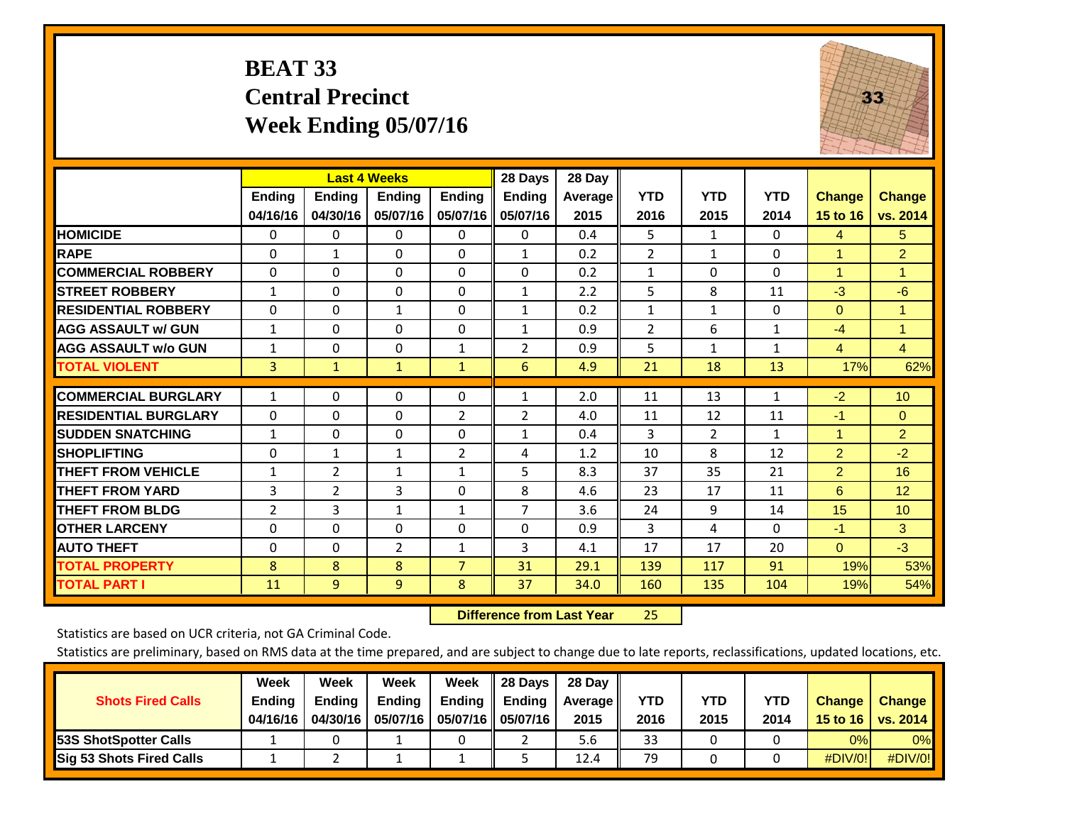#### **BEAT 33 Central Precinct Week Ending 05/07/16**



|                             |                           |                           | <b>Last 4 Weeks</b> |                           | 28 Days                   | 28 Day          |                    |                    |                    |                           |                           |
|-----------------------------|---------------------------|---------------------------|---------------------|---------------------------|---------------------------|-----------------|--------------------|--------------------|--------------------|---------------------------|---------------------------|
|                             | <b>Ending</b><br>04/16/16 | <b>Ending</b><br>04/30/16 | Ending<br>05/07/16  | <b>Ending</b><br>05/07/16 | <b>Ending</b><br>05/07/16 | Average<br>2015 | <b>YTD</b><br>2016 | <b>YTD</b><br>2015 | <b>YTD</b><br>2014 | <b>Change</b><br>15 to 16 | <b>Change</b><br>vs. 2014 |
| <b>HOMICIDE</b>             | $\Omega$                  | 0                         | 0                   | $\Omega$                  | 0                         | 0.4             | 5                  | $\mathbf{1}$       | 0                  | 4                         | 5.                        |
| <b>RAPE</b>                 | 0                         | 1                         | $\Omega$            | $\Omega$                  | $\mathbf{1}$              | 0.2             | $\overline{2}$     | 1                  | $\Omega$           | 1                         | $\overline{2}$            |
| <b>COMMERCIAL ROBBERY</b>   | $\Omega$                  | $\Omega$                  | $\Omega$            | $\Omega$                  | $\Omega$                  | 0.2             | $\mathbf{1}$       | $\Omega$           | 0                  | 1                         | $\blacksquare$            |
| <b>STREET ROBBERY</b>       | $\mathbf{1}$              | $\Omega$                  | $\Omega$            | $\Omega$                  | $\mathbf{1}$              | 2.2             | 5                  | 8                  | 11                 | $-3$                      | -6                        |
| <b>RESIDENTIAL ROBBERY</b>  | $\Omega$                  | 0                         | $\mathbf{1}$        | $\Omega$                  | $\mathbf{1}$              | 0.2             | $\mathbf{1}$       | $\mathbf{1}$       | 0                  | $\Omega$                  | $\blacktriangleleft$      |
| <b>AGG ASSAULT w/ GUN</b>   | $\mathbf{1}$              | 0                         | $\Omega$            | $\Omega$                  | 1                         | 0.9             | $\overline{2}$     | 6                  | $\mathbf{1}$       | $-4$                      | $\blacktriangleleft$      |
| <b>AGG ASSAULT w/o GUN</b>  | $\mathbf{1}$              | $\Omega$                  | $\Omega$            | 1                         | 2                         | 0.9             | 5                  | $\mathbf{1}$       | $\mathbf{1}$       | $\overline{4}$            | $\overline{4}$            |
| <b>TOTAL VIOLENT</b>        | 3                         | $\mathbf{1}$              | $\mathbf{1}$        | $\mathbf{1}$              | 6                         | 4.9             | 21                 | 18                 | 13                 | 17%                       | 62%                       |
| <b>COMMERCIAL BURGLARY</b>  | $\mathbf{1}$              | $\Omega$                  | 0                   | $\Omega$                  | $\mathbf{1}$              | 2.0             | 11                 | 13                 | 1                  | $-2$                      | 10 <sup>°</sup>           |
| <b>RESIDENTIAL BURGLARY</b> | $\Omega$                  | 0                         | $\Omega$            | 2                         | 2                         | 4.0             | 11                 | 12                 | 11                 | $-1$                      | $\mathbf{0}$              |
| <b>ISUDDEN SNATCHING</b>    | $\mathbf{1}$              | 0                         | $\Omega$            | $\Omega$                  | $\mathbf{1}$              | 0.4             | 3                  | $\overline{2}$     | $\mathbf{1}$       | 1                         | $\overline{2}$            |
| <b>SHOPLIFTING</b>          | $\Omega$                  | 1                         | $\mathbf{1}$        | $\overline{2}$            | 4                         | 1.2             | 10                 | 8                  | 12                 | $\overline{2}$            | $-2$                      |
| <b>THEFT FROM VEHICLE</b>   | $\mathbf{1}$              | 2                         | $\mathbf{1}$        | $\mathbf{1}$              | 5                         | 8.3             | 37                 | 35                 | 21                 | $\overline{2}$            | 16                        |
| <b>THEFT FROM YARD</b>      | 3                         | $\overline{2}$            | 3                   | $\Omega$                  | 8                         | 4.6             | 23                 | 17                 | 11                 | 6                         | 12                        |
| <b>THEFT FROM BLDG</b>      | $\overline{2}$            | 3                         | $\mathbf{1}$        | $\mathbf{1}$              | 7                         | 3.6             | 24                 | 9                  | 14                 | 15                        | 10 <sup>1</sup>           |
| <b>IOTHER LARCENY</b>       | 0                         | 0                         | $\Omega$            | $\Omega$                  | $\Omega$                  | 0.9             | 3                  | 4                  | $\Omega$           | $-1$                      | 3                         |
| <b>AUTO THEFT</b>           | $\Omega$                  | $\Omega$                  | $\overline{2}$      | $\mathbf{1}$              | 3                         | 4.1             | 17                 | 17                 | 20                 | $\Omega$                  | $-3$                      |
| <b>TOTAL PROPERTY</b>       | 8                         | 8                         | 8                   | $\overline{7}$            | 31                        | 29.1            | 139                | 117                | 91                 | 19%                       | 53%                       |
| <b>TOTAL PART I</b>         | 11                        | 9                         | 9                   | 8                         | 37                        | 34.0            | 160                | 135                | 104                | 19%                       | 54%                       |

 **Difference from Last Year**25

Statistics are based on UCR criteria, not GA Criminal Code.

| <b>Shots Fired Calls</b>        | Week<br><b>Ending</b><br>04/16/16 | Week<br><b>Endina</b><br>04/30/16 | Week<br>Ending<br>05/07/16 | Week<br>Ending | 28 Days<br><b>Ending</b><br>05/07/16    05/07/16 | 28 Day<br>Average II<br>2015 | YTD<br>2016 | YTD<br>2015 | <b>YTD</b><br>2014 | <b>Change</b><br>15 to 16 $\vert$ | <b>Change</b><br>vs. 2014 |
|---------------------------------|-----------------------------------|-----------------------------------|----------------------------|----------------|--------------------------------------------------|------------------------------|-------------|-------------|--------------------|-----------------------------------|---------------------------|
| <b>153S ShotSpotter Calls</b>   |                                   |                                   |                            |                |                                                  | 5.6                          | 33          |             |                    | 0%                                | 0%                        |
| <b>Sig 53 Shots Fired Calls</b> |                                   |                                   |                            |                |                                                  | 12.4                         | 79          |             |                    | #DIV/0!                           | #DIV/0!                   |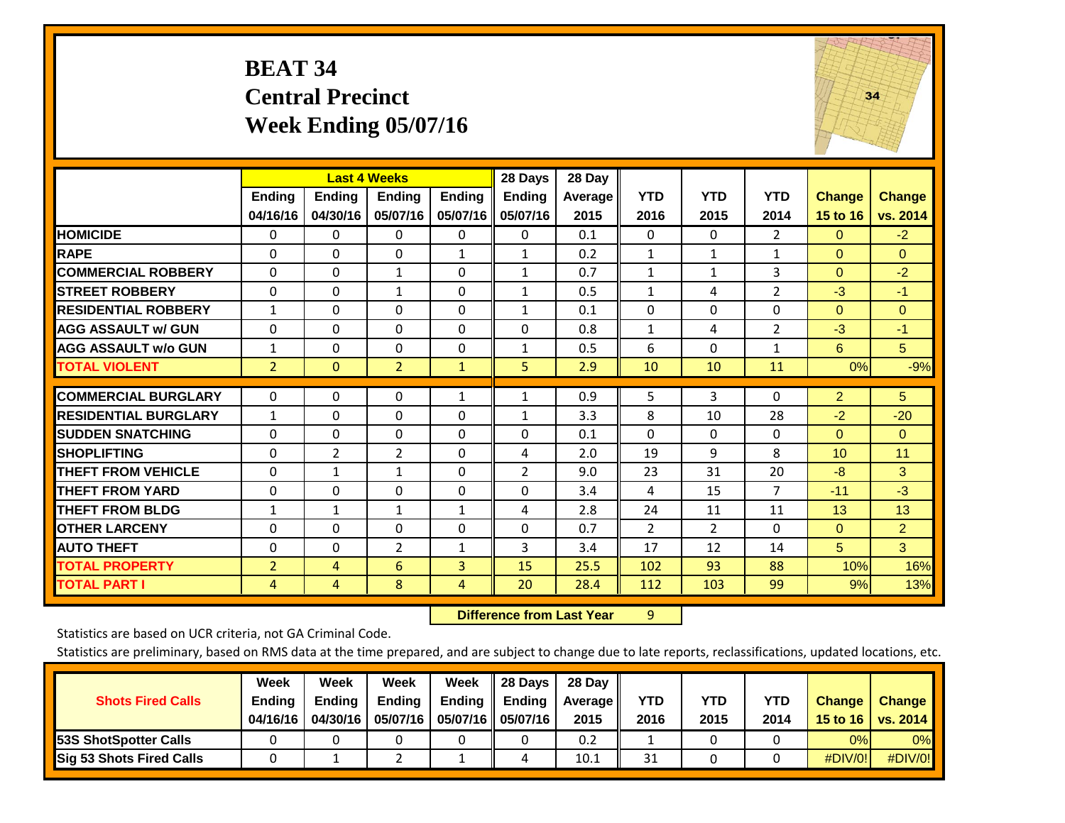#### **BEAT 34 Central Precinct Week Ending 05/07/16**



|                             |                           | <b>Last 4 Weeks</b>       |                    |                           | 28 Days                   | 28 Day             |                    |                    |                    |                           |                           |
|-----------------------------|---------------------------|---------------------------|--------------------|---------------------------|---------------------------|--------------------|--------------------|--------------------|--------------------|---------------------------|---------------------------|
|                             | <b>Ending</b><br>04/16/16 | <b>Ending</b><br>04/30/16 | Ending<br>05/07/16 | <b>Endina</b><br>05/07/16 | <b>Ending</b><br>05/07/16 | Average II<br>2015 | <b>YTD</b><br>2016 | <b>YTD</b><br>2015 | <b>YTD</b><br>2014 | <b>Change</b><br>15 to 16 | <b>Change</b><br>vs. 2014 |
| <b>HOMICIDE</b>             | 0                         | 0                         | $\mathbf{0}$       | 0                         | $\mathbf{0}$              | 0.1                | $\Omega$           | $\mathbf{0}$       | $\overline{2}$     | $\mathbf{0}$              | $-2$                      |
| <b>RAPE</b>                 | 0                         | $\Omega$                  | $\Omega$           | 1                         |                           | 0.2                | $\mathbf{1}$       | 1                  | $\mathbf{1}$       | $\Omega$                  | $\Omega$                  |
|                             |                           |                           |                    |                           | $\mathbf{1}$              |                    |                    |                    |                    |                           |                           |
| <b>COMMERCIAL ROBBERY</b>   | 0                         | 0                         | 1                  | 0                         | 1                         | 0.7                | $\mathbf{1}$       | 1                  | 3                  | $\mathbf{0}$              | $-2$                      |
| <b>ISTREET ROBBERY</b>      | $\Omega$                  | $\Omega$                  | $\mathbf{1}$       | 0                         | $\mathbf{1}$              | 0.5                | $\mathbf{1}$       | 4                  | 2                  | $-3$                      | $-1$                      |
| <b>RESIDENTIAL ROBBERY</b>  | 1                         | $\Omega$                  | $\mathbf{0}$       | 0                         | 1                         | 0.1                | $\Omega$           | $\mathbf{0}$       | 0                  | $\mathbf{0}$              | $\Omega$                  |
| <b>AGG ASSAULT w/ GUN</b>   | $\Omega$                  | 0                         | $\Omega$           | $\mathbf{0}$              | $\Omega$                  | 0.8                | $\mathbf{1}$       | 4                  | 2                  | $-3$                      | $-1$                      |
| <b>AGG ASSAULT w/o GUN</b>  | 1                         | 0                         | $\Omega$           | $\Omega$                  | 1                         | 0.5                | 6                  | $\Omega$           | $\mathbf{1}$       | 6                         | 5                         |
| <b>TOTAL VIOLENT</b>        | $\overline{2}$            | $\mathbf{0}$              | $\overline{2}$     | $\mathbf{1}$              | 5                         | 2.9                | 10                 | 10                 | 11                 | 0%                        | $-9%$                     |
| <b>COMMERCIAL BURGLARY</b>  | $\Omega$                  | 0                         | $\Omega$           | 1                         | $\mathbf{1}$              | 0.9                | 5                  | 3                  | 0                  | 2                         | 5                         |
|                             |                           |                           |                    |                           |                           |                    |                    |                    |                    |                           |                           |
| <b>RESIDENTIAL BURGLARY</b> | 1                         | 0                         | $\mathbf{0}$       | $\Omega$                  | 1                         | 3.3                | 8                  | 10                 | 28                 | $-2$                      | $-20$                     |
| <b>SUDDEN SNATCHING</b>     | $\Omega$                  | 0                         | $\mathbf{0}$       | $\mathbf{0}$              | 0                         | 0.1                | $\Omega$           | 0                  | 0                  | $\Omega$                  | $\Omega$                  |
| <b>SHOPLIFTING</b>          | $\Omega$                  | $\overline{2}$            | $\overline{2}$     | $\Omega$                  | 4                         | 2.0                | 19                 | 9                  | 8                  | 10                        | 11                        |
| <b>THEFT FROM VEHICLE</b>   | 0                         | 1                         | $\mathbf{1}$       | 0                         | 2                         | 9.0                | 23                 | 31                 | 20                 | -8                        | 3                         |
| <b>THEFT FROM YARD</b>      | $\Omega$                  | $\Omega$                  | $\mathbf{0}$       | $\mathbf{0}$              | $\Omega$                  | 3.4                | 4                  | 15                 | $\overline{7}$     | $-11$                     | $-3$                      |
| <b>THEFT FROM BLDG</b>      | 1                         | 1                         | $\mathbf{1}$       | $\mathbf{1}$              | 4                         | 2.8                | 24                 | 11                 | 11                 | 13                        | 13                        |
| <b>OTHER LARCENY</b>        | 0                         | 0                         | $\mathbf{0}$       | 0                         | $\Omega$                  | 0.7                | 2                  | $\overline{2}$     | $\Omega$           | $\mathbf{0}$              | $\overline{2}$            |
| <b>AUTO THEFT</b>           | 0                         | 0                         | $\overline{2}$     | 1                         | 3                         | 3.4                | 17                 | 12                 | 14                 | 5 <sup>5</sup>            | 3 <sup>1</sup>            |
| <b>TOTAL PROPERTY</b>       | $\overline{2}$            | 4                         | 6                  | 3                         | 15                        | 25.5               | 102                | 93                 | 88                 | 10%                       | 16%                       |
| <b>TOTAL PART I</b>         | 4                         | 4                         | 8                  | 4                         | 20                        | 28.4               | 112                | 103                | 99                 | 9%                        | 13%                       |

 **Difference from Last Year**r 9

Statistics are based on UCR criteria, not GA Criminal Code.

|                                 | Week          | Week          | Week          | Week | 28 Days                   | 28 Dav     |      |      |            |               |               |
|---------------------------------|---------------|---------------|---------------|------|---------------------------|------------|------|------|------------|---------------|---------------|
| <b>Shots Fired Calls</b>        | <b>Ending</b> | <b>Endina</b> | <b>Ending</b> |      | Ending $\parallel$ Ending | Average II | YTD  | YTD  | <b>YTD</b> | <b>Change</b> | <b>Change</b> |
|                                 | 04/16/16      | 04/30/16      | 05/07/16      |      | 05/07/16    05/07/16      | 2015       | 2016 | 2015 | 2014       | 15 to 16      | vs. 2014      |
| <b>153S ShotSpotter Calls</b>   |               |               |               |      |                           | 0.2        |      |      |            | 0%            | $0\%$         |
| <b>Sig 53 Shots Fired Calls</b> |               |               |               |      |                           | 10.1       | 31   |      |            | #DIV/0!       | $\#$ DIV/0!   |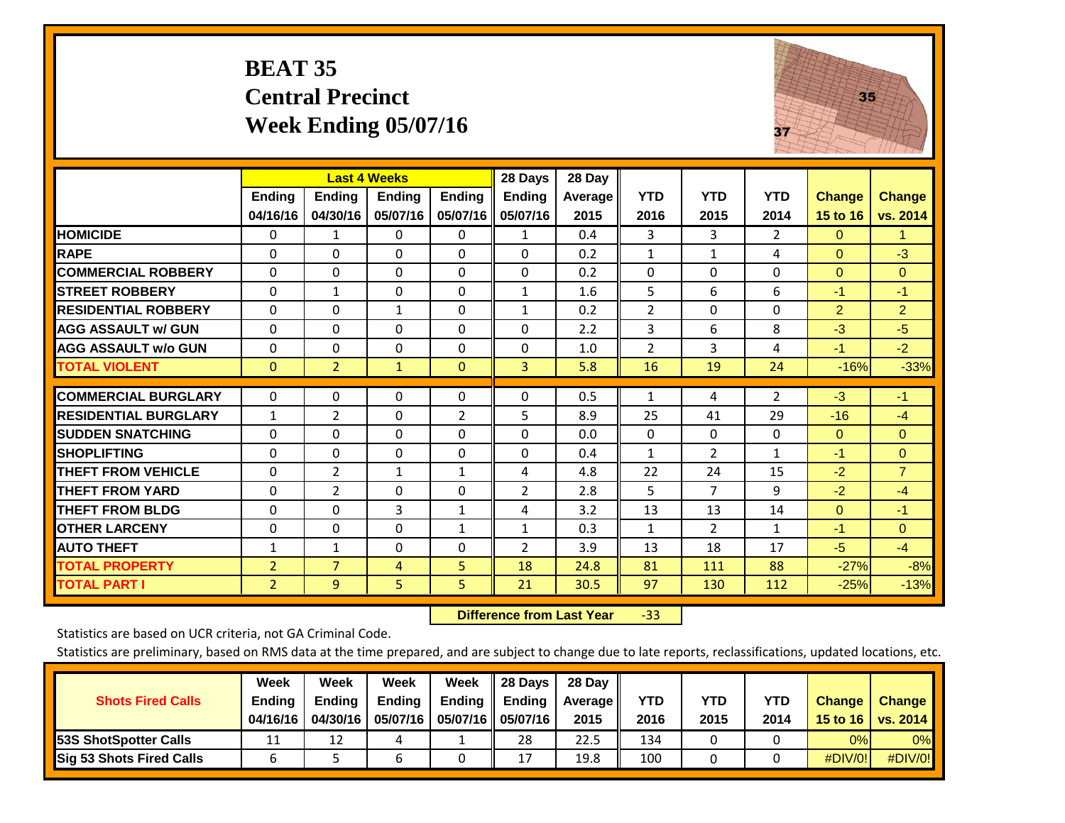#### **BEAT 35 Central Precinct Week Ending 05/07/16**



|                             |                | <b>Last 4 Weeks</b> |               |                | 28 Days       | 28 Day     |                |                |                |               |                |
|-----------------------------|----------------|---------------------|---------------|----------------|---------------|------------|----------------|----------------|----------------|---------------|----------------|
|                             | <b>Ending</b>  | <b>Ending</b>       | <b>Endina</b> | <b>Ending</b>  | <b>Ending</b> | Average II | <b>YTD</b>     | <b>YTD</b>     | <b>YTD</b>     | <b>Change</b> | <b>Change</b>  |
|                             | 04/16/16       | 04/30/16            | 05/07/16      | 05/07/16       | 05/07/16      | 2015       | 2016           | 2015           | 2014           | 15 to 16      | vs. 2014       |
| <b>HOMICIDE</b>             | 0              | 1                   | $\Omega$      | $\Omega$       | $\mathbf{1}$  | 0.4        | 3              | 3              | $\overline{2}$ | $\mathbf{0}$  | 1.             |
| <b>RAPE</b>                 | 0              | 0                   | $\Omega$      | $\Omega$       | $\Omega$      | 0.2        | $\mathbf{1}$   | $\mathbf{1}$   | 4              | $\mathbf{0}$  | $-3$           |
| <b>COMMERCIAL ROBBERY</b>   | $\Omega$       | $\Omega$            | $\Omega$      | $\Omega$       | $\Omega$      | 0.2        | $\Omega$       | $\Omega$       | $\Omega$       | $\mathbf{0}$  | $\Omega$       |
| <b>STREET ROBBERY</b>       | $\Omega$       | $\mathbf{1}$        | $\Omega$      | $\Omega$       | $\mathbf{1}$  | 1.6        | 5              | 6              | 6              | $-1$          | $-1$           |
| <b>RESIDENTIAL ROBBERY</b>  | $\Omega$       | 0                   | $\mathbf{1}$  | $\Omega$       | $\mathbf{1}$  | 0.2        | $\overline{2}$ | $\mathbf{0}$   | 0              | 2             | $\overline{2}$ |
| <b>AGG ASSAULT w/ GUN</b>   | $\Omega$       | $\Omega$            | $\Omega$      | $\Omega$       | $\Omega$      | 2.2        | 3              | 6              | 8              | $-3$          | $-5$           |
| <b>AGG ASSAULT w/o GUN</b>  | $\Omega$       | 0                   | $\mathbf{0}$  | $\Omega$       | $\Omega$      | 1.0        | $\overline{2}$ | 3              | 4              | $-1$          | $-2$           |
| <b>TOTAL VIOLENT</b>        | $\mathbf 0$    | $\overline{2}$      | $\mathbf{1}$  | $\mathbf{0}$   | 3             | 5.8        | 16             | 19             | 24             | $-16%$        | $-33%$         |
| <b>COMMERCIAL BURGLARY</b>  | $\mathbf 0$    | 0                   | 0             | 0              | $\Omega$      | 0.5        | 1              | 4              | 2              | $-3$          | $-1$           |
|                             |                |                     |               |                |               |            |                |                |                |               |                |
| <b>RESIDENTIAL BURGLARY</b> | $\mathbf{1}$   | $\overline{2}$      | $\Omega$      | $\overline{2}$ | 5             | 8.9        | 25             | 41             | 29             | $-16$         | $-4$           |
| <b>SUDDEN SNATCHING</b>     | 0              | $\Omega$            | $\Omega$      | $\mathbf{0}$   | $\Omega$      | 0.0        | $\Omega$       | $\Omega$       | 0              | $\mathbf{0}$  | $\Omega$       |
| <b>SHOPLIFTING</b>          | $\Omega$       | $\Omega$            | $\Omega$      | $\Omega$       | $\Omega$      | 0.4        | $\mathbf{1}$   | 2              | $\mathbf{1}$   | $-1$          | $\mathbf{0}$   |
| <b>THEFT FROM VEHICLE</b>   | 0              | $\overline{2}$      | 1             | $\mathbf{1}$   | 4             | 4.8        | 22             | 24             | 15             | $-2$          | $\overline{7}$ |
| <b>THEFT FROM YARD</b>      | $\Omega$       | $\overline{2}$      | $\Omega$      | $\mathbf 0$    | 2             | 2.8        | 5              | $\overline{7}$ | 9              | $-2$          | $-4$           |
| <b>THEFT FROM BLDG</b>      | 0              | $\Omega$            | 3             | $\mathbf{1}$   | 4             | 3.2        | 13             | 13             | 14             | $\Omega$      | $-1$           |
| <b>OTHER LARCENY</b>        | 0              | $\Omega$            | $\Omega$      | 1              | $\mathbf{1}$  | 0.3        | $\mathbf{1}$   | $\overline{2}$ | $\mathbf{1}$   | $-1$          | $\Omega$       |
| <b>AUTO THEFT</b>           | $\mathbf{1}$   | $\mathbf{1}$        | $\Omega$      | $\Omega$       | 2             | 3.9        | 13             | 18             | 17             | $-5$          | $-4$           |
| <b>TOTAL PROPERTY</b>       | $\overline{2}$ | $\overline{7}$      | 4             | 5              | 18            | 24.8       | 81             | 111            | 88             | $-27%$        | $-8%$          |
| <b>TOTAL PART I</b>         | $\overline{2}$ | 9                   | 5.            | 5              | 21            | 30.5       | 97             | 130            | 112            | $-25%$        | $-13%$         |

 **Difference from Last Year**‐33

Statistics are based on UCR criteria, not GA Criminal Code.

|                                 | Week          | Week          | <b>Week</b> | Week   | 28 Days              | 28 Day     |      |      |            |               |                 |
|---------------------------------|---------------|---------------|-------------|--------|----------------------|------------|------|------|------------|---------------|-----------------|
| <b>Shots Fired Calls</b>        | <b>Ending</b> | <b>Endina</b> | Ending      | Ending | <b>Ending</b>        | Average II | YTD  | YTD  | <b>YTD</b> | <b>Change</b> | <b>Change</b>   |
|                                 | 04/16/16      | 04/30/16      | 05/07/16    |        | 05/07/16    05/07/16 | 2015       | 2016 | 2015 | 2014       | 15 to 16      | <b>VS. 2014</b> |
| <b>53S ShotSpotter Calls</b>    | 11            | 12            |             |        | 28                   | 22.5       | 134  |      |            | 0%            | 0%              |
| <b>Sig 53 Shots Fired Calls</b> | b             |               | b           |        | 17                   | 19.8       | 100  |      |            | #DIV/0!       | #DIV/0!         |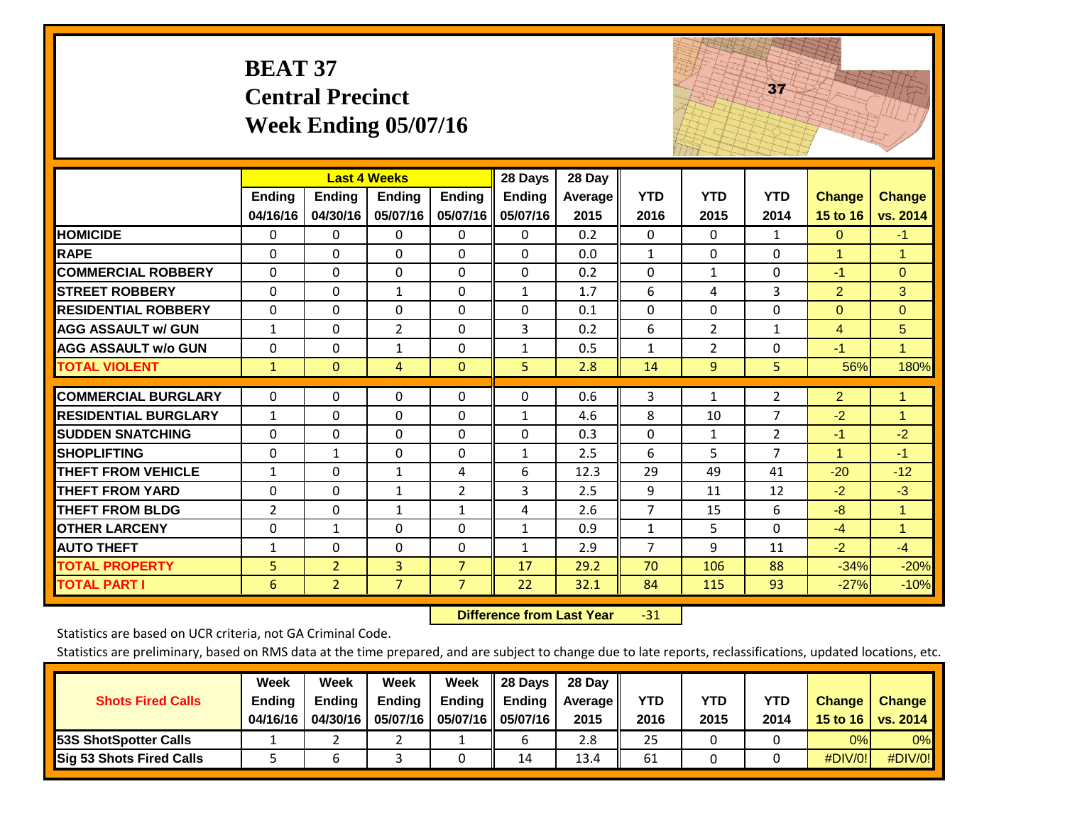|                             | <b>BEAT 37</b>            | <b>Central Precinct</b>   | Week Ending $05/07/16$                           |                           |                                      |                           |                    |                    | 37                 |                           |                           |
|-----------------------------|---------------------------|---------------------------|--------------------------------------------------|---------------------------|--------------------------------------|---------------------------|--------------------|--------------------|--------------------|---------------------------|---------------------------|
|                             | <b>Ending</b><br>04/16/16 | <b>Ending</b><br>04/30/16 | <b>Last 4 Weeks</b><br><b>Ending</b><br>05/07/16 | <b>Ending</b><br>05/07/16 | 28 Days<br><b>Ending</b><br>05/07/16 | 28 Day<br>Average<br>2015 | <b>YTD</b><br>2016 | <b>YTD</b><br>2015 | <b>YTD</b><br>2014 | <b>Change</b><br>15 to 16 | <b>Change</b><br>vs. 2014 |
| <b>HOMICIDE</b>             | 0                         | 0                         | 0                                                | $\mathbf{0}$              | 0                                    | 0.2                       | $\Omega$           | 0                  | $\mathbf{1}$       | $\mathbf{0}$              | $-1$                      |
| <b>RAPE</b>                 | $\Omega$                  | $\Omega$                  | $\Omega$                                         | $\Omega$                  | $\Omega$                             | 0.0                       | $\mathbf{1}$       | $\Omega$           | $\Omega$           | $\mathbf{1}$              | $\mathbf{1}$              |
| <b>COMMERCIAL ROBBERY</b>   | $\Omega$                  | $\Omega$                  | $\mathbf 0$                                      | $\Omega$                  | $\mathbf 0$                          | 0.2                       | $\Omega$           | $\mathbf{1}$       | $\Omega$           | $-1$                      | $\Omega$                  |
| <b>STREET ROBBERY</b>       | $\Omega$                  | $\Omega$                  | $\mathbf{1}$                                     | $\Omega$                  | $\mathbf{1}$                         | 1.7                       | 6                  | 4                  | 3                  | $\overline{2}$            | 3                         |
| <b>RESIDENTIAL ROBBERY</b>  | $\Omega$                  | $\Omega$                  | 0                                                | $\Omega$                  | 0                                    | 0.1                       | $\Omega$           | $\Omega$           | $\Omega$           | $\Omega$                  | $\overline{0}$            |
| <b>AGG ASSAULT w/ GUN</b>   | $\mathbf{1}$              | $\mathbf 0$               | $\overline{2}$                                   | $\Omega$                  | 3                                    | 0.2                       | 6                  | $\overline{2}$     | $\mathbf{1}$       | $\overline{4}$            | 5                         |
| <b>AGG ASSAULT w/o GUN</b>  | $\Omega$                  | $\mathbf 0$               | $\mathbf 1$                                      | $\Omega$                  | $\mathbf{1}$                         | 0.5                       | $\mathbf{1}$       | $\overline{2}$     | $\Omega$           | $-1$                      | $\mathbf{1}$              |
| <b>TOTAL VIOLENT</b>        | $\mathbf{1}$              | $\overline{0}$            | $\overline{4}$                                   | $\Omega$                  | 5                                    | 2.8                       | 14                 | 9                  | 5                  | 56%                       | 180%                      |
| <b>COMMERCIAL BURGLARY</b>  | $\Omega$                  | $\Omega$                  | 0                                                | 0                         | $\Omega$                             | 0.6                       | 3                  | $\mathbf{1}$       | $\overline{2}$     | $\overline{2}$            | 1.                        |
| <b>RESIDENTIAL BURGLARY</b> | $\mathbf{1}$              | $\Omega$                  | $\Omega$                                         | $\Omega$                  | $\mathbf{1}$                         | 4.6                       | 8                  | 10                 | $\overline{7}$     | $-2$                      | $\mathbf{1}$              |
| <b>SUDDEN SNATCHING</b>     | 0                         | 0                         | 0                                                | 0                         | 0                                    | 0.3                       | 0                  | $\mathbf{1}$       | $\overline{2}$     | $-1$                      | $-2$                      |
| <b>SHOPLIFTING</b>          | 0                         | $\mathbf{1}$              | 0                                                | 0                         | 1                                    | 2.5                       | 6                  | 5                  | $\overline{7}$     | $\mathbf{1}$              | $-1$                      |
| <b>THEFT FROM VEHICLE</b>   | $\mathbf{1}$              | $\Omega$                  | $\mathbf{1}$                                     | 4                         | 6                                    | 12.3                      | 29                 | 49                 | 41                 | $-20$                     | $-12$                     |
| <b>THEFT FROM YARD</b>      | $\Omega$                  | $\Omega$                  | $\mathbf{1}$                                     | $\overline{2}$            | 3                                    | 2.5                       | 9                  | 11                 | 12                 | $-2$                      | $-3$                      |
| <b>THEFT FROM BLDG</b>      | $\overline{2}$            | $\Omega$                  | $\mathbf{1}$                                     | $\mathbf{1}$              | 4                                    | 2.6                       | $\overline{7}$     | 15                 | 6                  | $-8$                      | $\mathbf{1}$              |
| <b>OTHER LARCENY</b>        | 0                         | $\mathbf{1}$              | 0                                                | 0                         | $\mathbf{1}$                         | 0.9                       | $\mathbf{1}$       | 5                  | $\Omega$           | $-4$                      | $\mathbf{1}$              |
| <b>AUTO THEFT</b>           | $\mathbf{1}$              | 0                         | 0                                                | 0                         | $\mathbf{1}$                         | 2.9                       | $\overline{7}$     | 9                  | 11                 | $-2$                      | $-4$                      |
| <b>TOTAL PROPERTY</b>       | 5                         | $\overline{2}$            | $\overline{3}$                                   | $\overline{7}$            | 17                                   | 29.2                      | 70                 | 106                | 88                 | $-34%$                    | $-20%$                    |
| <b>TOTAL PART I</b>         | 6                         | $\overline{2}$            | $\overline{7}$                                   | $\overline{7}$            | 22                                   | 32.1                      | 84                 | 115                | 93                 | $-27%$                    | $-10%$                    |

 **Difference from Last Year**‐31 and the state of the state of the state

Statistics are based on UCR criteria, not GA Criminal Code.

| <b>Shots Fired Calls</b>        | Week<br><b>Ending</b><br>04/16/16 | Week<br><b>Endina</b><br>04/30/16 | Week<br>Ending<br>05/07/16 | Week<br>Ending | 28 Days<br><b>Ending</b><br>05/07/16    05/07/16 | 28 Day<br>Average II<br>2015 | YTD<br>2016 | YTD<br>2015 | YTD<br>2014 | <b>Change</b><br>15 to 16 $\vert$ | <b>Change</b><br>vs. 2014 |
|---------------------------------|-----------------------------------|-----------------------------------|----------------------------|----------------|--------------------------------------------------|------------------------------|-------------|-------------|-------------|-----------------------------------|---------------------------|
| <b>153S ShotSpotter Calls</b>   |                                   |                                   |                            |                |                                                  | 2.8                          | 25          |             |             | 0%                                | 0%                        |
| <b>Sig 53 Shots Fired Calls</b> |                                   |                                   |                            |                | 14                                               | 13.4                         | 61          |             |             | #DIV/0!                           | #DIV/0!                   |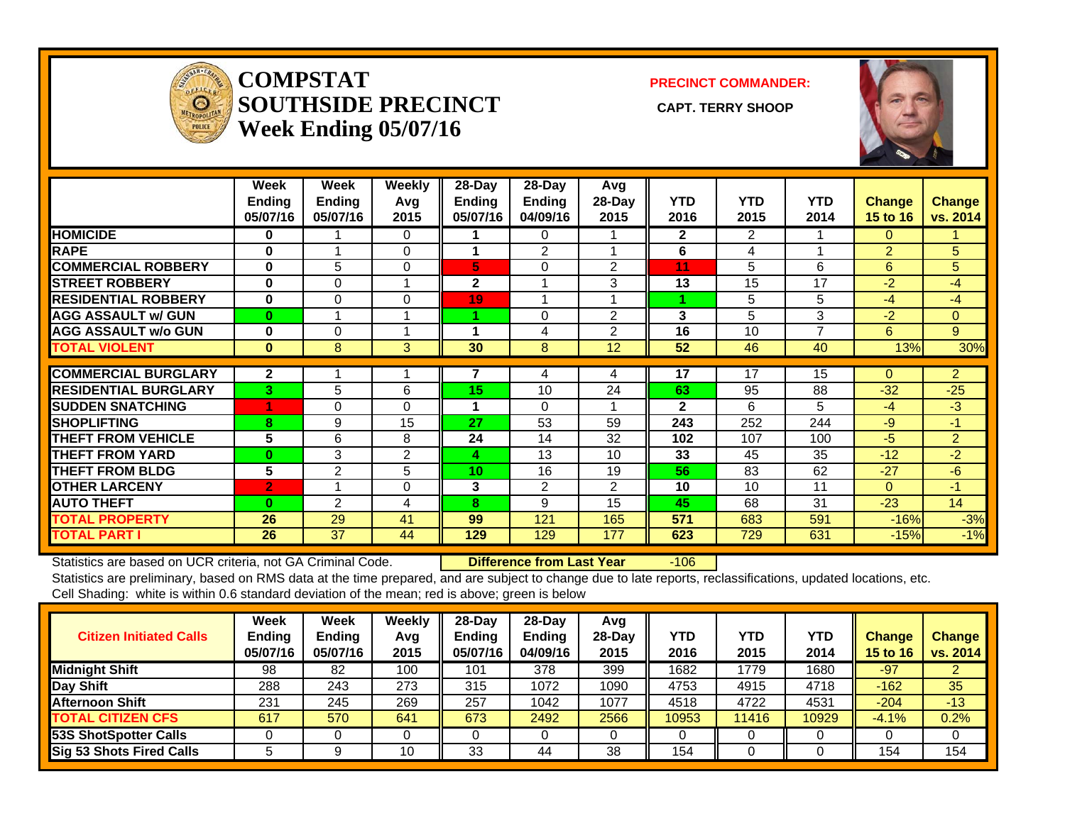

#### **COMPSTATSOUTHSIDE PRECINCT** CAPT. TERRY SHOOP **Week Ending 05/07/16**

**PRECINCT COMMANDER:**



|                             | Week<br><b>Ending</b><br>05/07/16 | Week<br><b>Ending</b><br>05/07/16 | Weekly<br>Avg<br>2015 | 28-Day<br><b>Endina</b><br>05/07/16 | $28-Day$<br><b>Ending</b><br>04/09/16 | Avg<br>28-Day<br>2015 | <b>YTD</b><br>2016 | <b>YTD</b><br>2015 | <b>YTD</b><br>2014       | <b>Change</b><br><b>15 to 16</b> | <b>Change</b><br>vs. 2014 |
|-----------------------------|-----------------------------------|-----------------------------------|-----------------------|-------------------------------------|---------------------------------------|-----------------------|--------------------|--------------------|--------------------------|----------------------------------|---------------------------|
| <b>HOMICIDE</b>             | 0                                 |                                   | $\Omega$              |                                     | 0                                     |                       | $\mathbf{2}$       | 2                  |                          | 0                                |                           |
| <b>RAPE</b>                 | 0                                 |                                   | 0                     |                                     | 2                                     |                       | 6                  | 4                  |                          | $\overline{2}$                   | 5                         |
| <b>COMMERCIAL ROBBERY</b>   | $\bf{0}$                          | 5                                 | 0                     | 5                                   | 0                                     | 2                     | 11                 | 5                  | 6                        | 6                                | 5 <sup>5</sup>            |
| <b>STREET ROBBERY</b>       | $\bf{0}$                          | 0                                 | 1                     | $\mathbf 2$                         | 4                                     | 3                     | 13                 | 15                 | 17                       | $-2$                             | -4                        |
| <b>RESIDENTIAL ROBBERY</b>  | $\bf{0}$                          | 0                                 | 0                     | 19                                  | и                                     |                       | 4                  | 5                  | 5                        | $-4$                             | $-4$                      |
| <b>AGG ASSAULT w/ GUN</b>   | $\bf{0}$                          |                                   |                       |                                     | 0                                     | $\overline{2}$        | 3                  | 5                  | 3                        | $-2$                             | $\mathbf{0}$              |
| <b>AGG ASSAULT w/o GUN</b>  | 0                                 | $\Omega$                          |                       | 1                                   | 4                                     | $\overline{2}$        | 16                 | 10                 | $\overline{\phantom{a}}$ | 6                                | 9                         |
| <b>TOTAL VIOLENT</b>        | $\bf{0}$                          | 8                                 | 3                     | 30                                  | 8                                     | 12                    | 52                 | 46                 | 40                       | 13%                              | 30%                       |
|                             |                                   |                                   |                       |                                     |                                       |                       |                    |                    |                          |                                  |                           |
| <b>COMMERCIAL BURGLARY</b>  | $\mathbf{2}$                      |                                   |                       | 7                                   | 4                                     | 4                     | $\overline{17}$    | 17                 | 15                       | $\Omega$                         | $\overline{2}$            |
| <b>RESIDENTIAL BURGLARY</b> | 3                                 | 5                                 | 6                     | 15                                  | 10                                    | 24                    | 63                 | 95                 | 88                       | $-32$                            | $-25$                     |
| <b>SUDDEN SNATCHING</b>     | 1                                 | 0                                 | 0                     | 1                                   | 0                                     |                       | $\mathbf{2}$       | 6                  | 5                        | $-4$                             | $-3$                      |
| <b>SHOPLIFTING</b>          | 8                                 | 9                                 | 15                    | 27                                  | 53                                    | 59                    | 243                | 252                | 244                      | $-9$                             | -1                        |
| <b>THEFT FROM VEHICLE</b>   | 5                                 | 6                                 | 8                     | 24                                  | 14                                    | 32                    | 102                | 107                | 100                      | $-5$                             | $\overline{2}$            |
| <b>THEFT FROM YARD</b>      | $\bf{0}$                          | 3                                 | $\overline{2}$        | 4                                   | 13                                    | 10                    | 33                 | 45                 | 35                       | $-12$                            | $-2$                      |
| <b>THEFT FROM BLDG</b>      | 5                                 | 2                                 | 5                     | 10 <sub>1</sub>                     | 16                                    | 19                    | 56                 | 83                 | 62                       | $-27$                            | $-6$                      |
| <b>OTHER LARCENY</b>        | $\overline{2}$                    |                                   | 0                     | 3                                   | 2                                     | $\overline{2}$        | 10                 | 10                 | 11                       | $\Omega$                         | -1                        |
| <b>AUTO THEFT</b>           | $\bf{0}$                          | 2                                 | 4                     | 8                                   | 9                                     | 15                    | 45                 | 68                 | 31                       | $-23$                            | 14                        |
| <b>TOTAL PROPERTY</b>       | 26                                | 29                                | 41                    | 99                                  | 121                                   | 165                   | 571                | 683                | 591                      | $-16%$                           | $-3%$                     |
| <b>TOTAL PART I</b>         | 26                                | 37                                | 44                    | 129                                 | 129                                   | 177                   | 623                | 729                | 631                      | $-15%$                           | $-1%$                     |

Statistics are based on UCR criteria, not GA Criminal Code. **Difference from Last Year** -106

Statistics are preliminary, based on RMS data at the time prepared, and are subject to change due to late reports, reclassifications, updated locations, etc. Cell Shading: white is within 0.6 standard deviation of the mean; red is above; green is below

| <b>Citizen Initiated Calls</b> | <b>Week</b><br>Ending<br>05/07/16 | <b>Week</b><br><b>Ending</b><br>05/07/16 | Weekly<br>Avg<br>2015 | $28 - Day$<br><b>Endina</b><br>05/07/16 | $28$ -Day<br><b>Ending</b><br>04/09/16 | Avg<br>$28-Dav$<br>2015 | YTD<br>2016 | YTD<br>2015 | YTD<br>2014 | <b>Change</b><br>15 to 16 | <b>Change</b><br>vs. 2014 |
|--------------------------------|-----------------------------------|------------------------------------------|-----------------------|-----------------------------------------|----------------------------------------|-------------------------|-------------|-------------|-------------|---------------------------|---------------------------|
| <b>Midnight Shift</b>          | 98                                | 82                                       | 100                   | 101                                     | 378                                    | 399                     | 1682        | 1779        | 1680        | $-97$                     |                           |
| Day Shift                      | 288                               | 243                                      | 273                   | 315                                     | 1072                                   | 1090                    | 4753        | 4915        | 4718        | $-162$                    | 35                        |
| <b>Afternoon Shift</b>         | 231                               | 245                                      | 269                   | 257                                     | 1042                                   | 1077                    | 4518        | 4722        | 4531        | $-204$                    | $-13$                     |
| <b>TOTAL CITIZEN CFS</b>       | 617                               | 570                                      | 641                   | 673                                     | 2492                                   | 2566                    | 10953       | 11416       | 10929       | $-4.1%$                   | 0.2%                      |
| 53S ShotSpotter Calls          |                                   |                                          |                       |                                         |                                        |                         |             |             |             |                           |                           |
| Sig 53 Shots Fired Calls       |                                   |                                          | 10                    | 33                                      | 44                                     | 38                      | 154         |             |             | 154                       | 154                       |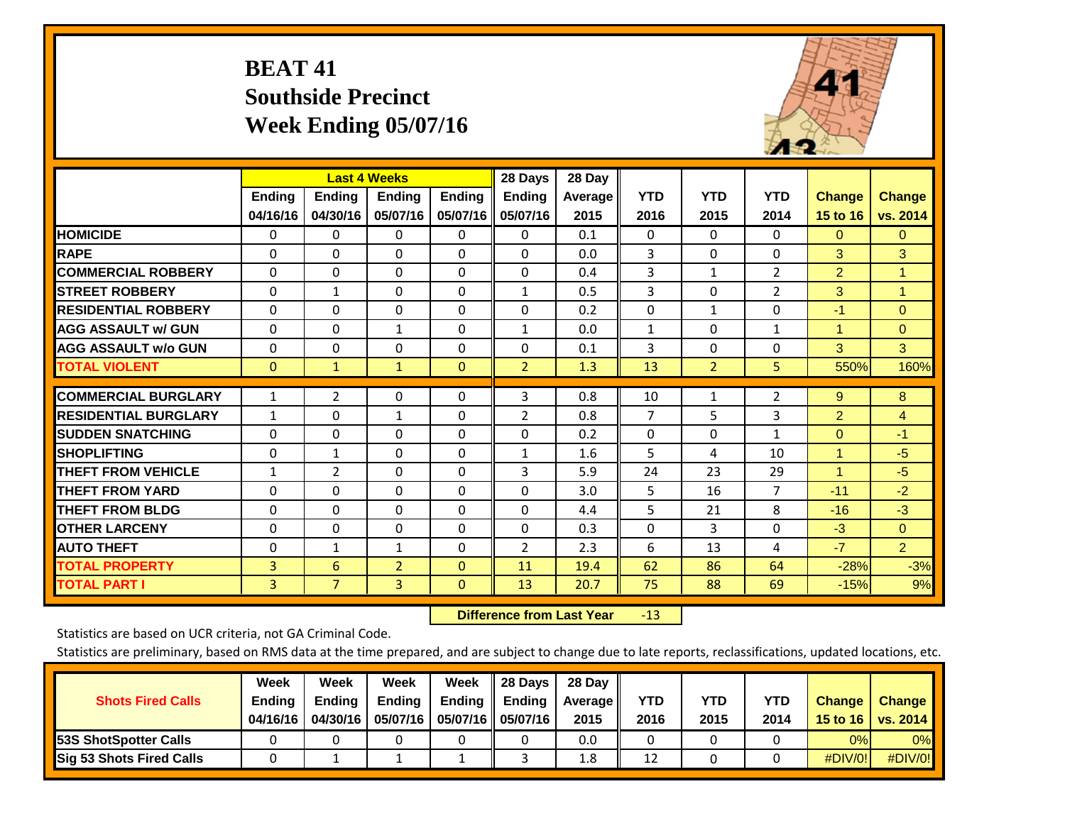## **BEAT 41 Southside Precinct Week Ending 05/07/16**



|                             |               | <b>Last 4 Weeks</b> |                |               | 28 Days        | 28 Day  |                |                |                |                |                |
|-----------------------------|---------------|---------------------|----------------|---------------|----------------|---------|----------------|----------------|----------------|----------------|----------------|
|                             | <b>Ending</b> | Ending              | <b>Ending</b>  | <b>Ending</b> | <b>Ending</b>  | Average | <b>YTD</b>     | <b>YTD</b>     | <b>YTD</b>     | <b>Change</b>  | <b>Change</b>  |
|                             | 04/16/16      | 04/30/16            | 05/07/16       | 05/07/16      | 05/07/16       | 2015    | 2016           | 2015           | 2014           | 15 to 16       | vs. 2014       |
| <b>HOMICIDE</b>             | 0             | 0                   | $\mathbf 0$    | 0             | 0              | 0.1     | $\Omega$       | $\mathbf{0}$   | $\Omega$       | $\mathbf{0}$   | $\overline{0}$ |
| <b>RAPE</b>                 | $\Omega$      | 0                   | $\Omega$       | 0             | $\Omega$       | 0.0     | 3              | $\Omega$       | 0              | 3              | 3              |
| <b>COMMERCIAL ROBBERY</b>   | $\Omega$      | $\Omega$            | $\Omega$       | $\Omega$      | $\Omega$       | 0.4     | 3              | $\mathbf{1}$   | $\overline{2}$ | $\overline{2}$ | $\mathbf{1}$   |
| <b>ISTREET ROBBERY</b>      | $\mathbf 0$   | $\mathbf{1}$        | $\Omega$       | 0             | 1              | 0.5     | 3              | $\Omega$       | 2              | 3              | 1              |
| <b>IRESIDENTIAL ROBBERY</b> | $\Omega$      | $\Omega$            | $\mathbf{0}$   | $\Omega$      | $\Omega$       | 0.2     | $\mathbf{0}$   | $\mathbf{1}$   | 0              | $-1$           | $\Omega$       |
| <b>AGG ASSAULT w/ GUN</b>   | $\Omega$      | $\Omega$            | $\mathbf{1}$   | $\Omega$      | $\mathbf{1}$   | 0.0     | $\mathbf{1}$   | $\Omega$       | $\mathbf{1}$   | 1              | $\mathbf{0}$   |
| <b>AGG ASSAULT w/o GUN</b>  | 0             | $\Omega$            | $\Omega$       | $\Omega$      | $\Omega$       | 0.1     | 3              | $\Omega$       | 0              | 3              | 3              |
| <b>TOTAL VIOLENT</b>        | $\mathbf{0}$  | 1                   | 1              | $\mathbf{0}$  | $\overline{2}$ | 1.3     | 13             | $\overline{2}$ | 5              | 550%           | 160%           |
|                             |               |                     |                |               |                |         |                |                |                |                |                |
| <b>COMMERCIAL BURGLARY</b>  | 1             | $\overline{2}$      | $\mathbf{0}$   | $\Omega$      | 3              | 0.8     | 10             | $\mathbf{1}$   | 2              | 9              | 8              |
| <b>RESIDENTIAL BURGLARY</b> | $\mathbf{1}$  | $\Omega$            | 1              | $\Omega$      | $\overline{2}$ | 0.8     | $\overline{7}$ | 5              | 3              | $\overline{2}$ | $\overline{4}$ |
| <b>SUDDEN SNATCHING</b>     | $\Omega$      | $\Omega$            | $\Omega$       | $\Omega$      | $\Omega$       | 0.2     | $\mathbf{0}$   | $\Omega$       | $\mathbf{1}$   | $\Omega$       | $-1$           |
| <b>SHOPLIFTING</b>          | $\Omega$      | 1                   | $\mathbf{0}$   | $\Omega$      | $\mathbf{1}$   | 1.6     | 5              | 4              | 10             | $\mathbf{1}$   | $-5$           |
| <b>THEFT FROM VEHICLE</b>   | $\mathbf{1}$  | 2                   | $\Omega$       | $\Omega$      | 3              | 5.9     | 24             | 23             | 29             | 1              | $-5$           |
| <b>THEFT FROM YARD</b>      | $\Omega$      | $\Omega$            | $\Omega$       | $\Omega$      | $\Omega$       | 3.0     | 5              | 16             | $\overline{7}$ | $-11$          | $-2$           |
| <b>THEFT FROM BLDG</b>      | 0             | $\Omega$            | $\mathbf{0}$   | $\Omega$      | 0              | 4.4     | 5              | 21             | 8              | $-16$          | $-3$           |
| <b>OTHER LARCENY</b>        | $\Omega$      | $\Omega$            | $\Omega$       | $\Omega$      | 0              | 0.3     | $\mathbf{0}$   | 3              | 0              | $-3$           | $\Omega$       |
| <b>AUTO THEFT</b>           | $\Omega$      | $\mathbf{1}$        | 1              | $\Omega$      | $\overline{2}$ | 2.3     | 6              | 13             | 4              | $-7$           | 2 <sup>1</sup> |
| <b>TOTAL PROPERTY</b>       | 3             | 6                   | $\overline{2}$ | $\Omega$      | 11             | 19.4    | 62             | 86             | 64             | $-28%$         | $-3%$          |
| <b>TOTAL PART I</b>         | 3             | $\overline{7}$      | $\overline{3}$ | $\mathbf{0}$  | 13             | 20.7    | 75             | 88             | 69             | $-15%$         | 9%             |

 **Difference from Last Year**r -13

Statistics are based on UCR criteria, not GA Criminal Code.

|                                 | Week          | Week          | <b>Week</b> | Week   | 28 Days             | 28 Day     |      |      |      |                  |                 |
|---------------------------------|---------------|---------------|-------------|--------|---------------------|------------|------|------|------|------------------|-----------------|
| <b>Shots Fired Calls</b>        | <b>Ending</b> | <b>Ending</b> | Ending      | Ending | <b>Ending</b>       | Average II | YTD  | YTD  | YTD  | <b>Change</b>    | <b>Change</b>   |
|                                 | 04/16/16      | 04/30/16      | 05/07/16    |        | 05/07/16   05/07/16 | 2015       | 2016 | 2015 | 2014 | 15 to 16 $\vert$ | <b>VS. 2014</b> |
| <b>153S ShotSpotter Calls</b>   |               |               |             |        |                     | 0.0        |      |      |      | 0%               | 0%              |
| <b>Sig 53 Shots Fired Calls</b> |               |               |             |        |                     | 1.8        | 12   |      |      | #DIV/0!          | #DIV/0!         |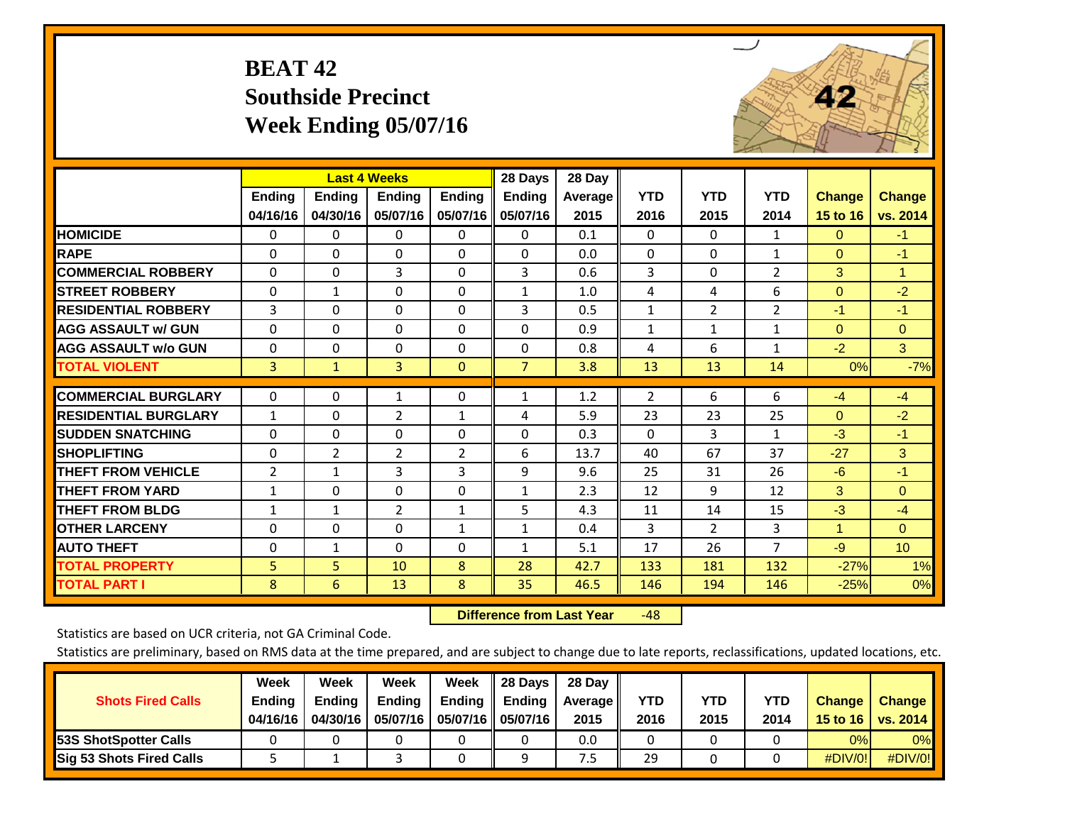## **BEAT 42 Southside Precinct Week Ending 05/07/16**



|                             |                | <b>Last 4 Weeks</b> |                |                | 28 Days        | 28 Day  |                |                |                |                |                 |
|-----------------------------|----------------|---------------------|----------------|----------------|----------------|---------|----------------|----------------|----------------|----------------|-----------------|
|                             | <b>Ending</b>  | <b>Ending</b>       | <b>Ending</b>  | <b>Ending</b>  | <b>Ending</b>  | Average | <b>YTD</b>     | <b>YTD</b>     | <b>YTD</b>     | <b>Change</b>  | <b>Change</b>   |
|                             | 04/16/16       | 04/30/16            | 05/07/16       | 05/07/16       | 05/07/16       | 2015    | 2016           | 2015           | 2014           | 15 to 16       | vs. 2014        |
| <b>HOMICIDE</b>             | 0              | $\mathbf{0}$        | 0              | 0              | $\Omega$       | 0.1     | $\Omega$       | $\Omega$       | 1              | $\Omega$       | $-1$            |
| <b>RAPE</b>                 | $\Omega$       | $\Omega$            | $\Omega$       | $\Omega$       | 0              | 0.0     | $\Omega$       | $\Omega$       | 1              | $\Omega$       | $-1$            |
| <b>COMMERCIAL ROBBERY</b>   | $\Omega$       | $\Omega$            | 3              | $\Omega$       | 3              | 0.6     | 3              | $\Omega$       | $\overline{2}$ | 3              | 1               |
| <b>STREET ROBBERY</b>       | $\mathbf 0$    | $\mathbf 1$         | $\Omega$       | $\Omega$       | $\mathbf{1}$   | 1.0     | 4              | 4              | 6              | $\mathbf{0}$   | $-2$            |
| <b>RESIDENTIAL ROBBERY</b>  | 3              | $\Omega$            | $\Omega$       | $\Omega$       | 3              | 0.5     | $\mathbf{1}$   | $\overline{2}$ | $\overline{2}$ | $-1$           | $-1$            |
| <b>AGG ASSAULT w/ GUN</b>   | $\Omega$       | $\Omega$            | $\Omega$       | $\Omega$       | $\Omega$       | 0.9     | $\mathbf{1}$   | $\mathbf{1}$   | $\mathbf{1}$   | $\Omega$       | $\mathbf{0}$    |
| <b>AGG ASSAULT w/o GUN</b>  | $\Omega$       | $\Omega$            | $\Omega$       | 0              | 0              | 0.8     | 4              | 6              | $\mathbf{1}$   | $-2$           | 3               |
| <b>TOTAL VIOLENT</b>        | 3              | $\mathbf{1}$        | 3              | $\Omega$       | $\overline{7}$ | 3.8     | 13             | 13             | 14             | 0%             | $-7%$           |
| <b>COMMERCIAL BURGLARY</b>  | 0              | $\Omega$            | 1              | 0              | $\mathbf{1}$   | 1.2     | $\overline{2}$ | 6              | 6              | $-4$           | $-4$            |
|                             |                |                     |                |                |                |         |                |                |                |                |                 |
| <b>RESIDENTIAL BURGLARY</b> | $\mathbf{1}$   | $\Omega$            | $\overline{2}$ | $\mathbf{1}$   | 4              | 5.9     | 23             | 23             | 25             | $\Omega$       | $-2$            |
| <b>SUDDEN SNATCHING</b>     | $\Omega$       | $\Omega$            | $\Omega$       | $\Omega$       | 0              | 0.3     | $\mathbf{0}$   | 3              | $\mathbf{1}$   | $-3$           | $-1$            |
| <b>SHOPLIFTING</b>          | $\Omega$       | $\overline{2}$      | $\overline{2}$ | $\overline{2}$ | 6              | 13.7    | 40             | 67             | 37             | $-27$          | 3               |
| <b>THEFT FROM VEHICLE</b>   | $\overline{2}$ | $\mathbf{1}$        | 3              | 3              | 9              | 9.6     | 25             | 31             | 26             | $-6$           | $-1$            |
| <b>THEFT FROM YARD</b>      | $\mathbf{1}$   | $\Omega$            | $\Omega$       | $\Omega$       | $\mathbf{1}$   | 2.3     | 12             | 9              | 12             | 3              | $\Omega$        |
| <b>THEFT FROM BLDG</b>      | $\mathbf{1}$   | $\mathbf{1}$        | $\overline{2}$ | $\mathbf{1}$   | 5              | 4.3     | 11             | 14             | 15             | $-3$           | $-4$            |
| <b>OTHER LARCENY</b>        | $\Omega$       | $\Omega$            | $\Omega$       | $\mathbf{1}$   | $\mathbf{1}$   | 0.4     | 3              | $\overline{2}$ | 3              | $\blacksquare$ | $\Omega$        |
| <b>AUTO THEFT</b>           | $\mathbf 0$    | $\mathbf{1}$        | $\Omega$       | 0              | $\mathbf{1}$   | 5.1     | 17             | 26             | $\overline{7}$ | $-9$           | 10 <sup>°</sup> |
| <b>TOTAL PROPERTY</b>       | 5              | 5                   | 10             | 8              | 28             | 42.7    | 133            | 181            | 132            | $-27%$         | 1%              |
| <b>TOTAL PART I</b>         | 8              | 6                   | 13             | 8              | 35             | 46.5    | 146            | 194            | 146            | $-25%$         | 0%              |

 **Difference from Last Year**r -48

Statistics are based on UCR criteria, not GA Criminal Code.

| <b>Shots Fired Calls</b>        | Week<br><b>Ending</b><br>04/16/16 | Week<br><b>Endina</b><br>04/30/16 | Week<br>Ending<br>05/07/16 | Week<br>Ending | 28 Days<br><b>Ending</b><br>05/07/16    05/07/16 | 28 Day<br>Average II<br>2015 | YTD<br>2016 | YTD<br>2015 | YTD<br>2014 | <b>Change</b><br>15 to 16 $\vert$ | <b>Change</b><br>vs. 2014 |
|---------------------------------|-----------------------------------|-----------------------------------|----------------------------|----------------|--------------------------------------------------|------------------------------|-------------|-------------|-------------|-----------------------------------|---------------------------|
| <b>153S ShotSpotter Calls</b>   |                                   |                                   |                            |                |                                                  | 0.0                          |             |             |             | 0%                                | 0%                        |
| <b>Sig 53 Shots Fired Calls</b> |                                   |                                   |                            |                |                                                  | כ.'                          | 29          |             |             | #DIV/0!                           | #DIV/0!                   |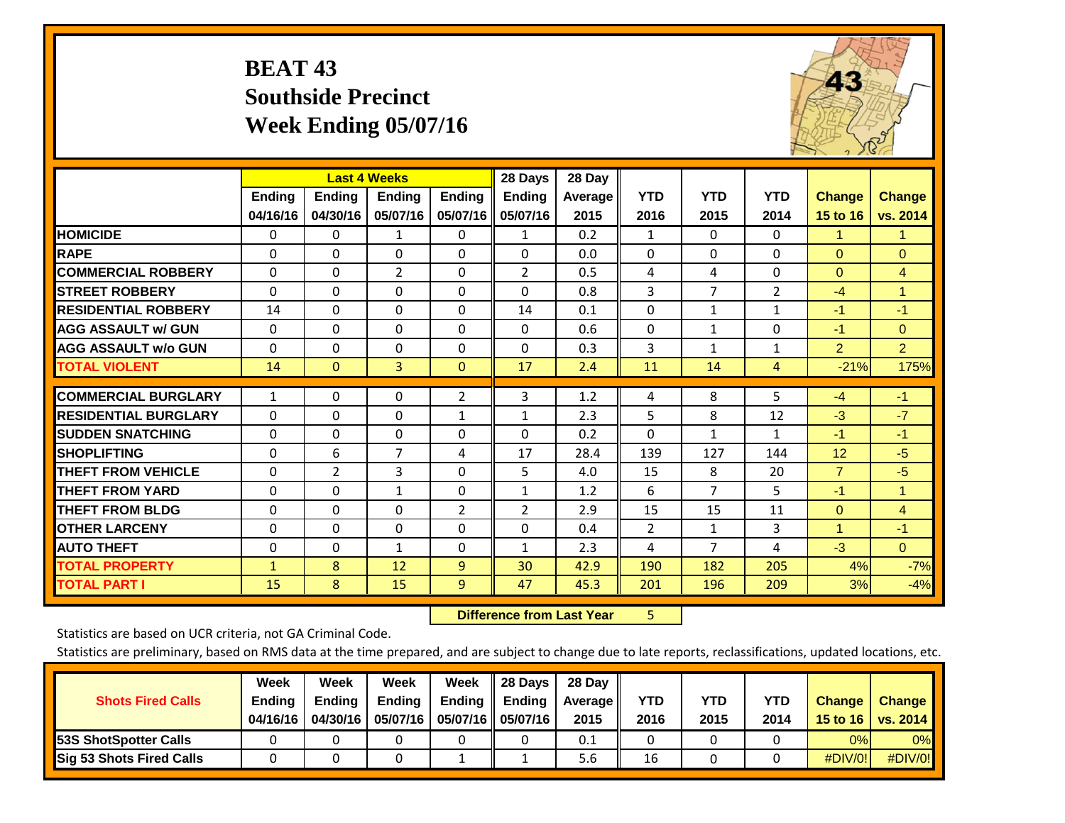## **BEAT 43 Southside Precinct Week Ending 05/07/16**



|                             |               | <b>Last 4 Weeks</b> |                |                | 28 Days        | 28 Day  |                |              |                |                |                |
|-----------------------------|---------------|---------------------|----------------|----------------|----------------|---------|----------------|--------------|----------------|----------------|----------------|
|                             | <b>Ending</b> | <b>Ending</b>       | <b>Ending</b>  | <b>Ending</b>  | <b>Ending</b>  | Average | <b>YTD</b>     | <b>YTD</b>   | <b>YTD</b>     | <b>Change</b>  | <b>Change</b>  |
|                             | 04/16/16      | 04/30/16            | 05/07/16       | 05/07/16       | 05/07/16       | 2015    | 2016           | 2015         | 2014           | 15 to 16       | vs. 2014       |
| <b>HOMICIDE</b>             | $\Omega$      | $\mathbf{0}$        | 1              | 0              | $\mathbf{1}$   | 0.2     | 1              | $\Omega$     | 0              | 1              | 1.             |
| <b>RAPE</b>                 | $\Omega$      | $\Omega$            | $\Omega$       | 0              | 0              | 0.0     | $\Omega$       | $\Omega$     | $\Omega$       | $\mathbf{0}$   | $\Omega$       |
| <b>COMMERCIAL ROBBERY</b>   | $\Omega$      | $\Omega$            | $\overline{2}$ | $\Omega$       | $\overline{2}$ | 0.5     | 4              | 4            | 0              | $\Omega$       | 4              |
| <b>STREET ROBBERY</b>       | $\Omega$      | $\Omega$            | $\Omega$       | $\Omega$       | $\Omega$       | 0.8     | 3              | 7            | $\overline{2}$ | $-4$           | $\mathbf{1}$   |
| <b>RESIDENTIAL ROBBERY</b>  | 14            | $\Omega$            | $\Omega$       | $\Omega$       | 14             | 0.1     | $\mathbf{0}$   | $\mathbf{1}$ | $\mathbf{1}$   | -1             | $-1$           |
| <b>AGG ASSAULT w/ GUN</b>   | $\Omega$      | $\Omega$            | $\Omega$       | $\Omega$       | 0              | 0.6     | $\Omega$       | $\mathbf{1}$ | 0              | $-1$           | $\mathbf{0}$   |
| <b>AGG ASSAULT w/o GUN</b>  | $\Omega$      | $\Omega$            | $\Omega$       | 0              | $\Omega$       | 0.3     | 3              | $\mathbf{1}$ | $\mathbf{1}$   | $\overline{2}$ | $\overline{2}$ |
| <b>TOTAL VIOLENT</b>        | 14            | $\mathbf{0}$        | 3              | $\mathbf{0}$   | 17             | 2.4     | 11             | 14           | 4              | $-21%$         | 175%           |
|                             |               |                     |                |                |                |         |                |              |                |                |                |
| <b>COMMERCIAL BURGLARY</b>  | $\mathbf{1}$  | $\Omega$            | $\Omega$       | $\overline{2}$ | 3              | 1.2     | 4              | 8            | 5              | $-4$           | $-1$           |
| <b>RESIDENTIAL BURGLARY</b> | $\Omega$      | $\Omega$            | $\Omega$       | $\mathbf{1}$   | $\mathbf{1}$   | 2.3     | 5              | 8            | 12             | $-3$           | $-7$           |
| <b>SUDDEN SNATCHING</b>     | $\Omega$      | $\Omega$            | $\Omega$       | 0              | 0              | 0.2     | $\Omega$       | 1            | $\mathbf{1}$   | $-1$           | $-1$           |
| <b>SHOPLIFTING</b>          | $\Omega$      | 6                   | $\overline{7}$ | 4              | 17             | 28.4    | 139            | 127          | 144            | 12             | $-5$           |
| <b>THEFT FROM VEHICLE</b>   | $\Omega$      | $\overline{2}$      | 3              | $\Omega$       | 5              | 4.0     | 15             | 8            | 20             | $\overline{7}$ | $-5$           |
| <b>THEFT FROM YARD</b>      | $\Omega$      | $\Omega$            | $\mathbf{1}$   | $\Omega$       | $\mathbf{1}$   | 1.2     | 6              | 7            | 5              | $-1$           | 1              |
| <b>THEFT FROM BLDG</b>      | 0             | $\Omega$            | $\Omega$       | 2              | 2              | 2.9     | 15             | 15           | 11             | $\mathbf{0}$   | 4              |
| <b>OTHER LARCENY</b>        | $\Omega$      | $\Omega$            | $\Omega$       | $\Omega$       | 0              | 0.4     | $\overline{2}$ | $\mathbf{1}$ | 3              | 1              | $-1$           |
| <b>AUTO THEFT</b>           | $\mathbf 0$   | $\Omega$            | $\mathbf{1}$   | $\Omega$       | 1              | 2.3     | 4              | 7            | 4              | $-3$           | $\Omega$       |
| <b>TOTAL PROPERTY</b>       | $\mathbf{1}$  | 8                   | 12             | 9              | 30             | 42.9    | 190            | 182          | 205            | 4%             | $-7%$          |
| <b>TOTAL PART I</b>         | 15            | 8                   | 15             | 9              | 47             | 45.3    | 201            | 196          | 209            | 3%             | $-4%$          |

 **Difference from Last Year**r 5

Statistics are based on UCR criteria, not GA Criminal Code.

| <b>Shots Fired Calls</b>        | Week<br><b>Ending</b><br>04/16/16 | Week<br><b>Endina</b><br>04/30/16 | Week<br>Ending<br>05/07/16 | Week<br>Ending | 28 Days<br><b>Ending</b><br>05/07/16    05/07/16 | 28 Day<br>Average II<br>2015 | YTD<br>2016 | YTD<br>2015 | YTD<br>2014 | <b>Change</b><br>15 to 16 $\vert$ | <b>Change</b><br><b>vs. 2014</b> |
|---------------------------------|-----------------------------------|-----------------------------------|----------------------------|----------------|--------------------------------------------------|------------------------------|-------------|-------------|-------------|-----------------------------------|----------------------------------|
| <b>153S ShotSpotter Calls</b>   |                                   |                                   |                            |                |                                                  | 0.1                          |             |             |             | 0%                                | 0%                               |
| <b>Sig 53 Shots Fired Calls</b> |                                   |                                   |                            |                |                                                  | 5.6                          | 16          |             |             | #DIV/0!                           | #DIV/0!                          |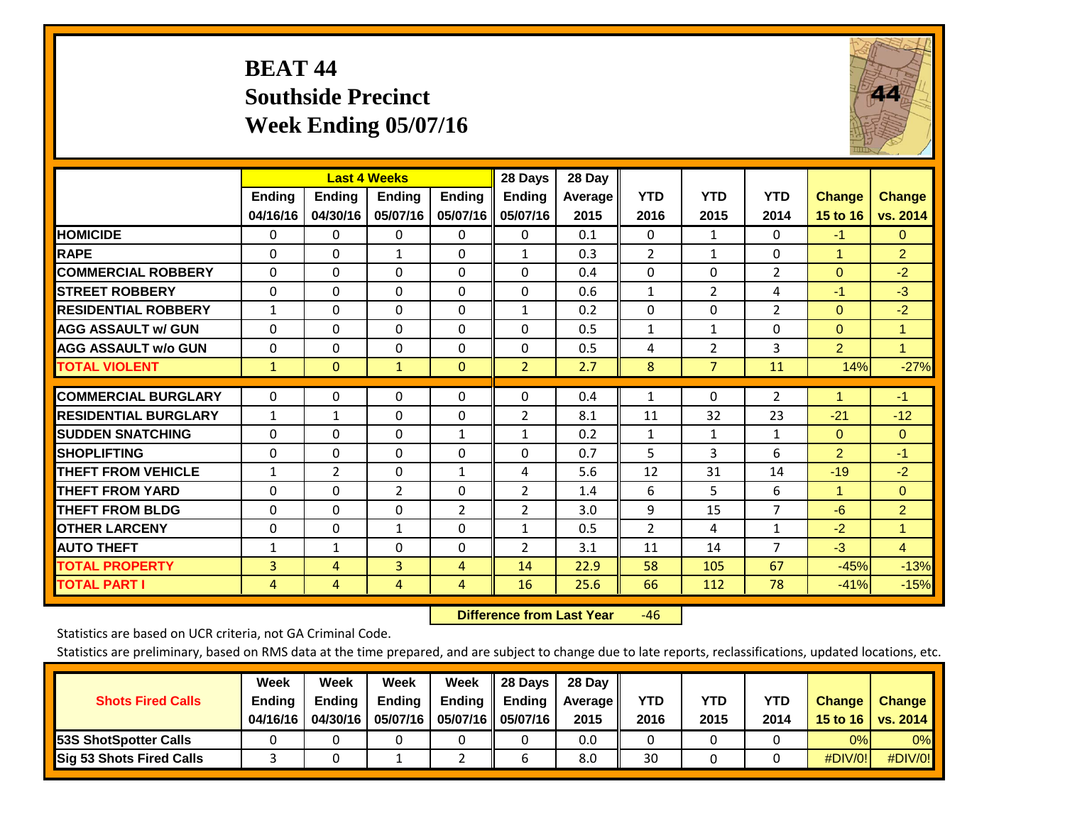## **BEAT 44 Southside Precinct Week Ending 05/07/16**



|                             |                           | <b>Last 4 Weeks</b>       |                    |                           | 28 Days                   | 28 Day          |                    |                    |                    |                           |                           |
|-----------------------------|---------------------------|---------------------------|--------------------|---------------------------|---------------------------|-----------------|--------------------|--------------------|--------------------|---------------------------|---------------------------|
|                             | <b>Ending</b><br>04/16/16 | <b>Ending</b><br>04/30/16 | Ending<br>05/07/16 | <b>Ending</b><br>05/07/16 | <b>Ending</b><br>05/07/16 | Average<br>2015 | <b>YTD</b><br>2016 | <b>YTD</b><br>2015 | <b>YTD</b><br>2014 | <b>Change</b><br>15 to 16 | <b>Change</b><br>vs. 2014 |
| <b>HOMICIDE</b>             | $\Omega$                  | 0                         | 0                  | $\Omega$                  | 0                         | 0.1             | $\Omega$           | $\mathbf{1}$       | 0                  | $-1$                      | $\mathbf{0}$              |
| <b>RAPE</b>                 | $\Omega$                  | $\Omega$                  | $\mathbf{1}$       | $\Omega$                  | $\mathbf{1}$              | 0.3             | $\overline{2}$     | $\mathbf{1}$       | 0                  | $\overline{1}$            | $\overline{2}$            |
| <b>COMMERCIAL ROBBERY</b>   | $\Omega$                  | 0                         | $\Omega$           | 0                         | $\Omega$                  | 0.4             | $\mathbf{0}$       | $\Omega$           | $\overline{2}$     | $\Omega$                  | $-2$                      |
| <b>STREET ROBBERY</b>       | $\Omega$                  | $\Omega$                  | $\Omega$           | $\Omega$                  | $\Omega$                  | 0.6             | $\mathbf{1}$       | $\overline{2}$     | 4                  | $-1$                      | $-3$                      |
| <b>RESIDENTIAL ROBBERY</b>  | $\mathbf{1}$              | $\Omega$                  | $\Omega$           | $\mathbf{0}$              | $\mathbf{1}$              | 0.2             | $\mathbf{0}$       | $\Omega$           | $\overline{2}$     | $\Omega$                  | $-2$                      |
| <b>AGG ASSAULT w/ GUN</b>   | 0                         | $\Omega$                  | $\Omega$           | $\Omega$                  | $\Omega$                  | 0.5             | $\mathbf{1}$       | $\mathbf{1}$       | 0                  | $\Omega$                  | $\mathbf{1}$              |
| <b>AGG ASSAULT w/o GUN</b>  | 0                         | $\Omega$                  | $\Omega$           | $\Omega$                  | $\Omega$                  | 0.5             | 4                  | $\overline{2}$     | 3                  | $\overline{2}$            | $\mathbf{1}$              |
| <b>TOTAL VIOLENT</b>        | $\mathbf{1}$              | $\Omega$                  | $\mathbf{1}$       | $\mathbf{0}$              | $\overline{2}$            | 2.7             | 8                  | $\overline{7}$     | 11                 | 14%                       | $-27%$                    |
| <b>COMMERCIAL BURGLARY</b>  | 0                         | $\Omega$                  | 0                  | 0                         | 0                         | 0.4             | 1                  | $\mathbf{0}$       | $\overline{2}$     | 1                         | $-1$                      |
| <b>RESIDENTIAL BURGLARY</b> | $\mathbf{1}$              | 1                         | $\Omega$           | $\mathbf{0}$              | $\overline{2}$            | 8.1             | 11                 | 32                 | 23                 | $-21$                     | $-12$                     |
| <b>ISUDDEN SNATCHING</b>    | 0                         | 0                         | $\Omega$           | $\mathbf{1}$              | $\mathbf{1}$              | 0.2             | 1                  | $\mathbf{1}$       | $\mathbf{1}$       | $\Omega$                  | $\mathbf{0}$              |
| <b>SHOPLIFTING</b>          | $\Omega$                  | $\Omega$                  | $\Omega$           | $\Omega$                  | $\Omega$                  | 0.7             | 5                  | 3                  | 6                  | $\overline{2}$            | $-1$                      |
| <b>THEFT FROM VEHICLE</b>   | $\mathbf{1}$              | $\overline{2}$            | $\Omega$           | 1                         | 4                         | 5.6             | 12                 | 31                 | 14                 | $-19$                     | $-2$                      |
| <b>THEFT FROM YARD</b>      | $\Omega$                  | $\Omega$                  | $\overline{2}$     | $\mathbf{0}$              | $\overline{2}$            | 1.4             | 6                  | 5                  | 6                  | $\mathbf{1}$              | $\mathbf{0}$              |
| <b>THEFT FROM BLDG</b>      | 0                         | 0                         | $\Omega$           | 2                         | $\overline{2}$            | 3.0             | 9                  | 15                 | 7                  | $-6$                      | $\overline{2}$            |
| <b>OTHER LARCENY</b>        | 0                         | $\Omega$                  | $\mathbf{1}$       | 0                         | $\mathbf{1}$              | 0.5             | 2                  | 4                  | $\mathbf{1}$       | $-2$                      | $\mathbf{1}$              |
| <b>AUTO THEFT</b>           | $\mathbf{1}$              | $\mathbf{1}$              | $\Omega$           | $\mathbf{0}$              | 2                         | 3.1             | 11                 | 14                 | 7                  | $-3$                      | $\overline{4}$            |
| <b>TOTAL PROPERTY</b>       | 3                         | 4                         | 3                  | 4                         | 14                        | 22.9            | 58                 | 105                | 67                 | $-45%$                    | $-13%$                    |
| <b>TOTAL PART I</b>         | 4                         | 4                         | 4                  | 4                         | 16                        | 25.6            | 66                 | 112                | 78                 | $-41%$                    | $-15%$                    |

 **Difference from Last Year**r -46

Statistics are based on UCR criteria, not GA Criminal Code.

| <b>Shots Fired Calls</b>        | Week<br><b>Ending</b><br>04/16/16 | Week<br><b>Endina</b><br>04/30/16 | Week<br>Ending<br>05/07/16 | Week<br>Ending | 28 Days<br><b>Ending</b><br>05/07/16    05/07/16 | 28 Day<br>Average II<br>2015 | YTD<br>2016 | YTD<br>2015 | YTD<br>2014 | <b>Change</b><br>15 to 16 $\vert$ | <b>Change</b><br><b>vs. 2014</b> |
|---------------------------------|-----------------------------------|-----------------------------------|----------------------------|----------------|--------------------------------------------------|------------------------------|-------------|-------------|-------------|-----------------------------------|----------------------------------|
| <b>153S ShotSpotter Calls</b>   |                                   |                                   |                            |                |                                                  | 0.0                          |             |             |             | 0%                                | 0%                               |
| <b>Sig 53 Shots Fired Calls</b> |                                   |                                   |                            |                |                                                  | 8.0                          | 30          |             |             | #DIV/0!                           | #DIV/0!                          |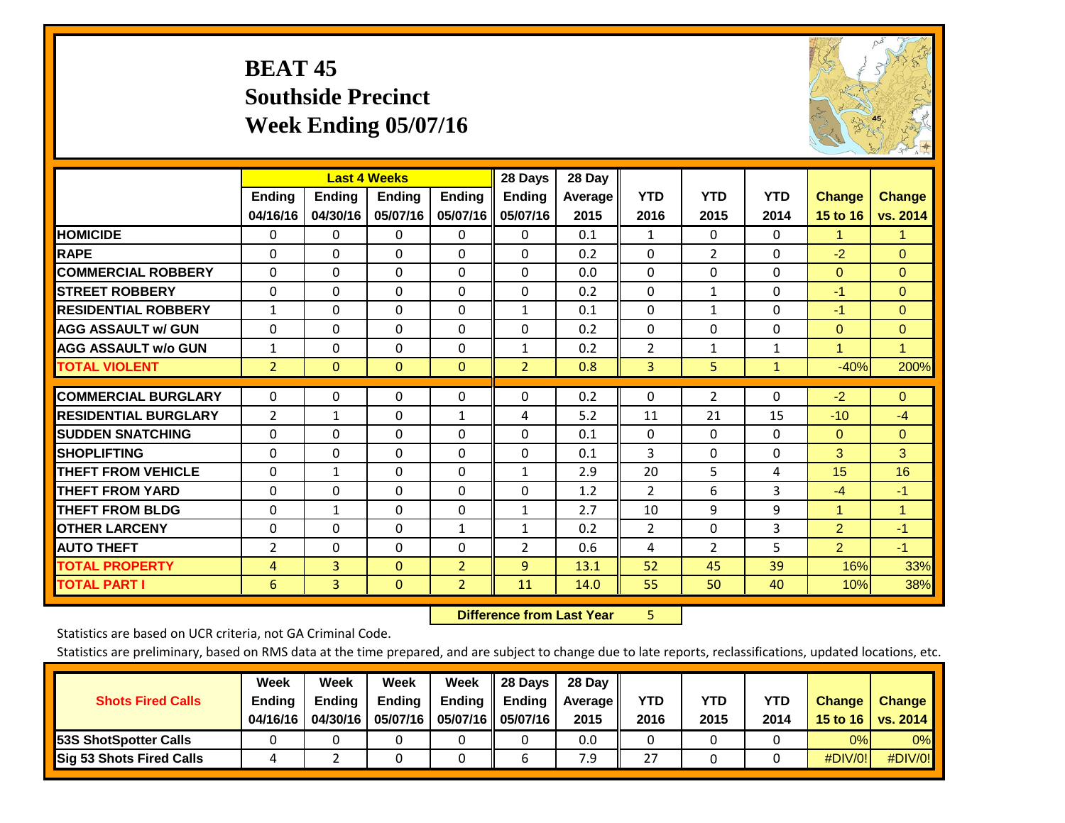## **BEAT 45 Southside Precinct Week Ending 05/07/16**



|                             |                | <b>Last 4 Weeks</b> |               |                | 28 Days        | 28 Day  |                |                |              |                |                |
|-----------------------------|----------------|---------------------|---------------|----------------|----------------|---------|----------------|----------------|--------------|----------------|----------------|
|                             | Ending         | Ending              | <b>Ending</b> | <b>Ending</b>  | <b>Ending</b>  | Average | <b>YTD</b>     | <b>YTD</b>     | <b>YTD</b>   | <b>Change</b>  | <b>Change</b>  |
|                             | 04/16/16       | 04/30/16            | 05/07/16      | 05/07/16       | 05/07/16       | 2015    | 2016           | 2015           | 2014         | 15 to 16       | vs. 2014       |
| <b>HOMICIDE</b>             | 0              | $\Omega$            | 0             | 0              | $\Omega$       | 0.1     | 1              | 0              | 0            | 1.             | 1.             |
| <b>RAPE</b>                 | $\Omega$       | 0                   | $\Omega$      | 0              | 0              | 0.2     | $\Omega$       | $\overline{2}$ | 0            | $-2$           | $\Omega$       |
| <b>COMMERCIAL ROBBERY</b>   | $\Omega$       | $\Omega$            | $\mathbf{0}$  | $\Omega$       | $\Omega$       | 0.0     | $\Omega$       | $\Omega$       | $\Omega$     | $\mathbf{0}$   | $\Omega$       |
| <b>STREET ROBBERY</b>       | $\Omega$       | $\Omega$            | $\Omega$      | $\Omega$       | 0              | 0.2     | $\mathbf{0}$   | $\mathbf{1}$   | $\Omega$     | $-1$           | $\Omega$       |
| <b>RESIDENTIAL ROBBERY</b>  | $\mathbf{1}$   | $\Omega$            | $\Omega$      | $\Omega$       | $\mathbf{1}$   | 0.1     | $\mathbf{0}$   | 1              | 0            | $-1$           | $\Omega$       |
| <b>AGG ASSAULT w/ GUN</b>   | 0              | $\Omega$            | $\Omega$      | $\Omega$       | 0              | 0.2     | $\Omega$       | 0              | 0            | $\mathbf{0}$   | $\overline{0}$ |
| <b>AGG ASSAULT w/o GUN</b>  | $\mathbf{1}$   | $\Omega$            | $\Omega$      | 0              | $\mathbf{1}$   | 0.2     | $\overline{2}$ | 1              | $\mathbf{1}$ | 1              | $\mathbf{1}$   |
| <b>TOTAL VIOLENT</b>        | $\overline{2}$ | $\mathbf{0}$        | $\mathbf{0}$  | $\mathbf{0}$   | $\overline{2}$ | 0.8     | 3              | 5              | 1            | $-40%$         | 200%           |
|                             |                |                     |               |                |                |         |                |                |              |                |                |
| <b>COMMERCIAL BURGLARY</b>  | $\Omega$       | 0                   | $\mathbf 0$   | 0              | 0              | 0.2     | 0              | $\overline{2}$ | 0            | $-2$           | $\mathbf{0}$   |
| <b>RESIDENTIAL BURGLARY</b> | 2              | $\mathbf{1}$        | $\Omega$      | 1              | 4              | 5.2     | 11             | 21             | 15           | $-10$          | $-4$           |
| <b>SUDDEN SNATCHING</b>     | $\Omega$       | 0                   | $\Omega$      | 0              | 0              | 0.1     | 0              | $\Omega$       | $\Omega$     | $\mathbf{0}$   | $\Omega$       |
| <b>SHOPLIFTING</b>          | $\Omega$       | $\Omega$            | $\Omega$      | 0              | 0              | 0.1     | 3              | 0              | 0            | 3              | 3              |
| <b>THEFT FROM VEHICLE</b>   | $\Omega$       | $\mathbf{1}$        | $\Omega$      | 0              | $\mathbf{1}$   | 2.9     | 20             | 5              | 4            | 15             | 16             |
| <b>THEFT FROM YARD</b>      | $\Omega$       | $\Omega$            | $\Omega$      | $\Omega$       | $\Omega$       | 1.2     | $\overline{2}$ | 6              | 3            | $-4$           | $-1$           |
| <b>THEFT FROM BLDG</b>      | 0              | 1                   | $\Omega$      | 0              | 1              | 2.7     | 10             | 9              | 9            | 1              | 1              |
| <b>OTHER LARCENY</b>        | $\Omega$       | $\Omega$            | $\Omega$      | $\mathbf{1}$   | $\mathbf{1}$   | 0.2     | $\overline{2}$ | 0              | 3            | $\overline{2}$ | $-1$           |
| <b>AUTO THEFT</b>           | 2              | $\Omega$            | $\Omega$      | 0              | 2              | 0.6     | 4              | $\overline{2}$ | 5            | $\overline{2}$ | $-1$           |
| <b>TOTAL PROPERTY</b>       | 4              | 3                   | $\mathbf{0}$  | $\overline{2}$ | 9              | 13.1    | 52             | 45             | 39           | 16%            | 33%            |
| <b>TOTAL PART I</b>         | 6              | 3                   | $\mathbf{0}$  | $\overline{2}$ | 11             | 14.0    | 55             | 50             | 40           | 10%            | 38%            |

 **Difference from Last Year**r 5

Statistics are based on UCR criteria, not GA Criminal Code.

| <b>Shots Fired Calls</b>        | Week<br><b>Ending</b><br>04/16/16 | Week<br><b>Endina</b><br>04/30/16 | Week<br>Ending<br>05/07/16 | Week<br>Ending | 28 Days<br><b>Ending</b><br>05/07/16    05/07/16 | 28 Day<br>Average II<br>2015 | YTD<br>2016 | YTD<br>2015 | YTD<br>2014 | <b>Change</b><br>15 to 16 $\vert$ | <b>Change</b><br><b>vs. 2014</b> |
|---------------------------------|-----------------------------------|-----------------------------------|----------------------------|----------------|--------------------------------------------------|------------------------------|-------------|-------------|-------------|-----------------------------------|----------------------------------|
| <b>153S ShotSpotter Calls</b>   |                                   |                                   |                            |                |                                                  | 0.0                          |             |             |             | 0%                                | 0%                               |
| <b>Sig 53 Shots Fired Calls</b> |                                   |                                   |                            |                |                                                  | 7.9                          | 27          |             |             | #DIV/0!                           | #DIV/0!                          |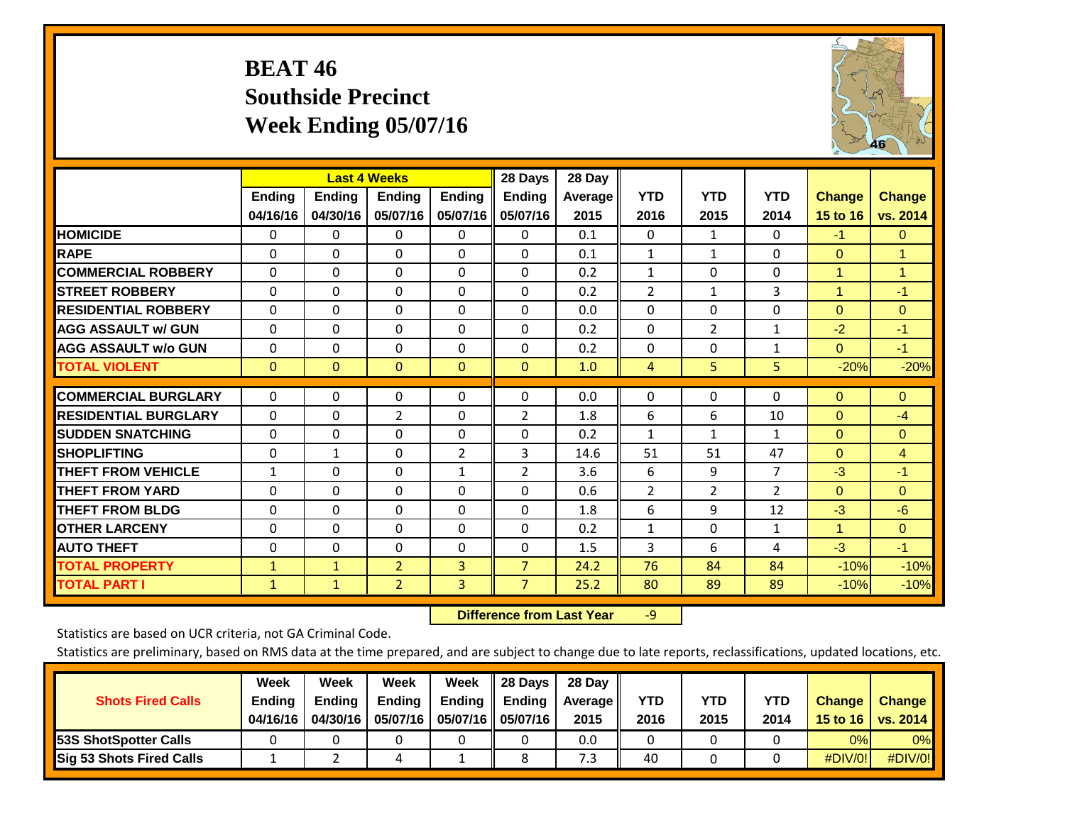## **BEAT 46 Southside Precinct Week Ending 05/07/16**



|                             |                           | <b>Last 4 Weeks</b>       |                    |                           | 28 Days                   | 28 Day          |                    |                    |                    |                           |                           |
|-----------------------------|---------------------------|---------------------------|--------------------|---------------------------|---------------------------|-----------------|--------------------|--------------------|--------------------|---------------------------|---------------------------|
|                             | <b>Ending</b><br>04/16/16 | <b>Ending</b><br>04/30/16 | Ending<br>05/07/16 | <b>Ending</b><br>05/07/16 | <b>Ending</b><br>05/07/16 | Average<br>2015 | <b>YTD</b><br>2016 | <b>YTD</b><br>2015 | <b>YTD</b><br>2014 | <b>Change</b><br>15 to 16 | <b>Change</b><br>vs. 2014 |
| <b>HOMICIDE</b>             | $\Omega$                  | 0                         | 0                  | $\Omega$                  | $\mathbf{0}$              | 0.1             | $\Omega$           | $\mathbf{1}$       | 0                  | $-1$                      | $\mathbf{0}$              |
| <b>RAPE</b>                 | $\Omega$                  | $\Omega$                  | $\Omega$           | $\Omega$                  | $\Omega$                  | 0.1             | $\mathbf{1}$       | 1                  | 0                  | $\mathbf{0}$              | $\mathbf{1}$              |
| <b>COMMERCIAL ROBBERY</b>   | $\Omega$                  | 0                         | $\Omega$           | 0                         | $\Omega$                  | 0.2             | 1                  | $\Omega$           | 0                  | $\blacktriangleleft$      | 1                         |
| <b>ISTREET ROBBERY</b>      | $\mathbf{0}$              | $\Omega$                  | $\Omega$           | $\Omega$                  | $\Omega$                  | 0.2             | $\overline{2}$     | $\mathbf{1}$       | 3                  | $\overline{1}$            | $-1$                      |
| <b>RESIDENTIAL ROBBERY</b>  | $\Omega$                  | 0                         | $\Omega$           | $\mathbf{0}$              | $\Omega$                  | 0.0             | $\mathbf{0}$       | 0                  | 0                  | $\Omega$                  | $\mathbf{0}$              |
| <b>AGG ASSAULT w/ GUN</b>   | $\Omega$                  | $\Omega$                  | $\Omega$           | $\Omega$                  | $\Omega$                  | 0.2             | $\mathbf{0}$       | $\overline{2}$     | $\mathbf{1}$       | $-2$                      | $-1$                      |
| <b>AGG ASSAULT w/o GUN</b>  | $\Omega$                  | $\Omega$                  | $\Omega$           | $\Omega$                  | $\Omega$                  | 0.2             | $\Omega$           | $\Omega$           | $\mathbf{1}$       | $\Omega$                  | $-1$                      |
| <b>TOTAL VIOLENT</b>        | $\mathbf{0}$              | $\Omega$                  | $\mathbf{0}$       | $\mathbf{0}$              | $\mathbf{0}$              | 1.0             | $\overline{4}$     | 5.                 | 5                  | $-20%$                    | $-20%$                    |
| <b>COMMERCIAL BURGLARY</b>  | $\Omega$                  | $\Omega$                  | 0                  | 0                         | $\Omega$                  | 0.0             | $\mathbf 0$        | $\mathbf{0}$       | 0                  | $\Omega$                  | $\mathbf{0}$              |
| <b>RESIDENTIAL BURGLARY</b> | $\Omega$                  | 0                         | $\overline{2}$     | $\mathbf{0}$              | 2                         | 1.8             | 6                  | 6                  | 10                 | $\Omega$                  | $-4$                      |
| <b>ISUDDEN SNATCHING</b>    | 0                         | $\Omega$                  | $\Omega$           | $\mathbf{0}$              | $\Omega$                  | 0.2             | 1                  | $\mathbf{1}$       | $\mathbf{1}$       | $\Omega$                  | $\Omega$                  |
| <b>SHOPLIFTING</b>          | $\Omega$                  | $\mathbf{1}$              | $\Omega$           | $\overline{2}$            | 3                         | 14.6            | 51                 | 51                 | 47                 | $\Omega$                  | 4                         |
| <b>THEFT FROM VEHICLE</b>   | $\mathbf{1}$              | $\Omega$                  | $\Omega$           | $\mathbf{1}$              | 2                         | 3.6             | 6                  | 9                  | 7                  | $-3$                      | $-1$                      |
| <b>THEFT FROM YARD</b>      | $\Omega$                  | $\Omega$                  | $\Omega$           | 0                         | $\Omega$                  | 0.6             | $\overline{2}$     | 2                  | $\overline{2}$     | $\Omega$                  | $\mathbf{0}$              |
| <b>THEFT FROM BLDG</b>      | 0                         | 0                         | $\Omega$           | $\mathbf{0}$              | $\Omega$                  | 1.8             | 6                  | 9                  | 12                 | $-3$                      | $-6$                      |
| <b>OTHER LARCENY</b>        | 0                         | $\Omega$                  | $\Omega$           | $\Omega$                  | $\Omega$                  | 0.2             | $\mathbf{1}$       | $\Omega$           | $\mathbf{1}$       | $\blacktriangleleft$      | $\mathbf{0}$              |
| <b>AUTO THEFT</b>           | $\Omega$                  | $\Omega$                  | $\Omega$           | $\Omega$                  | $\Omega$                  | 1.5             | 3                  | 6                  | 4                  | $-3$                      | $-1$                      |
| <b>TOTAL PROPERTY</b>       | $\mathbf{1}$              | $\mathbf{1}$              | $\overline{2}$     | 3                         | $\overline{7}$            | 24.2            | 76                 | 84                 | 84                 | $-10%$                    | $-10%$                    |
| <b>TOTAL PART I</b>         | $\mathbf{1}$              | $\mathbf{1}$              | $\overline{2}$     | 3                         | $\overline{7}$            | 25.2            | 80                 | 89                 | 89                 | $-10%$                    | $-10%$                    |

 **Difference from Last Year**r -9

Statistics are based on UCR criteria, not GA Criminal Code.

| <b>Shots Fired Calls</b>        | Week<br><b>Ending</b><br>04/16/16 | Week<br><b>Endina</b><br>04/30/16 | Week<br>Ending<br>05/07/16 | Week<br>Ending | 28 Days<br><b>Ending</b><br>05/07/16    05/07/16 | 28 Day<br>Average II<br>2015 | YTD<br>2016 | YTD<br>2015 | YTD<br>2014 | <b>Change</b><br>15 to 16 $\vert$ | <b>Change</b><br><b>vs. 2014</b> |
|---------------------------------|-----------------------------------|-----------------------------------|----------------------------|----------------|--------------------------------------------------|------------------------------|-------------|-------------|-------------|-----------------------------------|----------------------------------|
| <b>153S ShotSpotter Calls</b>   |                                   |                                   |                            |                |                                                  | 0.0                          |             |             |             | 0%                                | 0%                               |
| <b>Sig 53 Shots Fired Calls</b> |                                   |                                   |                            |                |                                                  | 7.3                          | 40          |             |             | #DIV/0!                           | #DIV/0!                          |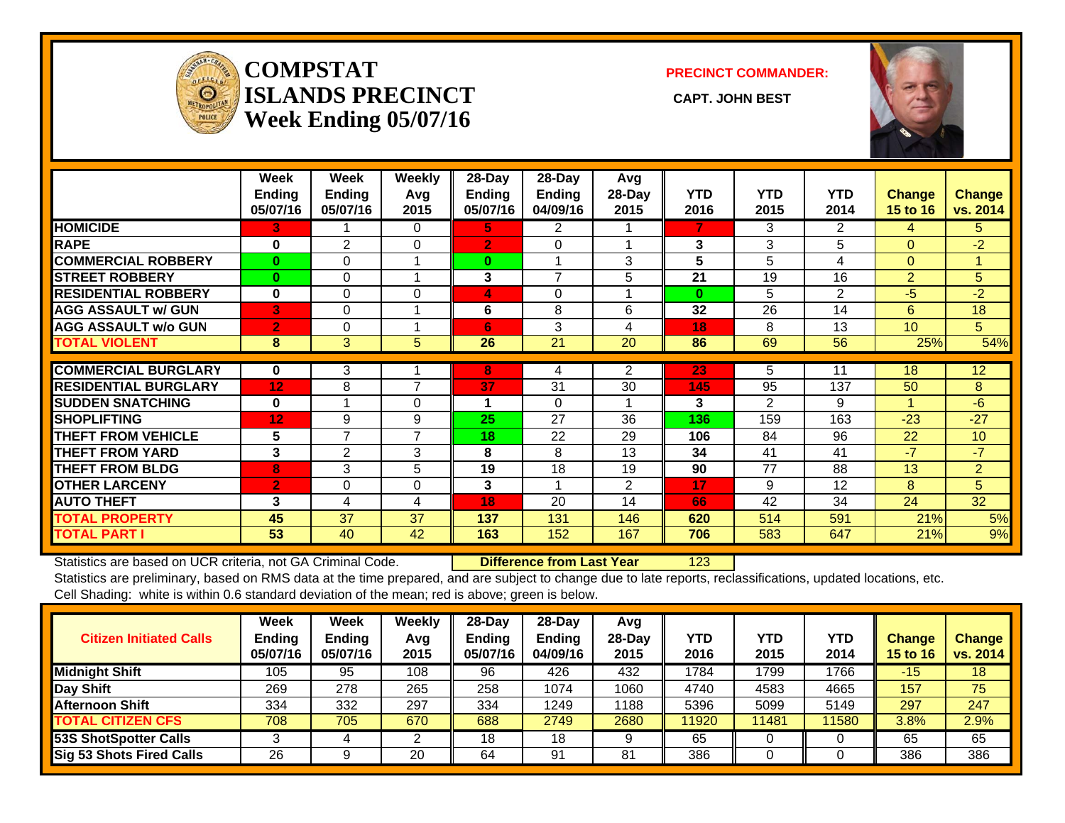

#### **COMPSTATISLANDS PRECINCT** CAPT. JOHN BEST **Week Ending 05/07/16**

**PRECINCT COMMANDER:**



|                             | Week<br><b>Ending</b><br>05/07/16 | Week<br><b>Ending</b><br>05/07/16 | Weekly<br>Avg<br>2015 | $28$ -Day<br>Ending<br>05/07/16 | $28$ -Day<br>Ending<br>04/09/16 | Avg<br>28-Day<br>2015 | <b>YTD</b><br>2016 | <b>YTD</b><br>2015 | <b>YTD</b><br>2014 | <b>Change</b><br><b>15 to 16</b> | <b>Change</b><br>vs. 2014 |
|-----------------------------|-----------------------------------|-----------------------------------|-----------------------|---------------------------------|---------------------------------|-----------------------|--------------------|--------------------|--------------------|----------------------------------|---------------------------|
| <b>HOMICIDE</b>             | 3                                 |                                   | $\Omega$              | 5.                              | 2                               |                       | 7                  | 3                  | $\overline{2}$     | 4                                | 5.                        |
| <b>RAPE</b>                 | $\bf{0}$                          | 2                                 | 0                     | $\overline{2}$                  | $\Omega$                        |                       | 3                  | 3                  | 5                  | $\Omega$                         | $-2$                      |
| <b>COMMERCIAL ROBBERY</b>   | $\bf{0}$                          | 0                                 |                       | $\bf{0}$                        | 1                               | 3                     | 5                  | 5                  | 4                  | $\Omega$                         |                           |
| <b>ISTREET ROBBERY</b>      | $\bf{0}$                          | 0                                 |                       | 3                               | $\overline{7}$                  | 5                     | 21                 | 19                 | 16                 | $\overline{2}$                   | 5                         |
| <b>RESIDENTIAL ROBBERY</b>  | $\bf{0}$                          | $\Omega$                          | $\Omega$              | 4                               | $\Omega$                        |                       | $\bf{0}$           | 5                  | 2                  | -5                               | $-2$                      |
| <b>AGG ASSAULT w/ GUN</b>   | 3                                 | $\Omega$                          |                       | 6                               | 8                               | 6                     | 32                 | 26                 | 14                 | 6                                | 18                        |
| <b>AGG ASSAULT w/o GUN</b>  | $\overline{2}$                    | 0                                 |                       | 6                               | 3                               | 4                     | 18                 | 8                  | 13                 | 10                               | 5 <sup>1</sup>            |
| <b>TOTAL VIOLENT</b>        | 8                                 | 3                                 | 5                     | 26                              | 21                              | 20                    | 86                 | 69                 | 56                 | 25%                              | 54%                       |
| <b>COMMERCIAL BURGLARY</b>  | $\mathbf 0$                       | 3                                 |                       | 8                               | 4                               | $\overline{2}$        | 23                 | 5                  | 11                 | 18                               | 12                        |
| <b>RESIDENTIAL BURGLARY</b> | 12                                | 8                                 | $\overline{7}$        | 37                              | 31                              | 30                    | 145                | 95                 | 137                | 50                               | 8                         |
| <b>SUDDEN SNATCHING</b>     | $\bf{0}$                          |                                   | $\Omega$              | 1                               | $\Omega$                        |                       | 3                  |                    | 9                  |                                  | $-6$                      |
|                             |                                   |                                   |                       |                                 |                                 |                       |                    | $\overline{2}$     |                    |                                  |                           |
| <b>SHOPLIFTING</b>          | 12                                | 9                                 | 9                     | 25                              | 27                              | 36                    | 136                | 159                | 163                | $-23$                            | $-27$                     |
| <b>THEFT FROM VEHICLE</b>   | 5                                 | $\overline{7}$                    | 7                     | 18                              | 22                              | 29                    | 106                | 84                 | 96                 | 22                               | 10                        |
| <b>THEFT FROM YARD</b>      | 3                                 | 2                                 | 3                     | 8                               | 8                               | 13                    | 34                 | 41                 | 41                 | $-7$                             | $-7$                      |
| <b>THEFT FROM BLDG</b>      | 8                                 | 3                                 | 5                     | 19                              | 18                              | 19                    | 90                 | 77                 | 88                 | 13                               | $\overline{2}$            |
| <b>OTHER LARCENY</b>        | $\overline{2}$                    | $\Omega$                          | $\Omega$              | 3                               | 1                               | $\overline{2}$        | 17                 | 9                  | 12                 | 8                                | 5                         |
| <b>AUTO THEFT</b>           | 3                                 | 4                                 | 4                     | 18                              | 20                              | 14                    | 66                 | 42                 | 34                 | 24                               | 32                        |
| <b>TOTAL PROPERTY</b>       | 45                                | 37                                | 37                    | 137                             | 131                             | 146                   | 620                | 514                | 591                | 21%                              | 5%                        |
| <b>TOTAL PART I</b>         | 53                                | 40                                | 42                    | 163                             | 152                             | 167                   | 706                | 583                | 647                | 21%                              | 9%                        |

Statistics are based on UCR criteria, not GA Criminal Code. **Difference from Last Year** 123 Statistics are preliminary, based on RMS data at the time prepared, and are subject to change due to late reports, reclassifications, updated locations, etc.

Cell Shading: white is within 0.6 standard deviation of the mean; red is above; green is below.

|                                 | Week          | Week          | Weekly | $28$ -Day | $28-Dav$ | Avg      |            |       |       |                 |               |
|---------------------------------|---------------|---------------|--------|-----------|----------|----------|------------|-------|-------|-----------------|---------------|
| <b>Citizen Initiated Calls</b>  | <b>Ending</b> | <b>Ending</b> | Avg    | Ending    | Ending   | $28-Day$ | <b>YTD</b> | YTD   | YTD   | <b>Change</b>   | <b>Change</b> |
|                                 | 05/07/16      | 05/07/16      | 2015   | 05/07/16  | 04/09/16 | 2015     | 2016       | 2015  | 2014  | <b>15 to 16</b> | vs. 2014      |
| <b>Midnight Shift</b>           | 105           | 95            | 108    | 96        | 426      | 432      | 1784       | 1799  | 1766  | -15             | 18            |
| Day Shift                       | 269           | 278           | 265    | 258       | 1074     | 1060     | 4740       | 4583  | 4665  | 157             | 75            |
| <b>Afternoon Shift</b>          | 334           | 332           | 297    | 334       | 1249     | 1188     | 5396       | 5099  | 5149  | 297             | 247           |
| <b>TOTAL CITIZEN CFS</b>        | 708           | 705           | 670    | 688       | 2749     | 2680     | 11920      | 11481 | 11580 | $3.8\%$         | 2.9%          |
| <b>53S ShotSpotter Calls</b>    |               |               |        | 18        | 18       |          | 65         |       |       | 65              | 65            |
| <b>Sig 53 Shots Fired Calls</b> | 26            |               | 20     | 64        | 91       | 81       | 386        |       |       | 386             | 386           |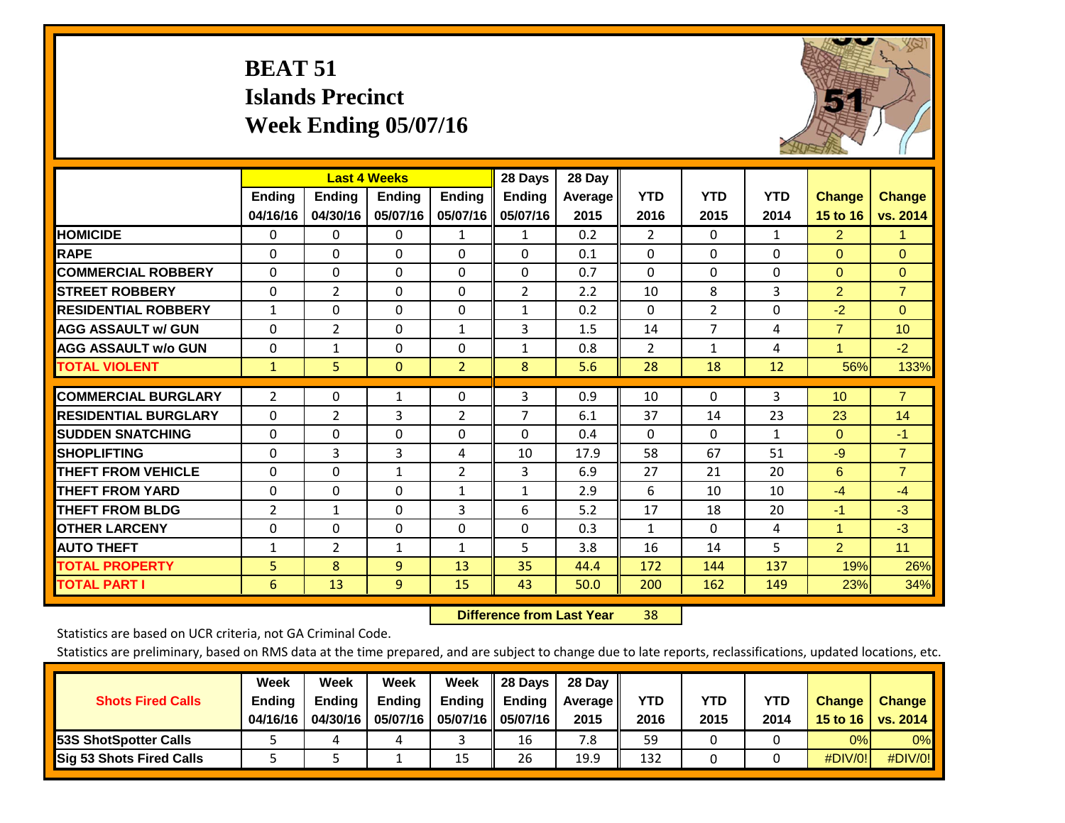## **BEAT 51 Islands Precinct Week Ending 05/07/16**



|                             |                | <b>Last 4 Weeks</b> |                |                | 28 Days        | 28 Day  |                |                |              |                      |                |
|-----------------------------|----------------|---------------------|----------------|----------------|----------------|---------|----------------|----------------|--------------|----------------------|----------------|
|                             | <b>Ending</b>  | <b>Ending</b>       | Ending         | <b>Ending</b>  | Ending         | Average | <b>YTD</b>     | <b>YTD</b>     | <b>YTD</b>   | <b>Change</b>        | <b>Change</b>  |
|                             | 04/16/16       | 04/30/16            | 05/07/16       | 05/07/16       | 05/07/16       | 2015    | 2016           | 2015           | 2014         | 15 to 16             | vs. 2014       |
| <b>HOMICIDE</b>             | $\mathbf{0}$   | $\mathbf{0}$        | $\mathbf{0}$   | 1              | $\mathbf{1}$   | 0.2     | $\overline{2}$ | $\Omega$       | 1            | $\overline{2}$       | 1.             |
| <b>RAPE</b>                 | 0              | $\Omega$            | $\Omega$       | $\Omega$       | $\Omega$       | 0.1     | $\Omega$       | $\Omega$       | $\Omega$     | $\Omega$             | $\Omega$       |
| <b>COMMERCIAL ROBBERY</b>   | $\Omega$       | 0                   | $\Omega$       | $\Omega$       | $\Omega$       | 0.7     | $\mathbf{0}$   | $\Omega$       | 0            | $\mathbf{0}$         | $\mathbf{0}$   |
| <b>STREET ROBBERY</b>       | $\Omega$       | $\overline{2}$      | $\Omega$       | $\Omega$       | $\overline{2}$ | 2.2     | 10             | 8              | 3            | $\overline{2}$       | $\overline{7}$ |
| <b>RESIDENTIAL ROBBERY</b>  | $\mathbf{1}$   | 0                   | $\Omega$       | $\Omega$       | $\mathbf{1}$   | 0.2     | $\Omega$       | $\overline{2}$ | 0            | $-2$                 | $\Omega$       |
| <b>AGG ASSAULT w/ GUN</b>   | $\Omega$       | 2                   | $\Omega$       | 1              | 3              | 1.5     | 14             | 7              | 4            | $\overline{7}$       | 10             |
| <b>AGG ASSAULT w/o GUN</b>  | $\Omega$       | $\mathbf{1}$        | $\Omega$       | $\Omega$       | $\mathbf{1}$   | 0.8     | 2              | $\mathbf{1}$   | 4            | 1                    | $-2$           |
| <b>TOTAL VIOLENT</b>        | $\mathbf{1}$   | 5                   | $\mathbf{0}$   | $\overline{2}$ | 8              | 5.6     | 28             | 18             | 12           | 56%                  | 133%           |
|                             |                |                     |                |                |                |         |                |                |              |                      |                |
| <b>COMMERCIAL BURGLARY</b>  | $\overline{2}$ | 0                   | $\mathbf{1}$   | 0              | 3              | 0.9     | 10             | $\Omega$       | 3            | 10                   | $\overline{7}$ |
| <b>RESIDENTIAL BURGLARY</b> | $\Omega$       | 2                   | 3              | $\overline{2}$ | 7              | 6.1     | 37             | 14             | 23           | 23                   | 14             |
| <b>ISUDDEN SNATCHING</b>    | $\Omega$       | 0                   | $\Omega$       | $\Omega$       | $\Omega$       | 0.4     | $\Omega$       | $\Omega$       | $\mathbf{1}$ | $\mathbf{0}$         | $-1$           |
| <b>SHOPLIFTING</b>          | $\mathbf{0}$   | 3                   | 3              | 4              | 10             | 17.9    | 58             | 67             | 51           | $-9$                 | $\overline{7}$ |
| <b>THEFT FROM VEHICLE</b>   | $\Omega$       | $\Omega$            | $\mathbf{1}$   | $\overline{2}$ | 3              | 6.9     | 27             | 21             | 20           | 6                    | $\overline{7}$ |
| <b>THEFT FROM YARD</b>      | $\Omega$       | $\Omega$            | $\Omega$       | 1              | $\mathbf{1}$   | 2.9     | 6              | 10             | 10           | $-4$                 | $-4$           |
| <b>THEFT FROM BLDG</b>      | 2              | 1                   | $\Omega$       | 3              | 6              | 5.2     | 17             | 18             | 20           | $-1$                 | $-3$           |
| <b>OTHER LARCENY</b>        | 0              | 0                   | $\Omega$       | $\Omega$       | 0              | 0.3     | $\mathbf{1}$   | $\Omega$       | 4            | $\blacktriangleleft$ | $-3$           |
| <b>AUTO THEFT</b>           | $\mathbf{1}$   | $\overline{2}$      | $\mathbf{1}$   | $\mathbf{1}$   | 5              | 3.8     | 16             | 14             | 5            | $\overline{2}$       | 11             |
| <b>TOTAL PROPERTY</b>       | 5              | 8                   | 9              | 13             | 35             | 44.4    | 172            | 144            | 137          | 19%                  | 26%            |
| <b>TOTAL PART I</b>         | 6              | 13                  | $\overline{9}$ | 15             | 43             | 50.0    | 200            | 162            | 149          | 23%                  | 34%            |

 **Difference from Last Year**r 38

Statistics are based on UCR criteria, not GA Criminal Code.

|                                 | Week          | Week          | Week          | Week          | 28 Days             | 28 Day         |      |      |      |               |               |
|---------------------------------|---------------|---------------|---------------|---------------|---------------------|----------------|------|------|------|---------------|---------------|
| <b>Shots Fired Calls</b>        | <b>Ending</b> | <b>Endina</b> | <b>Ending</b> | <b>Ending</b> | Ending              | <b>Average</b> | YTD  | YTD  | YTD  | <b>Change</b> | <b>Change</b> |
|                                 | 04/16/16      | 04/30/16      | 05/07/16      |               | 05/07/16   05/07/16 | 2015           | 2016 | 2015 | 2014 | 15 to 16      | vs. 2014      |
| <b>53S ShotSpotter Calls</b>    |               |               |               |               | 16                  | 7.8            | 59   |      |      | 0%            | $0\%$         |
| <b>Sig 53 Shots Fired Calls</b> |               |               |               | 15            | 26                  | 19.9           | 132  |      |      | #DIV/0!       | $\#$ DIV/0!   |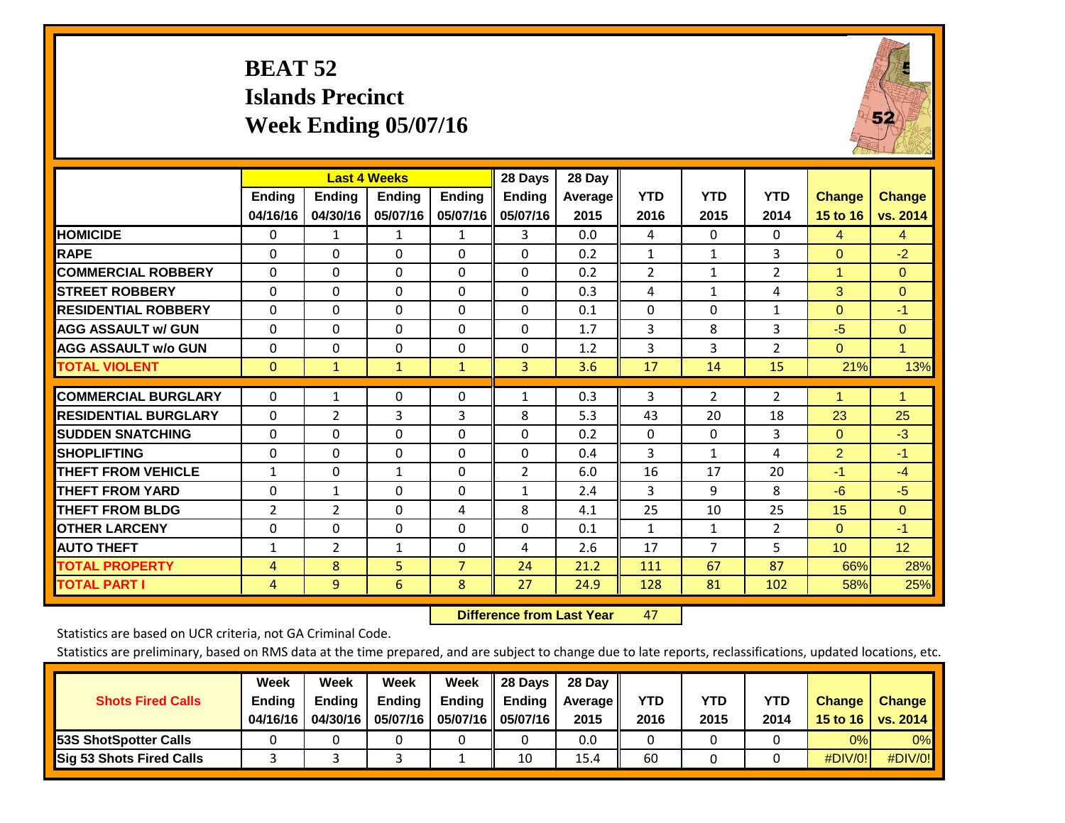## **BEAT 52 Islands Precinct Week Ending 05/07/16**



|                             |                           | <b>Last 4 Weeks</b>       |                           |                           | 28 Days                   | 28 Day          |                    |                    |                    |                                  |                           |
|-----------------------------|---------------------------|---------------------------|---------------------------|---------------------------|---------------------------|-----------------|--------------------|--------------------|--------------------|----------------------------------|---------------------------|
|                             | <b>Ending</b><br>04/16/16 | <b>Endina</b><br>04/30/16 | <b>Endina</b><br>05/07/16 | <b>Endina</b><br>05/07/16 | <b>Endina</b><br>05/07/16 | Average<br>2015 | <b>YTD</b><br>2016 | <b>YTD</b><br>2015 | <b>YTD</b><br>2014 | <b>Change</b><br><b>15 to 16</b> | <b>Change</b><br>vs. 2014 |
| <b>HOMICIDE</b>             | 0                         | 1                         | 1                         | 1                         | 3.                        | 0.0             | 4                  | $\Omega$           | 0                  | 4                                | $\overline{4}$            |
| <b>RAPE</b>                 | 0                         | 0                         | $\Omega$                  | $\Omega$                  | $\Omega$                  | 0.2             | 1                  | 1                  | 3                  | $\Omega$                         | $-2$                      |
| <b>COMMERCIAL ROBBERY</b>   | $\Omega$                  | 0                         | $\Omega$                  | $\Omega$                  | $\Omega$                  | 0.2             | $\overline{2}$     | $\mathbf{1}$       | 2                  | 1                                | $\Omega$                  |
| <b>STREET ROBBERY</b>       | $\Omega$                  | $\Omega$                  | $\Omega$                  | $\mathbf{0}$              | $\Omega$                  | 0.3             | 4                  | $\mathbf{1}$       | 4                  | 3                                | $\mathbf{0}$              |
| <b>RESIDENTIAL ROBBERY</b>  | $\Omega$                  | 0                         | 0                         | $\Omega$                  | $\Omega$                  | 0.1             | $\Omega$           | $\Omega$           | 1                  | $\Omega$                         | $-1$                      |
| <b>AGG ASSAULT w/ GUN</b>   | $\Omega$                  | $\Omega$                  | $\Omega$                  | $\Omega$                  | $\Omega$                  | 1.7             | 3                  | 8                  | 3                  | $-5$                             | $\Omega$                  |
| <b>AGG ASSAULT w/o GUN</b>  | 0                         | 0                         | 0                         | 0                         | $\Omega$                  | 1.2             | 3                  | 3                  | $\overline{2}$     | $\mathbf{0}$                     | 1                         |
| <b>TOTAL VIOLENT</b>        | $\overline{0}$            | $\mathbf{1}$              | $\mathbf{1}$              | $\mathbf{1}$              | 3                         | 3.6             | 17                 | 14                 | 15                 | 21%                              | 13%                       |
| <b>COMMERCIAL BURGLARY</b>  | $\Omega$                  | 1                         | 0                         | $\mathbf{0}$              | $\mathbf{1}$              | 0.3             | 3                  | $\overline{2}$     | 2                  | 1                                | 1                         |
| <b>RESIDENTIAL BURGLARY</b> | $\Omega$                  | 2                         | 3                         | 3                         | 8                         | 5.3             | 43                 | 20                 | 18                 | 23                               | 25                        |
| <b>ISUDDEN SNATCHING</b>    | $\Omega$                  | 0                         | $\Omega$                  | $\Omega$                  | $\mathbf{0}$              | 0.2             | $\Omega$           | $\Omega$           | 3                  | $\Omega$                         | $-3$                      |
| <b>SHOPLIFTING</b>          | $\Omega$                  | $\Omega$                  | $\Omega$                  | $\Omega$                  | $\Omega$                  | 0.4             | 3                  | $\mathbf{1}$       | 4                  | $\overline{2}$                   | $-1$                      |
| <b>THEFT FROM VEHICLE</b>   | $\mathbf{1}$              | 0                         | $\mathbf{1}$              | $\mathbf{0}$              | $\overline{2}$            | 6.0             | 16                 | 17                 | 20                 | $-1$                             | $-4$                      |
| <b>THEFT FROM YARD</b>      | 0                         | 1                         | $\Omega$                  | $\Omega$                  | $\mathbf{1}$              | 2.4             | 3                  | 9                  | 8                  | $-6$                             | $-5$                      |
| <b>THEFT FROM BLDG</b>      | 2                         | 2                         | $\Omega$                  | 4                         | 8                         | 4.1             | 25                 | 10                 | 25                 | 15                               | $\Omega$                  |
| <b>OTHER LARCENY</b>        | 0                         | 0                         | $\Omega$                  | $\Omega$                  | $\Omega$                  | 0.1             | 1                  | 1                  | $\overline{2}$     | $\Omega$                         | $-1$                      |
| <b>AUTO THEFT</b>           | $\mathbf{1}$              | 2                         | 1                         | 0                         | 4                         | 2.6             | 17                 | $\overline{7}$     | 5                  | 10 <sup>1</sup>                  | 12                        |
| <b>TOTAL PROPERTY</b>       | 4                         | 8                         | 5                         | $\overline{7}$            | 24                        | 21.2            | 111                | 67                 | 87                 | 66%                              | 28%                       |
| <b>TOTAL PART I</b>         | 4                         | 9                         | 6                         | 8                         | 27                        | 24.9            | 128                | 81                 | 102                | 58%                              | 25%                       |

 **Difference from Last Year**r 47

Statistics are based on UCR criteria, not GA Criminal Code.

| <b>Shots Fired Calls</b>        | Week<br><b>Ending</b><br>04/16/16 | Week<br><b>Endina</b><br>04/30/16 | Week<br>Ending<br>05/07/16 | Week<br>Ending | 28 Days<br><b>Ending</b><br>05/07/16    05/07/16 | 28 Day<br>Average II<br>2015 | YTD<br>2016 | YTD<br>2015 | YTD<br>2014 | <b>Change</b><br>15 to 16 $\vert$ | <b>Change</b><br>vs. 2014 |
|---------------------------------|-----------------------------------|-----------------------------------|----------------------------|----------------|--------------------------------------------------|------------------------------|-------------|-------------|-------------|-----------------------------------|---------------------------|
| <b>153S ShotSpotter Calls</b>   |                                   |                                   |                            |                |                                                  | 0.0                          |             |             |             | 0%                                | 0%                        |
| <b>Sig 53 Shots Fired Calls</b> |                                   |                                   |                            |                | 10                                               | 15.4                         | 60          |             |             | #DIV/0!                           | #DIV/0!                   |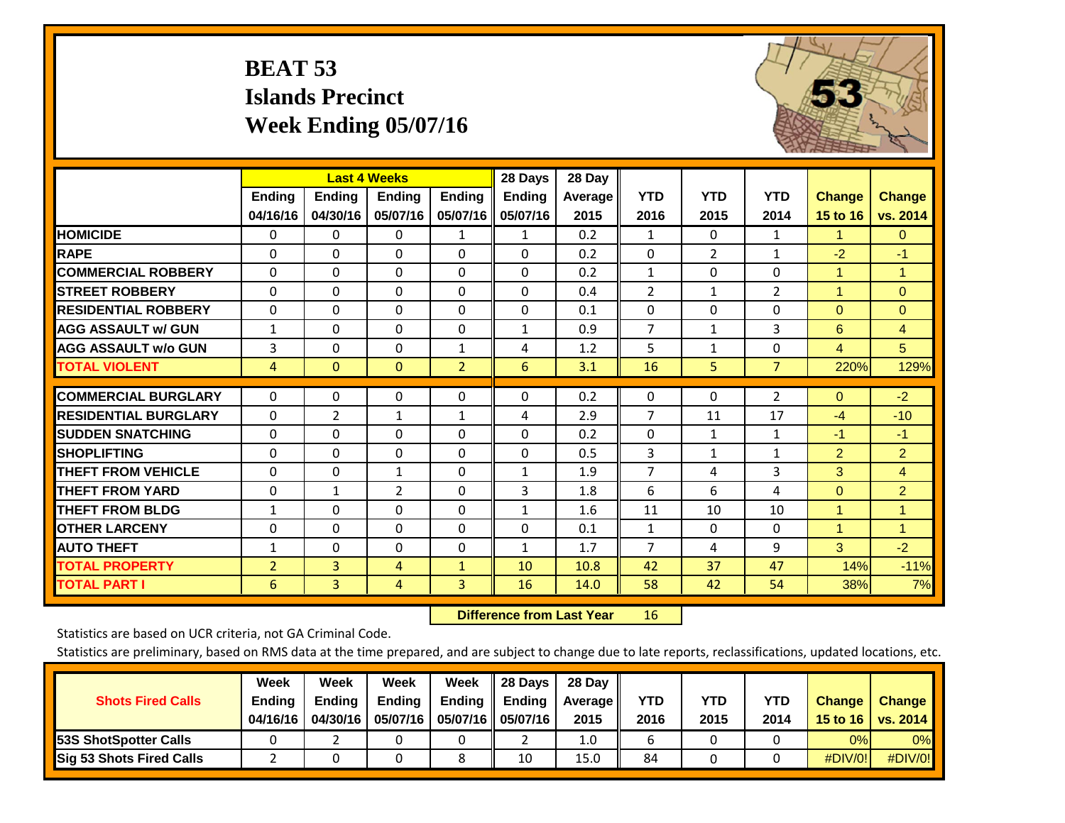## **BEAT 53 Islands Precinct Week Ending 05/07/16**



|                             |                | <b>Last 4 Weeks</b> |                |                | 28 Days       | 28 Day  |                |                |                |                |                |
|-----------------------------|----------------|---------------------|----------------|----------------|---------------|---------|----------------|----------------|----------------|----------------|----------------|
|                             | <b>Ending</b>  | <b>Ending</b>       | <b>Endina</b>  | <b>Ending</b>  | <b>Ending</b> | Average | <b>YTD</b>     | <b>YTD</b>     | <b>YTD</b>     | <b>Change</b>  | <b>Change</b>  |
|                             | 04/16/16       | 04/30/16            | 05/07/16       | 05/07/16       | 05/07/16      | 2015    | 2016           | 2015           | 2014           | 15 to 16       | vs. 2014       |
| <b>HOMICIDE</b>             | 0              | $\Omega$            | 0              | $\mathbf{1}$   | $\mathbf{1}$  | 0.2     | 1              | 0              | 1              | $\mathbf{1}$   | $\mathbf{0}$   |
| <b>RAPE</b>                 | $\Omega$       | 0                   | $\Omega$       | $\Omega$       | $\Omega$      | 0.2     | $\mathbf{0}$   | $\overline{2}$ | $\mathbf{1}$   | $-2$           | $-1$           |
| <b>COMMERCIAL ROBBERY</b>   | $\Omega$       | $\Omega$            | $\Omega$       | 0              | $\Omega$      | 0.2     | 1              | $\Omega$       | $\Omega$       | 1              | $\mathbf{1}$   |
| <b>STREET ROBBERY</b>       | 0              | $\Omega$            | $\Omega$       | $\Omega$       | $\Omega$      | 0.4     | $\overline{2}$ | $\mathbf{1}$   | $\overline{2}$ | 1              | $\overline{0}$ |
| <b>RESIDENTIAL ROBBERY</b>  | 0              | $\Omega$            | $\Omega$       | 0              | $\Omega$      | 0.1     | 0              | $\Omega$       | 0              | $\mathbf{0}$   | $\Omega$       |
| <b>AGG ASSAULT w/ GUN</b>   | $\mathbf{1}$   | $\Omega$            | $\Omega$       | $\Omega$       | 1             | 0.9     | $\overline{7}$ | $\mathbf{1}$   | 3              | 6              | $\overline{4}$ |
| <b>AGG ASSAULT w/o GUN</b>  | 3              | $\Omega$            | $\Omega$       | 1              | 4             | 1.2     | 5              | 1              | $\Omega$       | 4              | 5 <sup>5</sup> |
| <b>TOTAL VIOLENT</b>        | 4              | $\mathbf{0}$        | $\mathbf{0}$   | $\overline{2}$ | 6             | 3.1     | 16             | 5              | $\overline{7}$ | 220%           | 129%           |
| <b>COMMERCIAL BURGLARY</b>  | 0              | 0                   | 0              | 0              | 0             | 0.2     | $\mathbf 0$    | 0              | $\overline{2}$ | $\overline{0}$ | $-2$           |
|                             |                |                     |                |                |               |         |                |                |                |                |                |
| <b>RESIDENTIAL BURGLARY</b> | $\Omega$       | 2                   | $\mathbf{1}$   | $\mathbf{1}$   | 4             | 2.9     | $\overline{7}$ | 11             | 17             | $-4$           | $-10$          |
| <b>ISUDDEN SNATCHING</b>    | $\Omega$       | $\Omega$            | $\Omega$       | $\Omega$       | $\Omega$      | 0.2     | $\Omega$       | $\mathbf{1}$   | $\mathbf{1}$   | $-1$           | $-1$           |
| <b>SHOPLIFTING</b>          | $\Omega$       | $\Omega$            | $\Omega$       | 0              | $\Omega$      | 0.5     | 3              | 1              | 1              | $\overline{2}$ | $\overline{2}$ |
| <b>THEFT FROM VEHICLE</b>   | 0              | $\Omega$            | $\mathbf{1}$   | 0              | 1             | 1.9     | $\overline{7}$ | 4              | 3              | 3              | $\overline{4}$ |
| <b>THEFT FROM YARD</b>      | 0              | $\mathbf{1}$        | $\overline{2}$ | 0              | 3             | 1.8     | 6              | 6              | 4              | $\mathbf{0}$   | $\overline{2}$ |
| <b>THEFT FROM BLDG</b>      | $\mathbf{1}$   | $\Omega$            | $\Omega$       | $\Omega$       | $\mathbf{1}$  | 1.6     | 11             | 10             | 10             | 1              | $\mathbf{1}$   |
| <b>OTHER LARCENY</b>        | $\Omega$       | $\Omega$            | $\Omega$       | 0              | $\Omega$      | 0.1     | 1              | $\Omega$       | $\Omega$       | 1              | $\mathbf{1}$   |
| <b>AUTO THEFT</b>           | $\mathbf{1}$   | $\Omega$            | $\Omega$       | $\Omega$       | $\mathbf{1}$  | 1.7     | 7              | 4              | 9              | 3              | $-2$           |
| <b>TOTAL PROPERTY</b>       | $\overline{2}$ | $\overline{3}$      | 4              | $\mathbf{1}$   | 10            | 10.8    | 42             | 37             | 47             | 14%            | $-11%$         |
| <b>TOTAL PART I</b>         | 6              | $\overline{3}$      | 4              | $\overline{3}$ | 16            | 14.0    | 58             | 42             | 54             | 38%            | 7%             |

 **Difference from Last Year**r 16

Statistics are based on UCR criteria, not GA Criminal Code.

| <b>Shots Fired Calls</b>        | Week<br><b>Ending</b><br>04/16/16 | Week<br><b>Endina</b><br>04/30/16 | Week<br>Ending<br>05/07/16 | Week<br>Ending | 28 Days<br><b>Ending</b><br>05/07/16    05/07/16 | 28 Day<br>Average II<br>2015 | YTD<br>2016 | YTD<br>2015 | YTD<br>2014 | <b>Change</b><br>15 to 16 $\vert$ | <b>Change</b><br>vs. 2014 |
|---------------------------------|-----------------------------------|-----------------------------------|----------------------------|----------------|--------------------------------------------------|------------------------------|-------------|-------------|-------------|-----------------------------------|---------------------------|
| <b>153S ShotSpotter Calls</b>   |                                   |                                   |                            |                |                                                  | 1.0                          |             |             |             | 0%                                | 0%                        |
| <b>Sig 53 Shots Fired Calls</b> |                                   |                                   |                            |                | 10                                               | 15.0                         | 84          |             |             | #DIV/0!                           | #DIV/0!                   |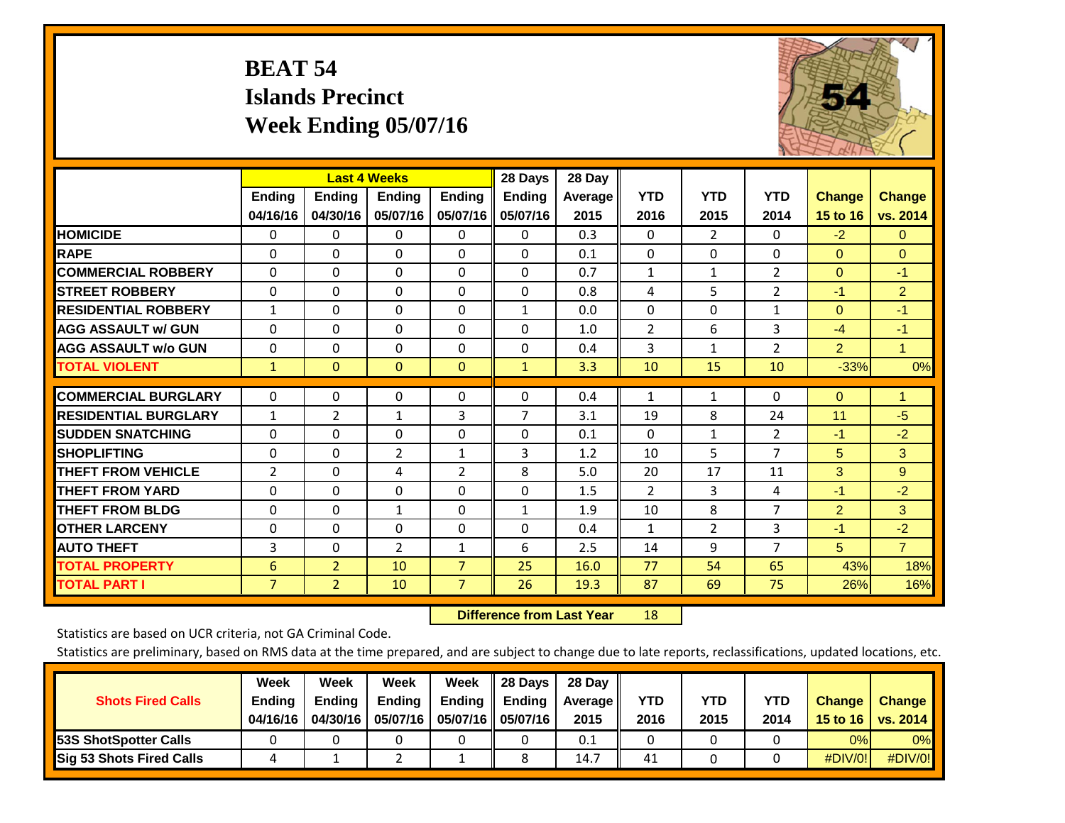## **BEAT 54 Islands Precinct Week Ending 05/07/16**



|                             |                |                | <b>Last 4 Weeks</b> |                | 28 Days        | 28 Day         |                |                |                |                |                |
|-----------------------------|----------------|----------------|---------------------|----------------|----------------|----------------|----------------|----------------|----------------|----------------|----------------|
|                             | Ending         | Ending         | <b>Endina</b>       | <b>Ending</b>  | <b>Ending</b>  | <b>Average</b> | <b>YTD</b>     | <b>YTD</b>     | <b>YTD</b>     | <b>Change</b>  | <b>Change</b>  |
|                             | 04/16/16       | 04/30/16       | 05/07/16            | 05/07/16       | 05/07/16       | 2015           | 2016           | 2015           | 2014           | 15 to 16       | vs. 2014       |
| <b>HOMICIDE</b>             | 0              | 0              | 0                   | $\Omega$       | 0              | 0.3            | $\Omega$       | $\overline{2}$ | 0              | $-2$           | $\overline{0}$ |
| <b>RAPE</b>                 | $\Omega$       | 0              | $\mathbf{0}$        | $\Omega$       | $\Omega$       | 0.1            | $\mathbf{0}$   | 0              | $\Omega$       | $\Omega$       | $\Omega$       |
| <b>COMMERCIAL ROBBERY</b>   | $\Omega$       | $\Omega$       | $\Omega$            | $\Omega$       | $\Omega$       | 0.7            | $\mathbf{1}$   | $\mathbf{1}$   | 2              | $\Omega$       | $-1$           |
| <b>STREET ROBBERY</b>       | $\Omega$       | $\Omega$       | $\Omega$            | $\Omega$       | $\Omega$       | 0.8            | 4              | 5              | $\overline{2}$ | $-1$           | $\overline{2}$ |
| <b>RESIDENTIAL ROBBERY</b>  | $\mathbf{1}$   | $\Omega$       | $\mathbf{0}$        | $\Omega$       | $\mathbf{1}$   | 0.0            | $\mathbf{0}$   | 0              | $\mathbf{1}$   | $\Omega$       | $-1$           |
| <b>AGG ASSAULT w/ GUN</b>   | $\Omega$       | $\Omega$       | $\Omega$            | $\Omega$       | $\Omega$       | 1.0            | $\overline{2}$ | 6              | 3              | $-4$           | $-1$           |
| <b>AGG ASSAULT w/o GUN</b>  | $\Omega$       | 0              | $\mathbf{0}$        | $\Omega$       | 0              | 0.4            | 3              | $\mathbf{1}$   | 2              | $\overline{2}$ | $\mathbf{1}$   |
| <b>TOTAL VIOLENT</b>        | $\mathbf{1}$   | $\overline{0}$ | $\mathbf{0}$        | $\mathbf{0}$   | $\mathbf{1}$   | 3.3            | 10             | 15             | 10             | $-33%$         | 0%             |
| <b>COMMERCIAL BURGLARY</b>  | 0              | 0              | 0                   | 0              | $\Omega$       | 0.4            | 1              | 1              | 0              | $\mathbf{0}$   | 1              |
|                             |                |                |                     |                | $\overline{7}$ |                |                |                |                |                |                |
| <b>RESIDENTIAL BURGLARY</b> | $\mathbf{1}$   | 2              | 1                   | 3              |                | 3.1            | 19             | 8              | 24             | 11             | $-5$           |
| <b>SUDDEN SNATCHING</b>     | $\Omega$       | $\Omega$       | $\mathbf{0}$        | $\Omega$       | $\Omega$       | 0.1            | $\Omega$       | 1              | $\overline{2}$ | $-1$           | $-2$           |
| <b>SHOPLIFTING</b>          | $\Omega$       | 0              | $\overline{2}$      | 1              | 3              | 1.2            | 10             | 5              | $\overline{7}$ | 5              | 3              |
| <b>THEFT FROM VEHICLE</b>   | $\overline{2}$ | $\Omega$       | 4                   | 2              | 8              | 5.0            | 20             | 17             | 11             | 3              | 9              |
| <b>THEFT FROM YARD</b>      | $\mathbf 0$    | $\mathbf 0$    | $\mathbf 0$         | $\Omega$       | $\mathbf 0$    | 1.5            | $\overline{2}$ | 3              | 4              | $-1$           | $-2$           |
| <b>THEFT FROM BLDG</b>      | $\Omega$       | $\Omega$       | $\mathbf{1}$        | $\Omega$       | $\mathbf{1}$   | 1.9            | 10             | 8              | 7              | $\overline{2}$ | 3              |
| <b>OTHER LARCENY</b>        | $\Omega$       | $\Omega$       | $\Omega$            | $\Omega$       | $\Omega$       | 0.4            | 1              | $\overline{2}$ | 3              | $-1$           | $-2$           |
| <b>AUTO THEFT</b>           | 3              | $\Omega$       | $\overline{2}$      | 1              | 6              | 2.5            | 14             | 9              | $\overline{7}$ | 5              | $\overline{7}$ |
| <b>TOTAL PROPERTY</b>       | 6              | $\overline{2}$ | 10                  | $\overline{7}$ | 25             | 16.0           | 77             | 54             | 65             | 43%            | 18%            |
| <b>TOTAL PART I</b>         | $\overline{7}$ | $\overline{2}$ | 10                  | $\overline{7}$ | 26             | 19.3           | 87             | 69             | 75             | 26%            | 16%            |

 **Difference from Last Year**r 18

Statistics are based on UCR criteria, not GA Criminal Code.

| <b>Shots Fired Calls</b>        | Week<br><b>Ending</b> | Week<br><b>Endina</b> | Week<br>Ending | Week<br>Ending | 28 Days<br><b>Ending</b> | 28 Day<br>Average II | YTD  | YTD  | YTD  | <b>Change</b>    | <b>Change</b> |
|---------------------------------|-----------------------|-----------------------|----------------|----------------|--------------------------|----------------------|------|------|------|------------------|---------------|
|                                 | 04/16/16              | 04/30/16              | 05/07/16       |                | 05/07/16    05/07/16     | 2015                 | 2016 | 2015 | 2014 | 15 to 16 $\vert$ | vs. 2014      |
| <b>153S ShotSpotter Calls</b>   |                       |                       |                |                |                          | 0.1                  |      |      |      | 0%               | 0%            |
| <b>Sig 53 Shots Fired Calls</b> |                       |                       |                |                |                          | 14.7                 | 41   |      |      | #DIV/0!          | #DIV/0!       |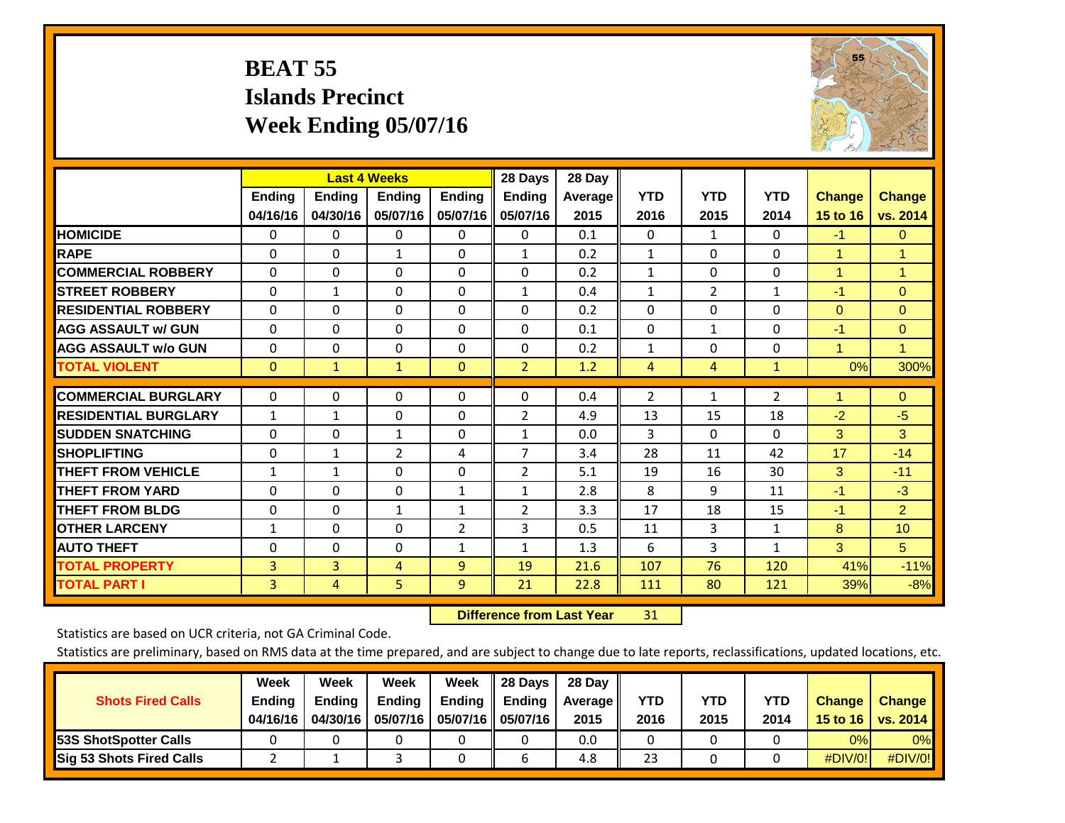## **BEAT 55 Islands Precinct Week Ending 05/07/16**



|                             |               | <b>Last 4 Weeks</b> |                |                | 28 Days        | 28 Day  |                |                |              |                |                      |
|-----------------------------|---------------|---------------------|----------------|----------------|----------------|---------|----------------|----------------|--------------|----------------|----------------------|
|                             | <b>Ending</b> | <b>Ending</b>       | <b>Ending</b>  | <b>Ending</b>  | <b>Ending</b>  | Average | <b>YTD</b>     | <b>YTD</b>     | <b>YTD</b>   | <b>Change</b>  | <b>Change</b>        |
|                             | 04/16/16      | 04/30/16            | 05/07/16       | 05/07/16       | 05/07/16       | 2015    | 2016           | 2015           | 2014         | 15 to 16       | vs. 2014             |
| <b>HOMICIDE</b>             | $\Omega$      | 0                   | $\Omega$       | $\Omega$       | 0              | 0.1     | $\mathbf{0}$   | $\mathbf{1}$   | 0            | $-1$           | $\overline{0}$       |
| <b>RAPE</b>                 | $\Omega$      | $\Omega$            | $\mathbf{1}$   | 0              | $\mathbf{1}$   | 0.2     | 1              | $\Omega$       | 0            | 1              | 1                    |
| <b>COMMERCIAL ROBBERY</b>   | $\Omega$      | $\Omega$            | $\mathbf{0}$   | 0              | $\Omega$       | 0.2     | 1              | 0              | $\Omega$     | $\overline{1}$ | $\blacktriangleleft$ |
| <b>STREET ROBBERY</b>       | $\Omega$      | $\mathbf{1}$        | $\Omega$       | $\Omega$       | $\mathbf{1}$   | 0.4     | $\mathbf{1}$   | $\overline{2}$ | $\mathbf{1}$ | $-1$           | $\Omega$             |
| <b>RESIDENTIAL ROBBERY</b>  | $\Omega$      | $\Omega$            | $\mathbf{0}$   | $\Omega$       | $\Omega$       | 0.2     | $\Omega$       | $\Omega$       | 0            | $\Omega$       | $\Omega$             |
| <b>AGG ASSAULT w/ GUN</b>   | 0             | $\Omega$            | $\Omega$       | $\Omega$       | 0              | 0.1     | $\mathbf{0}$   | 1              | 0            | $-1$           | $\mathbf{0}$         |
| <b>AGG ASSAULT w/o GUN</b>  | 0             | $\Omega$            | $\mathbf{0}$   | $\Omega$       | $\Omega$       | 0.2     | $\mathbf{1}$   | 0              | 0            | $\overline{1}$ | $\mathbf{1}$         |
| <b>TOTAL VIOLENT</b>        | $\mathbf{0}$  | $\mathbf{1}$        | $\mathbf{1}$   | $\mathbf{0}$   | $\overline{2}$ | 1.2     | $\overline{4}$ | 4              | $\mathbf{1}$ | 0%             | 300%                 |
|                             |               |                     |                |                |                |         |                |                |              |                |                      |
| <b>COMMERCIAL BURGLARY</b>  | $\Omega$      | $\Omega$            | $\Omega$       | $\Omega$       | $\Omega$       | 0.4     | $\overline{2}$ | 1              | 2            | 1              | $\mathbf{0}$         |
| <b>RESIDENTIAL BURGLARY</b> | $\mathbf{1}$  | $\mathbf{1}$        | $\Omega$       | $\Omega$       | 2              | 4.9     | 13             | 15             | 18           | $-2$           | $-5$                 |
| <b>SUDDEN SNATCHING</b>     | 0             | 0                   | $\mathbf{1}$   | $\Omega$       | $\mathbf{1}$   | 0.0     | 3              | $\Omega$       | 0            | 3              | 3                    |
| <b>ISHOPLIFTING</b>         | $\Omega$      | 1                   | $\overline{2}$ | 4              | $\overline{7}$ | 3.4     | 28             | 11             | 42           | 17             | $-14$                |
| <b>THEFT FROM VEHICLE</b>   | 1             | 1                   | $\Omega$       | 0              | $\overline{2}$ | 5.1     | 19             | 16             | 30           | 3              | $-11$                |
| <b>THEFT FROM YARD</b>      | 0             | $\Omega$            | $\mathbf{0}$   | $\mathbf{1}$   | $\mathbf{1}$   | 2.8     | 8              | 9              | 11           | $-1$           | $-3$                 |
| <b>THEFT FROM BLDG</b>      | $\Omega$      | 0                   | $\mathbf{1}$   | 1              | $\overline{2}$ | 3.3     | 17             | 18             | 15           | $-1$           | $\overline{2}$       |
| <b>OTHER LARCENY</b>        | 1             | $\Omega$            | $\Omega$       | $\overline{2}$ | 3              | 0.5     | 11             | 3              | 1            | 8              | 10 <sup>1</sup>      |
| <b>AUTO THEFT</b>           | $\mathbf 0$   | $\Omega$            | 0              | $\mathbf{1}$   | 1              | 1.3     | 6              | 3              | $\mathbf{1}$ | 3              | 5 <sup>5</sup>       |
| <b>TOTAL PROPERTY</b>       | 3             | 3                   | $\overline{4}$ | 9              | 19             | 21.6    | 107            | 76             | 120          | 41%            | $-11%$               |
| <b>TOTAL PART I</b>         | 3             | 4                   | 5.             | 9              | 21             | 22.8    | 111            | 80             | 121          | 39%            | $-8%$                |

 **Difference from Last Year**r 31

Statistics are based on UCR criteria, not GA Criminal Code.

| <b>Shots Fired Calls</b>        | Week<br><b>Ending</b><br>04/16/16 | Week<br><b>Endina</b><br>04/30/16 | Week<br>Ending<br>05/07/16 | Week<br>Ending | 28 Days<br><b>Ending</b><br>05/07/16    05/07/16 | 28 Day<br>Average II<br>2015 | YTD<br>2016 | YTD<br>2015 | YTD<br>2014 | <b>Change</b><br>15 to 16 $\vert$ | <b>Change</b><br>vs. 2014 |
|---------------------------------|-----------------------------------|-----------------------------------|----------------------------|----------------|--------------------------------------------------|------------------------------|-------------|-------------|-------------|-----------------------------------|---------------------------|
| <b>153S ShotSpotter Calls</b>   |                                   |                                   |                            |                |                                                  | 0.0                          |             |             |             | 0%                                | 0%                        |
| <b>Sig 53 Shots Fired Calls</b> |                                   |                                   |                            |                |                                                  | 4.8                          | 23          |             |             | #DIV/0!                           | #DIV/0!                   |